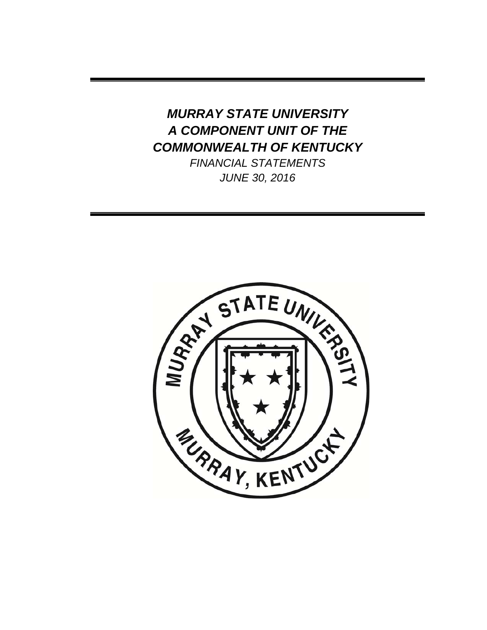# *MURRAY STATE UNIVERSITY A COMPONENT UNIT OF THE COMMONWEALTH OF KENTUCKY*

*FINANCIAL STATEMENTS JUNE 30, 2016* 

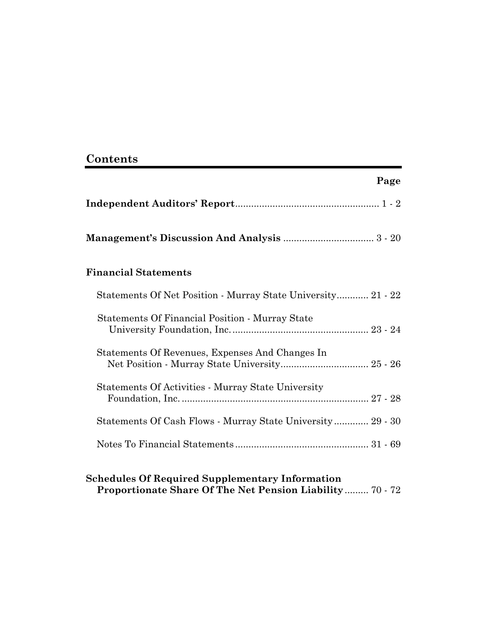# **Contents**

| Page                                                         |  |
|--------------------------------------------------------------|--|
|                                                              |  |
|                                                              |  |
| <b>Financial Statements</b>                                  |  |
| Statements Of Net Position - Murray State University 21 - 22 |  |
| Statements Of Financial Position - Murray State              |  |
| Statements Of Revenues, Expenses And Changes In              |  |
| Statements Of Activities - Murray State University           |  |
| Statements Of Cash Flows - Murray State University  29 - 30  |  |
|                                                              |  |

# **Schedules Of Required Supplementary Information Proportionate Share Of The Net Pension Liability** ......... 70 - 72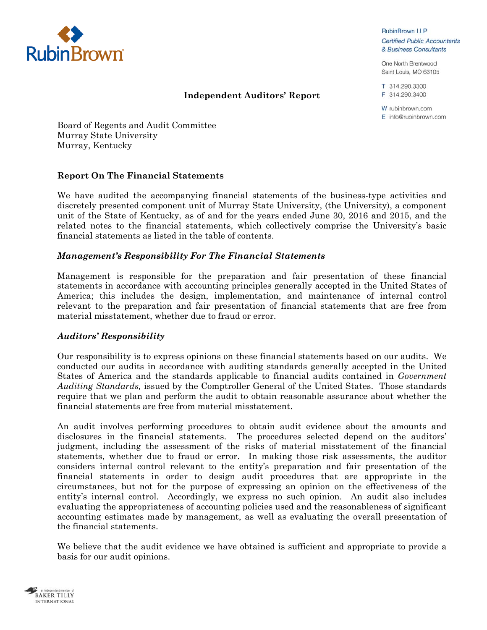

**RubinBrown LLP Certified Public Accountants** & Business Consultants

One North Brentwood Saint Louis, MO 63105

T 314.290.3300 F 314.290.3400

W rubinbrown.com E info@rubinbrown.com

Board of Regents and Audit Committee Murray State University Murray, Kentucky

### **Report On The Financial Statements**

We have audited the accompanying financial statements of the business-type activities and discretely presented component unit of Murray State University, (the University), a component unit of the State of Kentucky, as of and for the years ended June 30, 2016 and 2015, and the related notes to the financial statements, which collectively comprise the University's basic financial statements as listed in the table of contents.

**Independent Auditors' Report** 

#### *Management's Responsibility For The Financial Statements*

Management is responsible for the preparation and fair presentation of these financial statements in accordance with accounting principles generally accepted in the United States of America; this includes the design, implementation, and maintenance of internal control relevant to the preparation and fair presentation of financial statements that are free from material misstatement, whether due to fraud or error.

#### *Auditors' Responsibility*

Our responsibility is to express opinions on these financial statements based on our audits. We conducted our audits in accordance with auditing standards generally accepted in the United States of America and the standards applicable to financial audits contained in *Government Auditing Standards,* issued by the Comptroller General of the United States. Those standards require that we plan and perform the audit to obtain reasonable assurance about whether the financial statements are free from material misstatement.

An audit involves performing procedures to obtain audit evidence about the amounts and disclosures in the financial statements. The procedures selected depend on the auditors' judgment, including the assessment of the risks of material misstatement of the financial statements, whether due to fraud or error. In making those risk assessments, the auditor considers internal control relevant to the entity's preparation and fair presentation of the financial statements in order to design audit procedures that are appropriate in the circumstances, but not for the purpose of expressing an opinion on the effectiveness of the entity's internal control. Accordingly, we express no such opinion. An audit also includes evaluating the appropriateness of accounting policies used and the reasonableness of significant accounting estimates made by management, as well as evaluating the overall presentation of the financial statements.

We believe that the audit evidence we have obtained is sufficient and appropriate to provide a basis for our audit opinions.

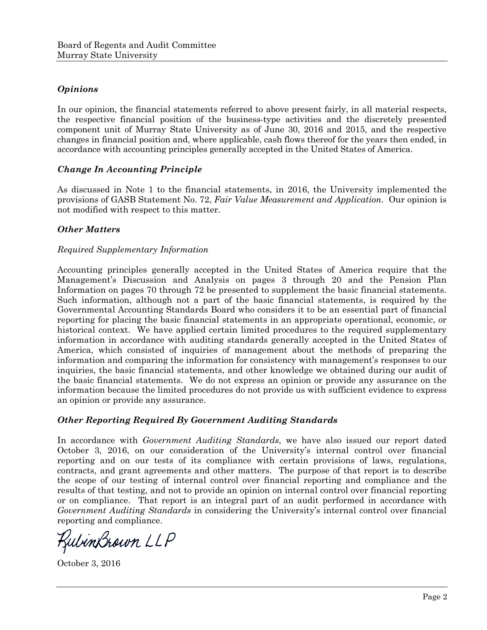### *Opinions*

In our opinion, the financial statements referred to above present fairly, in all material respects, the respective financial position of the business-type activities and the discretely presented component unit of Murray State University as of June 30, 2016 and 2015, and the respective changes in financial position and, where applicable, cash flows thereof for the years then ended, in accordance with accounting principles generally accepted in the United States of America.

#### *Change In Accounting Principle*

As discussed in Note 1 to the financial statements, in 2016, the University implemented the provisions of GASB Statement No. 72, *Fair Value Measurement and Application.* Our opinion is not modified with respect to this matter.

### *Other Matters*

#### *Required Supplementary Information*

Accounting principles generally accepted in the United States of America require that the Management's Discussion and Analysis on pages 3 through 20 and the Pension Plan Information on pages 70 through 72 be presented to supplement the basic financial statements. Such information, although not a part of the basic financial statements, is required by the Governmental Accounting Standards Board who considers it to be an essential part of financial reporting for placing the basic financial statements in an appropriate operational, economic, or historical context. We have applied certain limited procedures to the required supplementary information in accordance with auditing standards generally accepted in the United States of America, which consisted of inquiries of management about the methods of preparing the information and comparing the information for consistency with management's responses to our inquiries, the basic financial statements, and other knowledge we obtained during our audit of the basic financial statements. We do not express an opinion or provide any assurance on the information because the limited procedures do not provide us with sufficient evidence to express an opinion or provide any assurance.

#### *Other Reporting Required By Government Auditing Standards*

In accordance with *Government Auditing Standards*, we have also issued our report dated October 3, 2016, on our consideration of the University's internal control over financial reporting and on our tests of its compliance with certain provisions of laws, regulations, contracts, and grant agreements and other matters. The purpose of that report is to describe the scope of our testing of internal control over financial reporting and compliance and the results of that testing, and not to provide an opinion on internal control over financial reporting or on compliance. That report is an integral part of an audit performed in accordance with *Government Auditing Standards* in considering the University's internal control over financial reporting and compliance.

KulinBrown LLP

October 3, 2016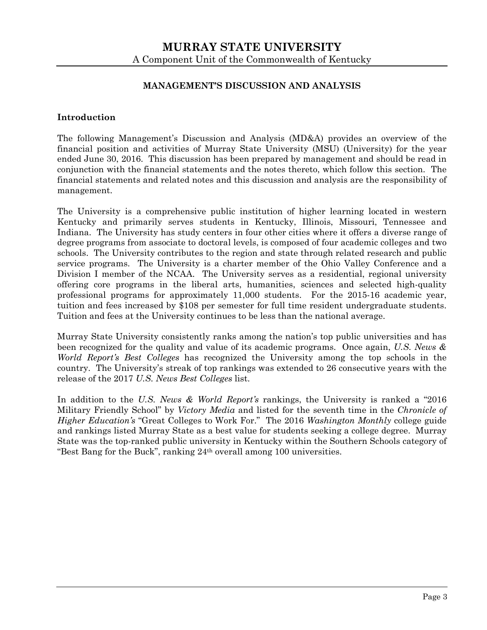### **MANAGEMENT'S DISCUSSION AND ANALYSIS**

#### **Introduction**

The following Management's Discussion and Analysis (MD&A) provides an overview of the financial position and activities of Murray State University (MSU) (University) for the year ended June 30, 2016. This discussion has been prepared by management and should be read in conjunction with the financial statements and the notes thereto, which follow this section. The financial statements and related notes and this discussion and analysis are the responsibility of management.

The University is a comprehensive public institution of higher learning located in western Kentucky and primarily serves students in Kentucky, Illinois, Missouri, Tennessee and Indiana. The University has study centers in four other cities where it offers a diverse range of degree programs from associate to doctoral levels, is composed of four academic colleges and two schools. The University contributes to the region and state through related research and public service programs. The University is a charter member of the Ohio Valley Conference and a Division I member of the NCAA. The University serves as a residential, regional university offering core programs in the liberal arts, humanities, sciences and selected high-quality professional programs for approximately 11,000 students. For the 2015-16 academic year, tuition and fees increased by \$108 per semester for full time resident undergraduate students. Tuition and fees at the University continues to be less than the national average.

Murray State University consistently ranks among the nation's top public universities and has been recognized for the quality and value of its academic programs. Once again, *U.S. News & World Report's Best Colleges* has recognized the University among the top schools in the country. The University's streak of top rankings was extended to 26 consecutive years with the release of the 2017 *U.S. News Best Colleges* list.

In addition to the *U.S. News & World Report's* rankings, the University is ranked a "2016 Military Friendly School" by *Victory Media* and listed for the seventh time in the *Chronicle of Higher Education's* "Great Colleges to Work For." The 2016 *Washington Monthly* college guide and rankings listed Murray State as a best value for students seeking a college degree. Murray State was the top-ranked public university in Kentucky within the Southern Schools category of "Best Bang for the Buck", ranking  $24<sup>th</sup>$  overall among 100 universities.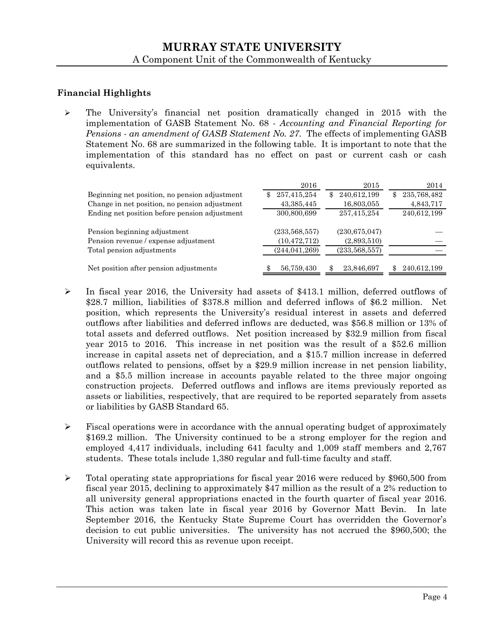## **Financial Highlights**

 $\triangleright$  The University's financial net position dramatically changed in 2015 with the implementation of GASB Statement No. 68 - *Accounting and Financial Reporting for Pensions* - *an amendment of GASB Statement No. 27*. The effects of implementing GASB Statement No. 68 are summarized in the following table. It is important to note that the implementation of this standard has no effect on past or current cash or cash equivalents.

|                                               | 2016               | 2015               | 2014               |
|-----------------------------------------------|--------------------|--------------------|--------------------|
| Beginning net position, no pension adjustment | 257,415,254<br>\$. | 240,612,199<br>\$. | 235,768,482<br>\$. |
| Change in net position, no pension adjustment | 43, 385, 445       | 16,803,055         | 4,843,717          |
| Ending net position before pension adjustment | 300,800,699        | 257,415,254        | 240,612,199        |
|                                               |                    |                    |                    |
| Pension beginning adjustment                  | (233, 568, 557)    | (230, 675, 047)    |                    |
| Pension revenue / expense adjustment          | (10, 472, 712)     | (2,893,510)        |                    |
| Total pension adjustments                     | (244, 041, 269)    | (233, 568, 557)    |                    |
|                                               |                    |                    |                    |
| Net position after pension adjustments        | 56,759,430         | 23,846,697         | 240,612,199        |

- $\triangleright$  In fiscal year 2016, the University had assets of \$413.1 million, deferred outflows of \$28.7 million, liabilities of \$378.8 million and deferred inflows of \$6.2 million. Net position, which represents the University's residual interest in assets and deferred outflows after liabilities and deferred inflows are deducted, was \$56.8 million or 13% of total assets and deferred outflows. Net position increased by \$32.9 million from fiscal year 2015 to 2016. This increase in net position was the result of a \$52.6 million increase in capital assets net of depreciation, and a \$15.7 million increase in deferred outflows related to pensions, offset by a \$29.9 million increase in net pension liability, and a \$5.5 million increase in accounts payable related to the three major ongoing construction projects. Deferred outflows and inflows are items previously reported as assets or liabilities, respectively, that are required to be reported separately from assets or liabilities by GASB Standard 65.
- $\triangleright$  Fiscal operations were in accordance with the annual operating budget of approximately \$169.2 million. The University continued to be a strong employer for the region and employed 4,417 individuals, including 641 faculty and 1,009 staff members and 2,767 students. These totals include 1,380 regular and full-time faculty and staff.
- $\triangleright$  Total operating state appropriations for fiscal year 2016 were reduced by \$960,500 from fiscal year 2015, declining to approximately \$47 million as the result of a 2% reduction to all university general appropriations enacted in the fourth quarter of fiscal year 2016. This action was taken late in fiscal year 2016 by Governor Matt Bevin. In late September 2016, the Kentucky State Supreme Court has overridden the Governor's decision to cut public universities. The university has not accrued the \$960,500; the University will record this as revenue upon receipt.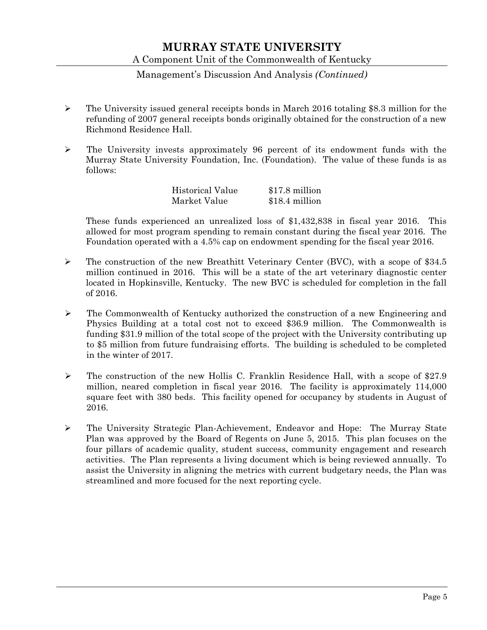### Management's Discussion And Analysis *(Continued)*

- $\triangleright$  The University issued general receipts bonds in March 2016 totaling \$8.3 million for the refunding of 2007 general receipts bonds originally obtained for the construction of a new Richmond Residence Hall.
- The University invests approximately 96 percent of its endowment funds with the Murray State University Foundation, Inc. (Foundation). The value of these funds is as follows:

| <b>Historical Value</b> | \$17.8 million |
|-------------------------|----------------|
| Market Value            | \$18.4 million |

These funds experienced an unrealized loss of \$1,432,838 in fiscal year 2016. This allowed for most program spending to remain constant during the fiscal year 2016. The Foundation operated with a 4.5% cap on endowment spending for the fiscal year 2016.

- $\triangleright$  The construction of the new Breathitt Veterinary Center (BVC), with a scope of \$34.5 million continued in 2016. This will be a state of the art veterinary diagnostic center located in Hopkinsville, Kentucky. The new BVC is scheduled for completion in the fall of 2016.
- $\triangleright$  The Commonwealth of Kentucky authorized the construction of a new Engineering and Physics Building at a total cost not to exceed \$36.9 million. The Commonwealth is funding \$31.9 million of the total scope of the project with the University contributing up to \$5 million from future fundraising efforts. The building is scheduled to be completed in the winter of 2017.
- $\triangleright$  The construction of the new Hollis C. Franklin Residence Hall, with a scope of \$27.9 million, neared completion in fiscal year 2016. The facility is approximately 114,000 square feet with 380 beds. This facility opened for occupancy by students in August of 2016.
- The University Strategic Plan-Achievement, Endeavor and Hope: The Murray State Plan was approved by the Board of Regents on June 5, 2015. This plan focuses on the four pillars of academic quality, student success, community engagement and research activities. The Plan represents a living document which is being reviewed annually. To assist the University in aligning the metrics with current budgetary needs, the Plan was streamlined and more focused for the next reporting cycle.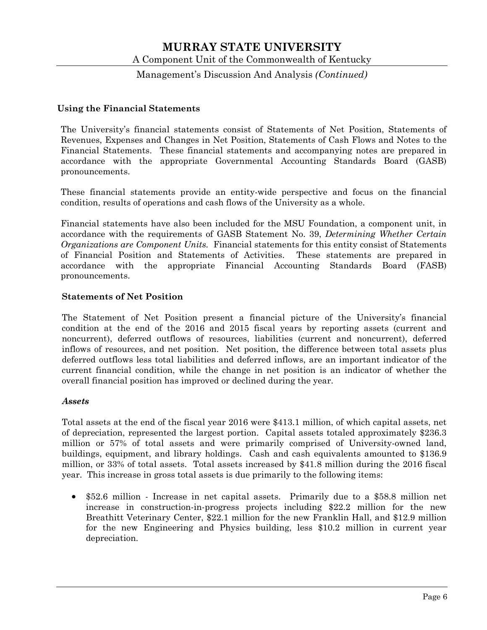### Management's Discussion And Analysis *(Continued)*

#### **Using the Financial Statements**

The University's financial statements consist of Statements of Net Position, Statements of Revenues, Expenses and Changes in Net Position, Statements of Cash Flows and Notes to the Financial Statements. These financial statements and accompanying notes are prepared in accordance with the appropriate Governmental Accounting Standards Board (GASB) pronouncements.

These financial statements provide an entity-wide perspective and focus on the financial condition, results of operations and cash flows of the University as a whole.

Financial statements have also been included for the MSU Foundation, a component unit, in accordance with the requirements of GASB Statement No. 39, *Determining Whether Certain Organizations are Component Units.* Financial statements for this entity consist of Statements of Financial Position and Statements of Activities. These statements are prepared in accordance with the appropriate Financial Accounting Standards Board (FASB) pronouncements.

#### **Statements of Net Position**

The Statement of Net Position present a financial picture of the University's financial condition at the end of the 2016 and 2015 fiscal years by reporting assets (current and noncurrent), deferred outflows of resources, liabilities (current and noncurrent), deferred inflows of resources, and net position. Net position, the difference between total assets plus deferred outflows less total liabilities and deferred inflows, are an important indicator of the current financial condition, while the change in net position is an indicator of whether the overall financial position has improved or declined during the year.

#### *Assets*

Total assets at the end of the fiscal year 2016 were \$413.1 million, of which capital assets, net of depreciation, represented the largest portion. Capital assets totaled approximately \$236.3 million or 57% of total assets and were primarily comprised of University-owned land, buildings, equipment, and library holdings. Cash and cash equivalents amounted to \$136.9 million, or 33% of total assets. Total assets increased by \$41.8 million during the 2016 fiscal year. This increase in gross total assets is due primarily to the following items:

 \$52.6 million - Increase in net capital assets. Primarily due to a \$58.8 million net increase in construction-in-progress projects including \$22.2 million for the new Breathitt Veterinary Center, \$22.1 million for the new Franklin Hall, and \$12.9 million for the new Engineering and Physics building, less \$10.2 million in current year depreciation.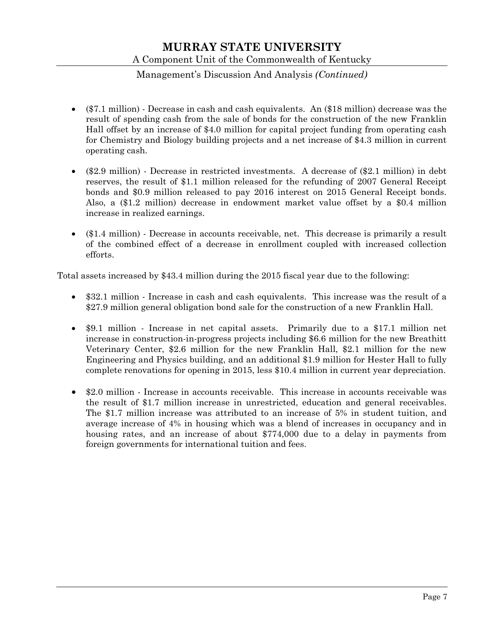## Management's Discussion And Analysis *(Continued)*

- (\$7.1 million) Decrease in cash and cash equivalents. An (\$18 million) decrease was the result of spending cash from the sale of bonds for the construction of the new Franklin Hall offset by an increase of \$4.0 million for capital project funding from operating cash for Chemistry and Biology building projects and a net increase of \$4.3 million in current operating cash.
- (\$2.9 million) Decrease in restricted investments. A decrease of (\$2.1 million) in debt reserves, the result of \$1.1 million released for the refunding of 2007 General Receipt bonds and \$0.9 million released to pay 2016 interest on 2015 General Receipt bonds. Also, a (\$1.2 million) decrease in endowment market value offset by a \$0.4 million increase in realized earnings.
- (\$1.4 million) Decrease in accounts receivable, net. This decrease is primarily a result of the combined effect of a decrease in enrollment coupled with increased collection efforts.

Total assets increased by \$43.4 million during the 2015 fiscal year due to the following:

- \$32.1 million Increase in cash and cash equivalents. This increase was the result of a \$27.9 million general obligation bond sale for the construction of a new Franklin Hall.
- \$9.1 million Increase in net capital assets. Primarily due to a \$17.1 million net increase in construction-in-progress projects including \$6.6 million for the new Breathitt Veterinary Center, \$2.6 million for the new Franklin Hall, \$2.1 million for the new Engineering and Physics building, and an additional \$1.9 million for Hester Hall to fully complete renovations for opening in 2015, less \$10.4 million in current year depreciation.
- \$2.0 million Increase in accounts receivable. This increase in accounts receivable was the result of \$1.7 million increase in unrestricted, education and general receivables. The \$1.7 million increase was attributed to an increase of 5% in student tuition, and average increase of 4% in housing which was a blend of increases in occupancy and in housing rates, and an increase of about \$774,000 due to a delay in payments from foreign governments for international tuition and fees.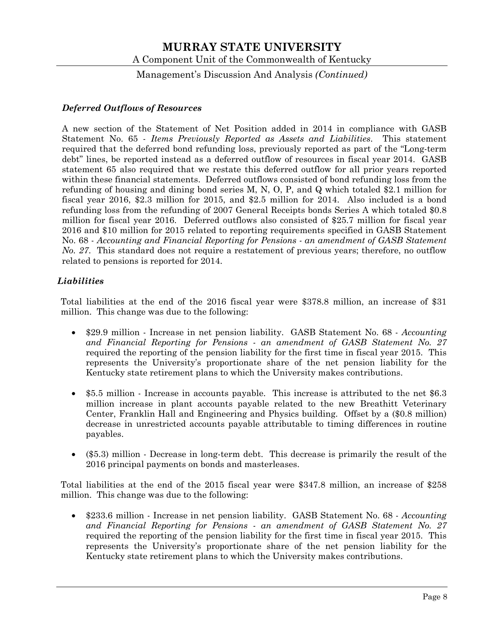Management's Discussion And Analysis *(Continued)*

### *Deferred Outflows of Resources*

A new section of the Statement of Net Position added in 2014 in compliance with GASB Statement No. 65 - *Items Previously Reported as Assets and Liabilities*. This statement required that the deferred bond refunding loss, previously reported as part of the "Long-term debt" lines, be reported instead as a deferred outflow of resources in fiscal year 2014. GASB statement 65 also required that we restate this deferred outflow for all prior years reported within these financial statements. Deferred outflows consisted of bond refunding loss from the refunding of housing and dining bond series M, N, O, P, and Q which totaled \$2.1 million for fiscal year 2016, \$2.3 million for 2015, and \$2.5 million for 2014. Also included is a bond refunding loss from the refunding of 2007 General Receipts bonds Series A which totaled \$0.8 million for fiscal year 2016. Deferred outflows also consisted of \$25.7 million for fiscal year 2016 and \$10 million for 2015 related to reporting requirements specified in GASB Statement No. 68 - *Accounting and Financial Reporting for Pensions - an amendment of GASB Statement No. 27*. This standard does not require a restatement of previous years; therefore, no outflow related to pensions is reported for 2014.

### *Liabilities*

Total liabilities at the end of the 2016 fiscal year were \$378.8 million, an increase of \$31 million. This change was due to the following:

- \$29.9 million Increase in net pension liability. GASB Statement No. 68 *Accounting and Financial Reporting for Pensions - an amendment of GASB Statement No. 27* required the reporting of the pension liability for the first time in fiscal year 2015. This represents the University's proportionate share of the net pension liability for the Kentucky state retirement plans to which the University makes contributions.
- \$5.5 million Increase in accounts payable. This increase is attributed to the net \$6.3 million increase in plant accounts payable related to the new Breathitt Veterinary Center, Franklin Hall and Engineering and Physics building. Offset by a (\$0.8 million) decrease in unrestricted accounts payable attributable to timing differences in routine payables.
- (\$5.3) million Decrease in long-term debt. This decrease is primarily the result of the 2016 principal payments on bonds and masterleases.

Total liabilities at the end of the 2015 fiscal year were \$347.8 million, an increase of \$258 million. This change was due to the following:

 \$233.6 million - Increase in net pension liability. GASB Statement No. 68 - *Accounting and Financial Reporting for Pensions - an amendment of GASB Statement No. 27* required the reporting of the pension liability for the first time in fiscal year 2015. This represents the University's proportionate share of the net pension liability for the Kentucky state retirement plans to which the University makes contributions.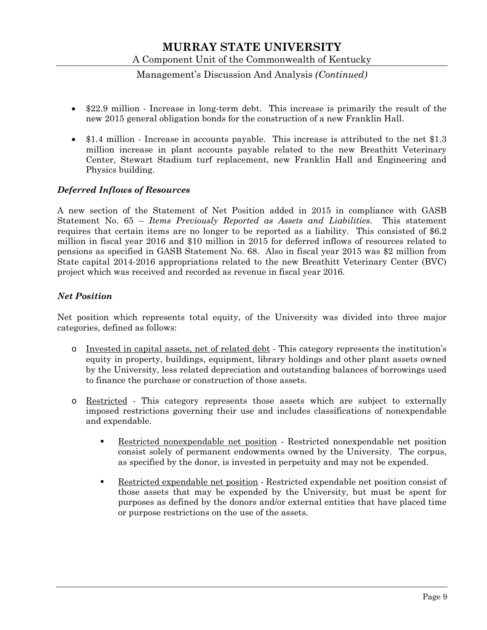## Management's Discussion And Analysis *(Continued)*

- \$22.9 million Increase in long-term debt. This increase is primarily the result of the new 2015 general obligation bonds for the construction of a new Franklin Hall.
- \$1.4 million Increase in accounts payable. This increase is attributed to the net \$1.3 million increase in plant accounts payable related to the new Breathitt Veterinary Center, Stewart Stadium turf replacement, new Franklin Hall and Engineering and Physics building.

### *Deferred Inflows of Resources*

A new section of the Statement of Net Position added in 2015 in compliance with GASB Statement No. 65 – *Items Previously Reported as Assets and Liabilities*. This statement requires that certain items are no longer to be reported as a liability. This consisted of \$6.2 million in fiscal year 2016 and \$10 million in 2015 for deferred inflows of resources related to pensions as specified in GASB Statement No. 68. Also in fiscal year 2015 was \$2 million from State capital 2014-2016 appropriations related to the new Breathitt Veterinary Center (BVC) project which was received and recorded as revenue in fiscal year 2016.

### *Net Position*

Net position which represents total equity, of the University was divided into three major categories, defined as follows:

- o Invested in capital assets, net of related debt This category represents the institution's equity in property, buildings, equipment, library holdings and other plant assets owned by the University, less related depreciation and outstanding balances of borrowings used to finance the purchase or construction of those assets.
- o Restricted This category represents those assets which are subject to externally imposed restrictions governing their use and includes classifications of nonexpendable and expendable.
	- Restricted nonexpendable net position Restricted nonexpendable net position consist solely of permanent endowments owned by the University. The corpus, as specified by the donor, is invested in perpetuity and may not be expended.
	- Restricted expendable net position Restricted expendable net position consist of those assets that may be expended by the University, but must be spent for purposes as defined by the donors and/or external entities that have placed time or purpose restrictions on the use of the assets.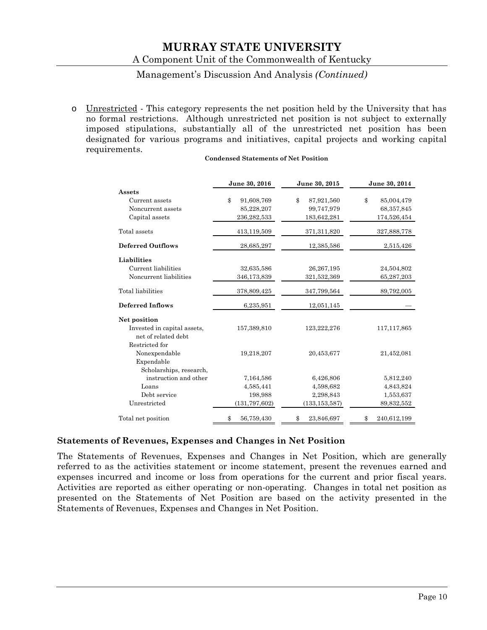### Management's Discussion And Analysis *(Continued)*

o Unrestricted - This category represents the net position held by the University that has no formal restrictions. Although unrestricted net position is not subject to externally imposed stipulations, substantially all of the unrestricted net position has been designated for various programs and initiatives, capital projects and working capital requirements.

#### **Condensed Statements of Net Position**

|                                                    | June 30, 2016    | June 30, 2015    | June 30, 2014               |
|----------------------------------------------------|------------------|------------------|-----------------------------|
| <b>Assets</b>                                      |                  |                  |                             |
| Current assets                                     | \$<br>91,608,769 | \$<br>87,921,560 | $\mathbf{\$}$<br>85,004,479 |
| Noncurrent assets                                  | 85,228,207       | 99,747,979       | 68,357,845                  |
| Capital assets                                     | 236,282,533      | 183,642,281      | 174,526,454                 |
| Total assets                                       | 413,119,509      | 371,311,820      | 327,888,778                 |
| <b>Deferred Outflows</b>                           | 28,685,297       | 12,385,586       | 2,515,426                   |
| <b>Liabilities</b>                                 |                  |                  |                             |
| Current liabilities                                | 32,635,586       | 26, 267, 195     | 24,504,802                  |
| Noncurrent liabilities                             | 346,173,839      | 321,532,369      | 65,287,203                  |
| Total liabilities                                  | 378,809,425      | 347,799,564      | 89,792,005                  |
| <b>Deferred Inflows</b>                            | 6,235,951        | 12,051,145       |                             |
| Net position                                       |                  |                  |                             |
| Invested in capital assets,<br>net of related debt | 157,389,810      | 123,222,276      | 117, 117, 865               |
| Restricted for                                     |                  |                  |                             |
| Nonexpendable                                      | 19,218,207       | 20,453,677       | 21,452,081                  |
| Expendable                                         |                  |                  |                             |
| Scholarships, research,                            |                  |                  |                             |
| instruction and other                              | 7,164,586        | 6,426,806        | 5,812,240                   |
| Loans                                              | 4,585,441        | 4,598,682        | 4,843,824                   |
| Debt service                                       | 198,988          | 2,298,843        | 1,553,637                   |
| Unrestricted                                       | (131, 797, 602)  | (133, 153, 587)  | 89,832,552                  |
| Total net position                                 | \$<br>56,759,430 | \$<br>23,846,697 | 240,612,199<br>\$           |

#### **Statements of Revenues, Expenses and Changes in Net Position**

The Statements of Revenues, Expenses and Changes in Net Position, which are generally referred to as the activities statement or income statement, present the revenues earned and expenses incurred and income or loss from operations for the current and prior fiscal years. Activities are reported as either operating or non-operating. Changes in total net position as presented on the Statements of Net Position are based on the activity presented in the Statements of Revenues, Expenses and Changes in Net Position.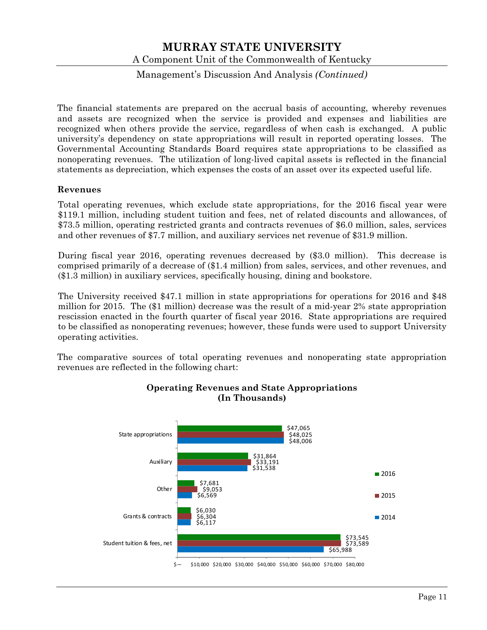Management's Discussion And Analysis *(Continued)*

The financial statements are prepared on the accrual basis of accounting, whereby revenues and assets are recognized when the service is provided and expenses and liabilities are recognized when others provide the service, regardless of when cash is exchanged. A public university's dependency on state appropriations will result in reported operating losses. The Governmental Accounting Standards Board requires state appropriations to be classified as nonoperating revenues. The utilization of long-lived capital assets is reflected in the financial statements as depreciation, which expenses the costs of an asset over its expected useful life.

### **Revenues**

Total operating revenues, which exclude state appropriations, for the 2016 fiscal year were \$119.1 million, including student tuition and fees, net of related discounts and allowances, of \$73.5 million, operating restricted grants and contracts revenues of \$6.0 million, sales, services and other revenues of \$7.7 million, and auxiliary services net revenue of \$31.9 million.

During fiscal year 2016, operating revenues decreased by (\$3.0 million). This decrease is comprised primarily of a decrease of (\$1.4 million) from sales, services, and other revenues, and (\$1.3 million) in auxiliary services, specifically housing, dining and bookstore.

The University received \$47.1 million in state appropriations for operations for 2016 and \$48 million for 2015. The (\$1 million) decrease was the result of a mid-year 2% state appropriation rescission enacted in the fourth quarter of fiscal year 2016. State appropriations are required to be classified as nonoperating revenues; however, these funds were used to support University operating activities.

The comparative sources of total operating revenues and nonoperating state appropriation revenues are reflected in the following chart:



### **Operating Revenues and State Appropriations (In Thousands)**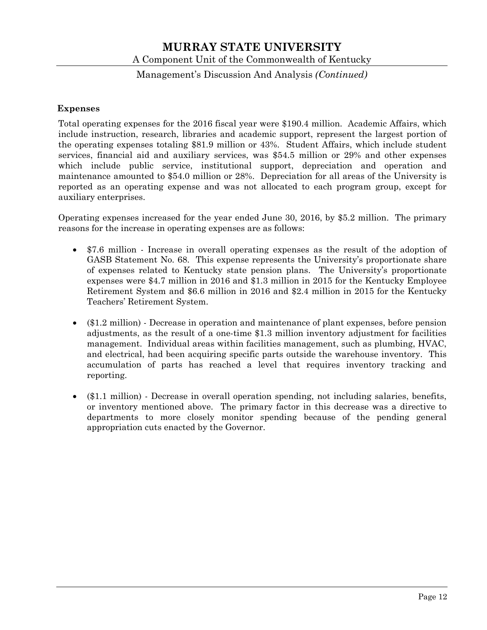### Management's Discussion And Analysis *(Continued)*

#### **Expenses**

Total operating expenses for the 2016 fiscal year were \$190.4 million. Academic Affairs, which include instruction, research, libraries and academic support, represent the largest portion of the operating expenses totaling \$81.9 million or 43%. Student Affairs, which include student services, financial aid and auxiliary services, was \$54.5 million or 29% and other expenses which include public service, institutional support, depreciation and operation and maintenance amounted to \$54.0 million or 28%. Depreciation for all areas of the University is reported as an operating expense and was not allocated to each program group, except for auxiliary enterprises.

Operating expenses increased for the year ended June 30, 2016, by \$5.2 million. The primary reasons for the increase in operating expenses are as follows:

- \$7.6 million Increase in overall operating expenses as the result of the adoption of GASB Statement No. 68. This expense represents the University's proportionate share of expenses related to Kentucky state pension plans. The University's proportionate expenses were \$4.7 million in 2016 and \$1.3 million in 2015 for the Kentucky Employee Retirement System and \$6.6 million in 2016 and \$2.4 million in 2015 for the Kentucky Teachers' Retirement System.
- (\$1.2 million) Decrease in operation and maintenance of plant expenses, before pension adjustments, as the result of a one-time \$1.3 million inventory adjustment for facilities management. Individual areas within facilities management, such as plumbing, HVAC, and electrical, had been acquiring specific parts outside the warehouse inventory. This accumulation of parts has reached a level that requires inventory tracking and reporting.
- (\$1.1 million) Decrease in overall operation spending, not including salaries, benefits, or inventory mentioned above. The primary factor in this decrease was a directive to departments to more closely monitor spending because of the pending general appropriation cuts enacted by the Governor.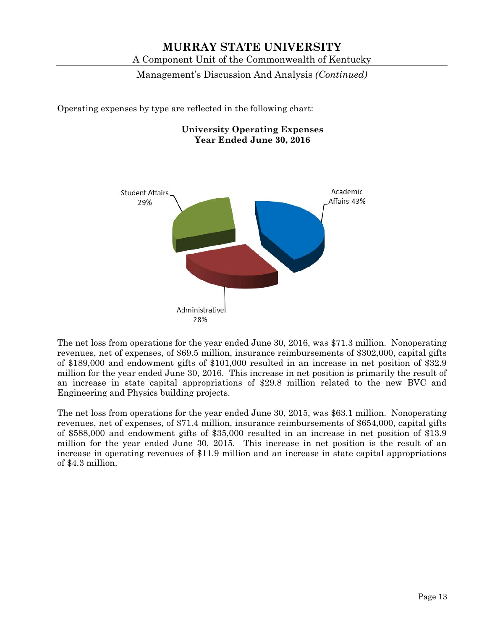Management's Discussion And Analysis *(Continued)*

Operating expenses by type are reflected in the following chart:

**University Operating Expenses Year Ended June 30, 2016** 



The net loss from operations for the year ended June 30, 2016, was \$71.3 million. Nonoperating revenues, net of expenses, of \$69.5 million, insurance reimbursements of \$302,000, capital gifts of \$189,000 and endowment gifts of \$101,000 resulted in an increase in net position of \$32.9 million for the year ended June 30, 2016. This increase in net position is primarily the result of an increase in state capital appropriations of \$29.8 million related to the new BVC and Engineering and Physics building projects.

The net loss from operations for the year ended June 30, 2015, was \$63.1 million. Nonoperating revenues, net of expenses, of \$71.4 million, insurance reimbursements of \$654,000, capital gifts of \$588,000 and endowment gifts of \$35,000 resulted in an increase in net position of \$13.9 million for the year ended June 30, 2015. This increase in net position is the result of an increase in operating revenues of \$11.9 million and an increase in state capital appropriations of \$4.3 million.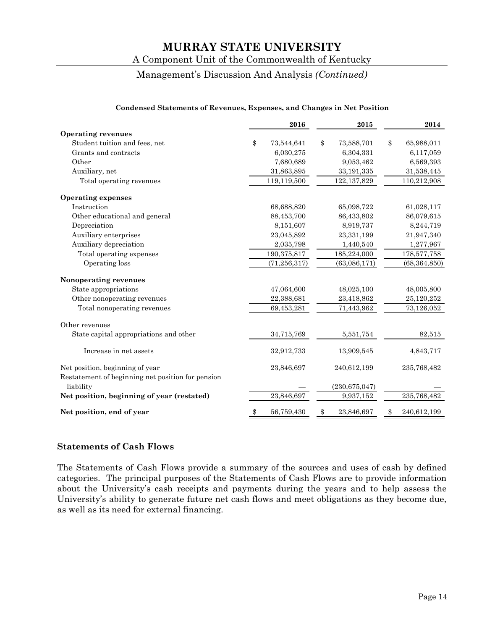# A Component Unit of the Commonwealth of Kentucky

## Management's Discussion And Analysis *(Continued)*

| Condensed Statements of Revenues, Expenses, and Changes in Net Position                                                                                                                                                           |    |                |    |                    |    |                |
|-----------------------------------------------------------------------------------------------------------------------------------------------------------------------------------------------------------------------------------|----|----------------|----|--------------------|----|----------------|
|                                                                                                                                                                                                                                   |    | 2016           |    | 2015               |    | 2014           |
| <b>Operating revenues</b>                                                                                                                                                                                                         |    |                |    |                    |    |                |
| Student tuition and fees, net                                                                                                                                                                                                     | \$ | 73,544,641     | \$ | 73,588,701         | \$ | 65,988,011     |
| Grants and contracts                                                                                                                                                                                                              |    | 6,030,275      |    | 6,304,331          |    | 6,117,059      |
| Other                                                                                                                                                                                                                             |    | 7,680,689      |    | 9,053,462          |    | 6,569,393      |
| Auxiliary, net                                                                                                                                                                                                                    |    | 31,863,895     |    | 33,191,335         |    | 31,538,445     |
| Total operating revenues                                                                                                                                                                                                          |    | 119,119,500    |    | 122, 137, 829      |    | 110,212,908    |
| <b>Operating expenses</b>                                                                                                                                                                                                         |    |                |    |                    |    |                |
| Instruction                                                                                                                                                                                                                       |    | 68,688,820     |    | 65,098,722         |    | 61,028,117     |
| Other educational and general                                                                                                                                                                                                     |    | 88,453,700     |    | 86,433,802         |    | 86,079,615     |
| Depreciation                                                                                                                                                                                                                      |    | 8,151,607      |    | 8,919,737          |    | 8,244,719      |
| Auxiliary enterprises                                                                                                                                                                                                             |    | 23,045,892     |    | 23,331,199         |    | 21,947,340     |
| Auxiliary depreciation                                                                                                                                                                                                            |    | 2,035,798      |    | 1,440,540          |    | 1,277,967      |
| Total operating expenses                                                                                                                                                                                                          |    | 190,375,817    |    | 185,224,000        |    | 178,577,758    |
| Operating loss                                                                                                                                                                                                                    |    | (71, 256, 317) |    | (63,086,171)       |    | (68, 364, 850) |
| Nonoperating revenues                                                                                                                                                                                                             |    |                |    |                    |    |                |
| State appropriations                                                                                                                                                                                                              |    | 47,064,600     |    | 48,025,100         |    | 48,005,800     |
| Other nonoperating revenues                                                                                                                                                                                                       |    | 22,388,681     |    | 23,418,862         |    | 25,120,252     |
| Total nonoperating revenues                                                                                                                                                                                                       |    | 69,453,281     |    | 71,443,962         |    | 73,126,052     |
| Other revenues                                                                                                                                                                                                                    |    |                |    |                    |    |                |
| State capital appropriations and other                                                                                                                                                                                            |    | 34,715,769     |    | 5,551,754          |    | 82,515         |
| $\mathbf{r}$ and the set of the set of the set of the set of the set of the set of the set of the set of the set of the set of the set of the set of the set of the set of the set of the set of the set of the set of the set of |    | 00.010.700     |    | $10.000 \text{ F}$ |    | 1.010.717      |

#### **Condensed Statements of Revenues, Expenses, and Changes in Net Position**

| Increase in net assets                                                               | 32,912,733 | 13,909,545      | 4,843,717   |
|--------------------------------------------------------------------------------------|------------|-----------------|-------------|
| Net position, beginning of year<br>Restatement of beginning net position for pension | 23,846,697 | 240,612,199     | 235,768,482 |
| liability                                                                            |            | (230, 675, 047) |             |
| Net position, beginning of year (restated)                                           | 23,846,697 | 9,937,152       | 235,768,482 |
| Net position, end of year                                                            | 56,759,430 | 23,846,697      | 240,612,199 |

#### **Statements of Cash Flows**

The Statements of Cash Flows provide a summary of the sources and uses of cash by defined categories. The principal purposes of the Statements of Cash Flows are to provide information about the University's cash receipts and payments during the years and to help assess the University's ability to generate future net cash flows and meet obligations as they become due, as well as its need for external financing.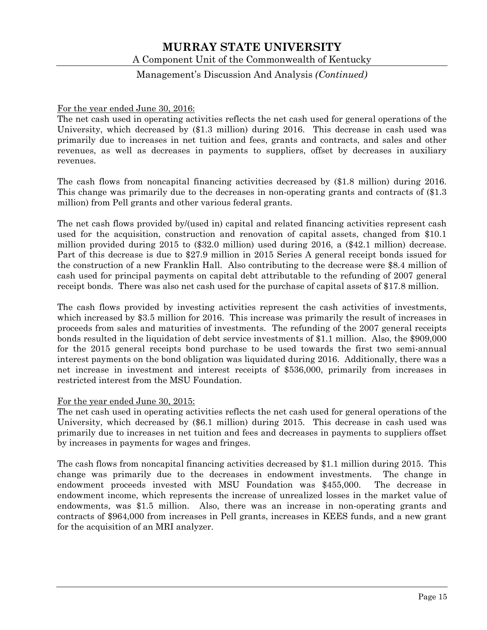### Management's Discussion And Analysis *(Continued)*

#### For the year ended June 30, 2016:

The net cash used in operating activities reflects the net cash used for general operations of the University, which decreased by (\$1.3 million) during 2016. This decrease in cash used was primarily due to increases in net tuition and fees, grants and contracts, and sales and other revenues, as well as decreases in payments to suppliers, offset by decreases in auxiliary revenues.

The cash flows from noncapital financing activities decreased by (\$1.8 million) during 2016. This change was primarily due to the decreases in non-operating grants and contracts of (\$1.3 million) from Pell grants and other various federal grants.

The net cash flows provided by/(used in) capital and related financing activities represent cash used for the acquisition, construction and renovation of capital assets, changed from \$10.1 million provided during 2015 to (\$32.0 million) used during 2016, a (\$42.1 million) decrease. Part of this decrease is due to \$27.9 million in 2015 Series A general receipt bonds issued for the construction of a new Franklin Hall. Also contributing to the decrease were \$8.4 million of cash used for principal payments on capital debt attributable to the refunding of 2007 general receipt bonds. There was also net cash used for the purchase of capital assets of \$17.8 million.

The cash flows provided by investing activities represent the cash activities of investments, which increased by \$3.5 million for 2016. This increase was primarily the result of increases in proceeds from sales and maturities of investments. The refunding of the 2007 general receipts bonds resulted in the liquidation of debt service investments of \$1.1 million. Also, the \$909,000 for the 2015 general receipts bond purchase to be used towards the first two semi-annual interest payments on the bond obligation was liquidated during 2016. Additionally, there was a net increase in investment and interest receipts of \$536,000, primarily from increases in restricted interest from the MSU Foundation.

#### For the year ended June 30, 2015:

The net cash used in operating activities reflects the net cash used for general operations of the University, which decreased by (\$6.1 million) during 2015. This decrease in cash used was primarily due to increases in net tuition and fees and decreases in payments to suppliers offset by increases in payments for wages and fringes.

The cash flows from noncapital financing activities decreased by \$1.1 million during 2015. This change was primarily due to the decreases in endowment investments. The change in endowment proceeds invested with MSU Foundation was \$455,000. The decrease in endowment income, which represents the increase of unrealized losses in the market value of endowments, was \$1.5 million. Also, there was an increase in non-operating grants and contracts of \$964,000 from increases in Pell grants, increases in KEES funds, and a new grant for the acquisition of an MRI analyzer.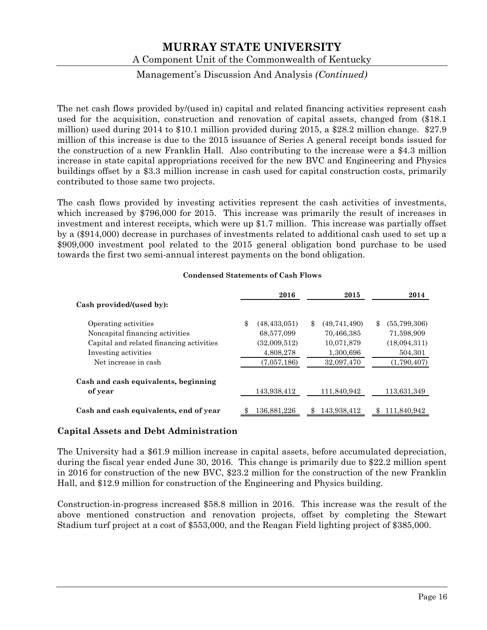A Component Unit of the Commonwealth of Kentucky

### Management's Discussion And Analysis *(Continued)*

The net cash flows provided by/(used in) capital and related financing activities represent cash used for the acquisition, construction and renovation of capital assets, changed from (\$18.1 million) used during 2014 to \$10.1 million provided during 2015, a \$28.2 million change. \$27.9 million of this increase is due to the 2015 issuance of Series A general receipt bonds issued for the construction of a new Franklin Hall. Also contributing to the increase were a \$4.3 million increase in state capital appropriations received for the new BVC and Engineering and Physics buildings offset by a \$3.3 million increase in cash used for capital construction costs, primarily contributed to those same two projects.

The cash flows provided by investing activities represent the cash activities of investments, which increased by \$796,000 for 2015. This increase was primarily the result of increases in investment and interest receipts, which were up \$1.7 million. This increase was partially offset by a (\$914,000) decrease in purchases of investments related to additional cash used to set up a \$909,000 investment pool related to the 2015 general obligation bond purchase to be used towards the first two semi-annual interest payments on the bond obligation.

|                                          | 2016                 | 2015               |     | 2014         |
|------------------------------------------|----------------------|--------------------|-----|--------------|
| Cash provided/(used by):                 |                      |                    |     |              |
| Operating activities                     | \$<br>(48, 433, 051) | \$<br>(49,741,490) | \$. | (55,799,306) |
| Noncapital financing activities          | 68,577,099           | 70,466,385         |     | 71,598,909   |
| Capital and related financing activities | (32,009,512)         | 10,071,879         |     | (18,094,311) |
| Investing activities                     | 4,808,278            | 1,300,696          |     | 504,301      |
| Net increase in cash                     | (7,057,186)          | 32,097,470         |     | (1,790,407)  |
| Cash and cash equivalents, beginning     |                      |                    |     |              |
| of year                                  | 143,938,412          | 111.840.942        |     | 113,631,349  |
| Cash and cash equivalents, end of year   | 136,881,226          | 143,938,412        |     | 111.840.942  |

#### **Condensed Statements of Cash Flows**

#### **Capital Assets and Debt Administration**

The University had a \$61.9 million increase in capital assets, before accumulated depreciation, during the fiscal year ended June 30, 2016. This change is primarily due to \$22.2 million spent in 2016 for construction of the new BVC, \$23.2 million for the construction of the new Franklin Hall, and \$12.9 million for construction of the Engineering and Physics building.

Construction-in-progress increased \$58.8 million in 2016. This increase was the result of the above mentioned construction and renovation projects, offset by completing the Stewart Stadium turf project at a cost of \$553,000, and the Reagan Field lighting project of \$385,000.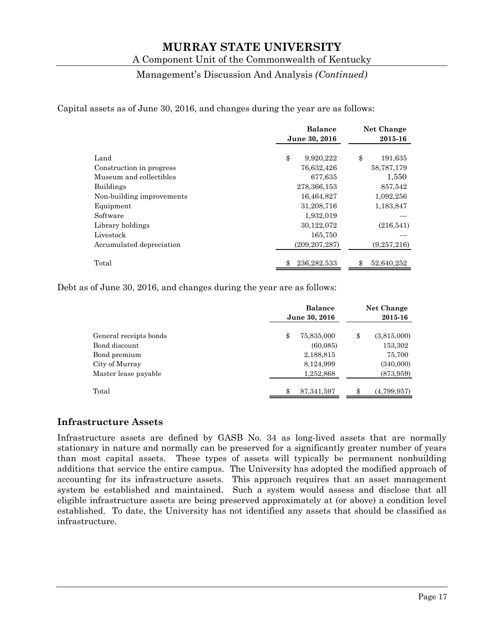A Component Unit of the Commonwealth of Kentucky

#### Management's Discussion And Analysis *(Continued)*

Capital assets as of June 30, 2016, and changes during the year are as follows:

|                           | <b>Balance</b>  | <b>Net Change</b> |
|---------------------------|-----------------|-------------------|
|                           | June 30, 2016   | 2015-16           |
|                           |                 |                   |
| Land                      | \$<br>9,920,222 | \$<br>191,635     |
| Construction in progress  | 76,632,426      | 58,787,179        |
| Museum and collectibles   | 677,635         | 1,550             |
| <b>Buildings</b>          | 278, 366, 153   | 857,542           |
| Non-building improvements | 16,464,827      | 1,092,256         |
| Equipment                 | 31,208,716      | 1,183,847         |
| Software                  | 1,932,019       |                   |
| Library holdings          | 30,122,072      | (216,541)         |
| Livestock                 | 165,750         |                   |
| Accumulated depreciation  | (209, 207, 287) | (9,257,216)       |
| Total                     | 236, 282, 533   | 52,640,252        |

Debt as of June 30, 2016, and changes during the year are as follows:

|                        | <b>Balance</b><br>June 30, 2016 | Net Change<br>2015-16 |
|------------------------|---------------------------------|-----------------------|
| General receipts bonds | \$<br>75,835,000                | \$<br>(3,815,000)     |
| Bond discount          | (60,085)                        | 153,302               |
| Bond premium           | 2,188,815                       | 75,700                |
| City of Murray         | 8,124,999                       | (340,000)             |
| Master lease payable   | 1,252,868                       | (873, 959)            |
| Total                  | \$<br>87, 341, 597              | \$<br>(4,799,957)     |

### **Infrastructure Assets**

Infrastructure assets are defined by GASB No. 34 as long-lived assets that are normally stationary in nature and normally can be preserved for a significantly greater number of years than most capital assets. These types of assets will typically be permanent nonbuilding additions that service the entire campus. The University has adopted the modified approach of accounting for its infrastructure assets. This approach requires that an asset management system be established and maintained. Such a system would assess and disclose that all eligible infrastructure assets are being preserved approximately at (or above) a condition level established. To date, the University has not identified any assets that should be classified as infrastructure.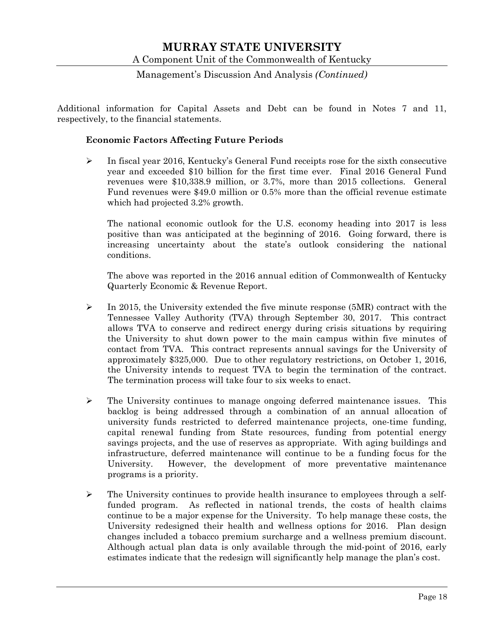### Management's Discussion And Analysis *(Continued)*

Additional information for Capital Assets and Debt can be found in Notes 7 and 11, respectively, to the financial statements.

#### **Economic Factors Affecting Future Periods**

 $\triangleright$  In fiscal year 2016, Kentucky's General Fund receipts rose for the sixth consecutive year and exceeded \$10 billion for the first time ever. Final 2016 General Fund revenues were \$10,338.9 million, or 3.7%, more than 2015 collections. General Fund revenues were \$49.0 million or 0.5% more than the official revenue estimate which had projected 3.2% growth.

The national economic outlook for the U.S. economy heading into 2017 is less positive than was anticipated at the beginning of 2016. Going forward, there is increasing uncertainty about the state's outlook considering the national conditions.

The above was reported in the 2016 annual edition of Commonwealth of Kentucky Quarterly Economic & Revenue Report.

- $\triangleright$  In 2015, the University extended the five minute response (5MR) contract with the Tennessee Valley Authority (TVA) through September 30, 2017. This contract allows TVA to conserve and redirect energy during crisis situations by requiring the University to shut down power to the main campus within five minutes of contact from TVA. This contract represents annual savings for the University of approximately \$325,000. Due to other regulatory restrictions, on October 1, 2016, the University intends to request TVA to begin the termination of the contract. The termination process will take four to six weeks to enact.
- $\triangleright$  The University continues to manage ongoing deferred maintenance issues. This backlog is being addressed through a combination of an annual allocation of university funds restricted to deferred maintenance projects, one-time funding, capital renewal funding from State resources, funding from potential energy savings projects, and the use of reserves as appropriate. With aging buildings and infrastructure, deferred maintenance will continue to be a funding focus for the University. However, the development of more preventative maintenance programs is a priority.
- The University continues to provide health insurance to employees through a selffunded program. As reflected in national trends, the costs of health claims continue to be a major expense for the University. To help manage these costs, the University redesigned their health and wellness options for 2016. Plan design changes included a tobacco premium surcharge and a wellness premium discount. Although actual plan data is only available through the mid-point of 2016, early estimates indicate that the redesign will significantly help manage the plan's cost.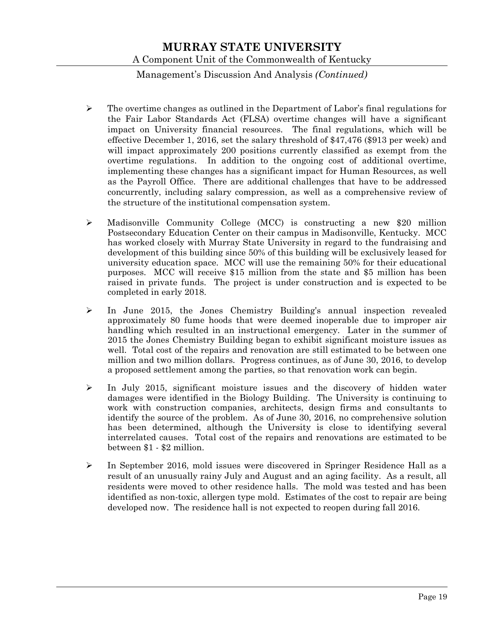## Management's Discussion And Analysis *(Continued)*

- $\triangleright$  The overtime changes as outlined in the Department of Labor's final regulations for the Fair Labor Standards Act (FLSA) overtime changes will have a significant impact on University financial resources. The final regulations, which will be effective December 1, 2016, set the salary threshold of \$47,476 (\$913 per week) and will impact approximately 200 positions currently classified as exempt from the overtime regulations. In addition to the ongoing cost of additional overtime, implementing these changes has a significant impact for Human Resources, as well as the Payroll Office. There are additional challenges that have to be addressed concurrently, including salary compression, as well as a comprehensive review of the structure of the institutional compensation system.
- Madisonville Community College (MCC) is constructing a new \$20 million Postsecondary Education Center on their campus in Madisonville, Kentucky. MCC has worked closely with Murray State University in regard to the fundraising and development of this building since 50% of this building will be exclusively leased for university education space. MCC will use the remaining 50% for their educational purposes. MCC will receive \$15 million from the state and \$5 million has been raised in private funds. The project is under construction and is expected to be completed in early 2018.
- In June 2015, the Jones Chemistry Building's annual inspection revealed approximately 80 fume hoods that were deemed inoperable due to improper air handling which resulted in an instructional emergency. Later in the summer of 2015 the Jones Chemistry Building began to exhibit significant moisture issues as well. Total cost of the repairs and renovation are still estimated to be between one million and two million dollars. Progress continues, as of June 30, 2016, to develop a proposed settlement among the parties, so that renovation work can begin.
- $\triangleright$  In July 2015, significant moisture issues and the discovery of hidden water damages were identified in the Biology Building. The University is continuing to work with construction companies, architects, design firms and consultants to identify the source of the problem. As of June 30, 2016, no comprehensive solution has been determined, although the University is close to identifying several interrelated causes. Total cost of the repairs and renovations are estimated to be between \$1 - \$2 million.
- $\triangleright$  In September 2016, mold issues were discovered in Springer Residence Hall as a result of an unusually rainy July and August and an aging facility. As a result, all residents were moved to other residence halls. The mold was tested and has been identified as non-toxic, allergen type mold. Estimates of the cost to repair are being developed now. The residence hall is not expected to reopen during fall 2016.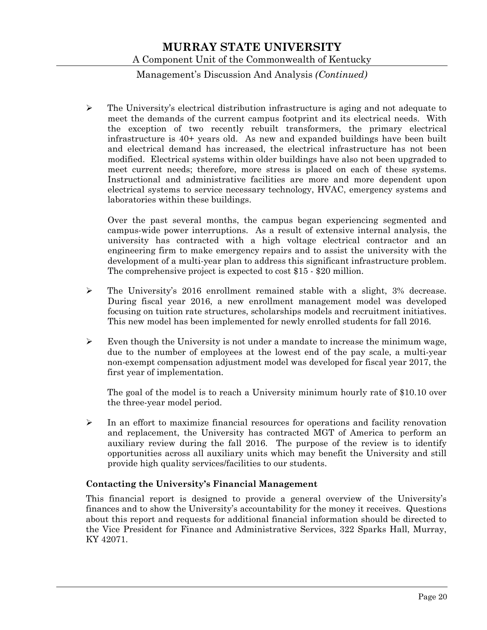### Management's Discussion And Analysis *(Continued)*

 $\triangleright$  The University's electrical distribution infrastructure is aging and not adequate to meet the demands of the current campus footprint and its electrical needs. With the exception of two recently rebuilt transformers, the primary electrical infrastructure is 40+ years old. As new and expanded buildings have been built and electrical demand has increased, the electrical infrastructure has not been modified. Electrical systems within older buildings have also not been upgraded to meet current needs; therefore, more stress is placed on each of these systems. Instructional and administrative facilities are more and more dependent upon electrical systems to service necessary technology, HVAC, emergency systems and laboratories within these buildings.

Over the past several months, the campus began experiencing segmented and campus-wide power interruptions. As a result of extensive internal analysis, the university has contracted with a high voltage electrical contractor and an engineering firm to make emergency repairs and to assist the university with the development of a multi-year plan to address this significant infrastructure problem. The comprehensive project is expected to cost \$15 - \$20 million.

- $\triangleright$  The University's 2016 enrollment remained stable with a slight, 3% decrease. During fiscal year 2016, a new enrollment management model was developed focusing on tuition rate structures, scholarships models and recruitment initiatives. This new model has been implemented for newly enrolled students for fall 2016.
- $\triangleright$  Even though the University is not under a mandate to increase the minimum wage, due to the number of employees at the lowest end of the pay scale, a multi-year non-exempt compensation adjustment model was developed for fiscal year 2017, the first year of implementation.

The goal of the model is to reach a University minimum hourly rate of \$10.10 over the three-year model period.

 $\triangleright$  In an effort to maximize financial resources for operations and facility renovation and replacement, the University has contracted MGT of America to perform an auxiliary review during the fall 2016. The purpose of the review is to identify opportunities across all auxiliary units which may benefit the University and still provide high quality services/facilities to our students.

#### **Contacting the University's Financial Management**

This financial report is designed to provide a general overview of the University's finances and to show the University's accountability for the money it receives. Questions about this report and requests for additional financial information should be directed to the Vice President for Finance and Administrative Services, 322 Sparks Hall, Murray, KY 42071.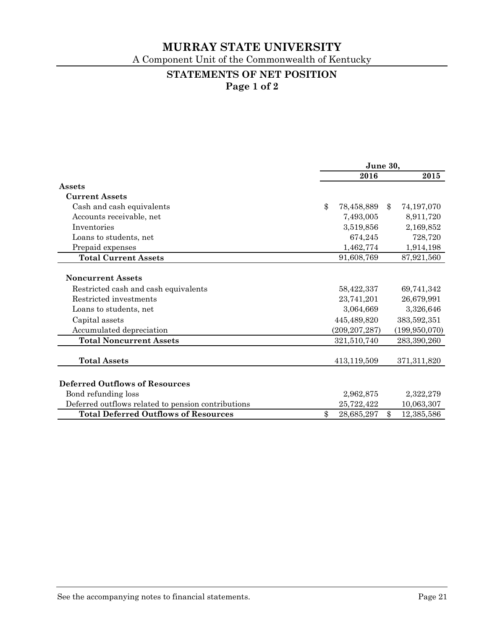A Component Unit of the Commonwealth of Kentucky

## **STATEMENTS OF NET POSITION Page 1 of 2**

|                                                    | June 30,      |                 |                            |                 |
|----------------------------------------------------|---------------|-----------------|----------------------------|-----------------|
|                                                    |               | 2016            |                            | 2015            |
| Assets                                             |               |                 |                            |                 |
| <b>Current Assets</b>                              |               |                 |                            |                 |
| Cash and cash equivalents                          | $\mathcal{S}$ | 78,458,889      | \$                         | 74,197,070      |
| Accounts receivable, net                           |               | 7,493,005       |                            | 8,911,720       |
| Inventories                                        |               | 3,519,856       |                            | 2,169,852       |
| Loans to students, net                             |               | 674,245         |                            | 728,720         |
| Prepaid expenses                                   |               | 1,462,774       |                            | 1,914,198       |
| <b>Total Current Assets</b>                        |               | 91,608,769      |                            | 87,921,560      |
|                                                    |               |                 |                            |                 |
| <b>Noncurrent Assets</b>                           |               |                 |                            |                 |
| Restricted cash and cash equivalents               |               | 58,422,337      |                            | 69,741,342      |
| Restricted investments                             |               | 23,741,201      |                            | 26,679,991      |
| Loans to students, net                             |               | 3,064,669       |                            | 3,326,646       |
| Capital assets                                     |               | 445,489,820     |                            | 383,592,351     |
| Accumulated depreciation                           |               | (209, 207, 287) |                            | (199, 950, 070) |
| <b>Total Noncurrent Assets</b>                     |               | 321,510,740     |                            | 283,390,260     |
|                                                    |               |                 |                            |                 |
| <b>Total Assets</b>                                |               | 413,119,509     |                            | 371, 311, 820   |
|                                                    |               |                 |                            |                 |
| <b>Deferred Outflows of Resources</b>              |               |                 |                            |                 |
| Bond refunding loss                                |               | 2,962,875       |                            | 2,322,279       |
| Deferred outflows related to pension contributions |               | 25,722,422      |                            | 10,063,307      |
| <b>Total Deferred Outflows of Resources</b>        | \$            | 28,685,297      | $\boldsymbol{\mathsf{\$}}$ | 12,385,586      |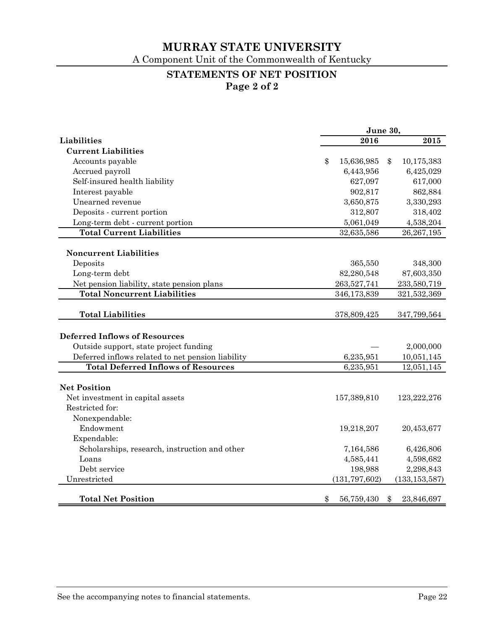A Component Unit of the Commonwealth of Kentucky

# **STATEMENTS OF NET POSITION**

**Page 2 of 2** 

|                                                   | June 30, |                 |    |                 |
|---------------------------------------------------|----------|-----------------|----|-----------------|
| Liabilities                                       |          | 2016            |    | 2015            |
| <b>Current Liabilities</b>                        |          |                 |    |                 |
| Accounts payable                                  | \$       | 15,636,985      | \$ | 10,175,383      |
| Accrued payroll                                   |          | 6,443,956       |    | 6,425,029       |
| Self-insured health liability                     |          | 627,097         |    | 617,000         |
| Interest payable                                  |          | 902,817         |    | 862,884         |
| Unearned revenue                                  |          | 3,650,875       |    | 3,330,293       |
| Deposits - current portion                        |          | 312,807         |    | 318,402         |
| Long-term debt - current portion                  |          | 5,061,049       |    | 4,538,204       |
| <b>Total Current Liabilities</b>                  |          | 32,635,586      |    | 26,267,195      |
|                                                   |          |                 |    |                 |
| <b>Noncurrent Liabilities</b>                     |          |                 |    |                 |
| Deposits                                          |          | 365,550         |    | 348,300         |
| Long-term debt                                    |          | 82,280,548      |    | 87,603,350      |
| Net pension liability, state pension plans        |          | 263,527,741     |    | 233,580,719     |
| <b>Total Noncurrent Liabilities</b>               |          | 346,173,839     |    | 321,532,369     |
| <b>Total Liabilities</b>                          |          | 378,809,425     |    | 347,799,564     |
|                                                   |          |                 |    |                 |
| <b>Deferred Inflows of Resources</b>              |          |                 |    |                 |
| Outside support, state project funding            |          |                 |    | 2,000,000       |
| Deferred inflows related to net pension liability |          | 6,235,951       |    | 10,051,145      |
| <b>Total Deferred Inflows of Resources</b>        |          | 6,235,951       |    | 12,051,145      |
|                                                   |          |                 |    |                 |
| <b>Net Position</b>                               |          |                 |    |                 |
| Net investment in capital assets                  |          | 157,389,810     |    | 123,222,276     |
| Restricted for:                                   |          |                 |    |                 |
| Nonexpendable:                                    |          |                 |    |                 |
| Endowment                                         |          | 19,218,207      |    | 20,453,677      |
| Expendable:                                       |          |                 |    |                 |
| Scholarships, research, instruction and other     |          | 7,164,586       |    | 6,426,806       |
| Loans                                             |          | 4,585,441       |    | 4,598,682       |
| Debt service                                      |          | 198,988         |    | 2,298,843       |
| Unrestricted                                      |          | (131, 797, 602) |    | (133, 153, 587) |
|                                                   |          |                 |    |                 |
| <b>Total Net Position</b>                         | \$       | 56,759,430      | \$ | 23,846,697      |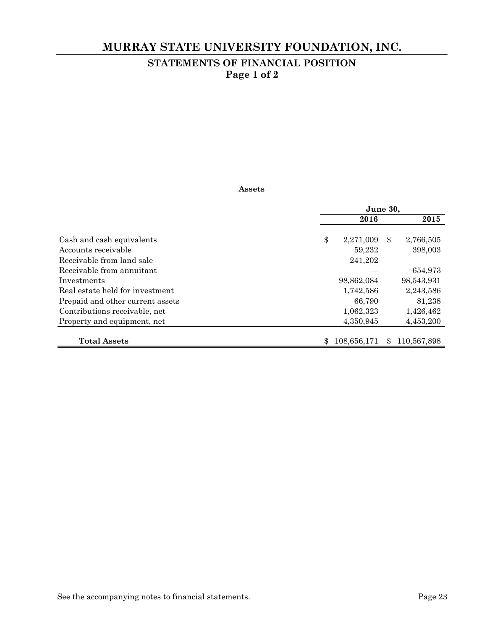# **MURRAY STATE UNIVERSITY FOUNDATION, INC.**

# **STATEMENTS OF FINANCIAL POSITION Page 1 of 2**

#### **Assets**

|                                  | June 30, |             |    |             |
|----------------------------------|----------|-------------|----|-------------|
|                                  |          | 2016        |    | 2015        |
|                                  |          |             |    |             |
| Cash and cash equivalents        | \$       | 2,271,009   | \$ | 2,766,505   |
| Accounts receivable              |          | 59,232      |    | 398,003     |
| Receivable from land sale        |          | 241,202     |    |             |
| Receivable from annuitant        |          |             |    | 654,973     |
| Investments                      |          | 98,862,084  |    | 98,543,931  |
| Real estate held for investment  |          | 1,742,586   |    | 2,243,586   |
| Prepaid and other current assets |          | 66,790      |    | 81,238      |
| Contributions receivable, net    |          | 1,062,323   |    | 1,426,462   |
| Property and equipment, net      |          | 4,350,945   |    | 4,453,200   |
|                                  |          |             |    |             |
| <b>Total Assets</b>              |          | 108,656,171 | \$ | 110,567,898 |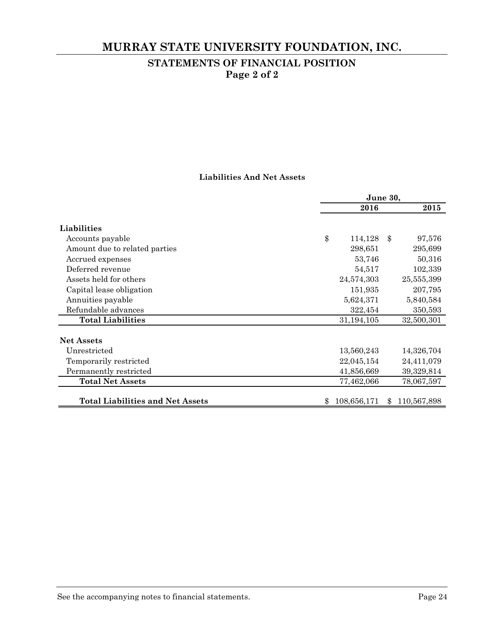# **MURRAY STATE UNIVERSITY FOUNDATION, INC.**

# **STATEMENTS OF FINANCIAL POSITION Page 2 of 2**

### **Liabilities And Net Assets**

|                                         | June 30,      |     |             |  |  |
|-----------------------------------------|---------------|-----|-------------|--|--|
|                                         | 2016          |     | 2015        |  |  |
| Liabilities                             |               |     |             |  |  |
| Accounts payable                        | \$<br>114,128 | -\$ | 97,576      |  |  |
| Amount due to related parties           | 298,651       |     | 295,699     |  |  |
| Accrued expenses                        | 53,746        |     | 50,316      |  |  |
| Deferred revenue                        | 54,517        |     | 102,339     |  |  |
| Assets held for others                  | 24,574,303    |     | 25,555,399  |  |  |
| Capital lease obligation                | 151,935       |     | 207,795     |  |  |
| Annuities payable                       | 5,624,371     |     | 5,840,584   |  |  |
| Refundable advances                     | 322,454       |     | 350,593     |  |  |
| <b>Total Liabilities</b>                | 31,194,105    |     | 32,500,301  |  |  |
| <b>Net Assets</b>                       |               |     |             |  |  |
| Unrestricted                            | 13,560,243    |     | 14,326,704  |  |  |
| Temporarily restricted                  | 22,045,154    |     | 24,411,079  |  |  |
| Permanently restricted                  | 41,856,669    |     | 39,329,814  |  |  |
| <b>Total Net Assets</b>                 | 77,462,066    |     | 78,067,597  |  |  |
| <b>Total Liabilities and Net Assets</b> | 108,656,171   | \$. | 110,567,898 |  |  |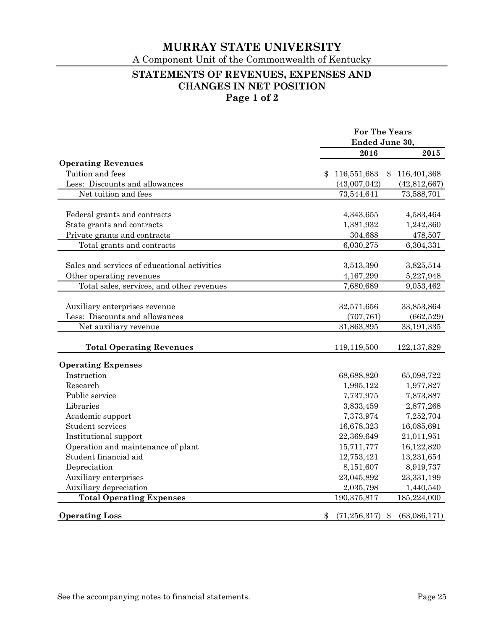A Component Unit of the Commonwealth of Kentucky

## **STATEMENTS OF REVENUES, EXPENSES AND CHANGES IN NET POSITION Page 1 of 2**

|                                              |                      | <b>For The Years</b> |  |  |  |
|----------------------------------------------|----------------------|----------------------|--|--|--|
|                                              |                      | Ended June 30,       |  |  |  |
|                                              | 2016                 | 2015                 |  |  |  |
| <b>Operating Revenues</b>                    |                      |                      |  |  |  |
| Tuition and fees                             | 116,551,683          | 116,401,368<br>\$    |  |  |  |
| Less: Discounts and allowances               | (43,007,042)         | (42, 812, 667)       |  |  |  |
| Net tuition and fees                         | 73,544,641           | 73,588,701           |  |  |  |
| Federal grants and contracts                 | 4,343,655            | 4,583,464            |  |  |  |
| State grants and contracts                   | 1,381,932            | 1,242,360            |  |  |  |
| Private grants and contracts                 | 304,688              | 478,507              |  |  |  |
| Total grants and contracts                   | 6,030,275            | 6,304,331            |  |  |  |
|                                              |                      |                      |  |  |  |
| Sales and services of educational activities | 3,513,390            | 3,825,514            |  |  |  |
| Other operating revenues                     | 4,167,299            | 5,227,948            |  |  |  |
| Total sales, services, and other revenues    | 7,680,689            | 9,053,462            |  |  |  |
|                                              |                      |                      |  |  |  |
| Auxiliary enterprises revenue                | 32,571,656           | 33,853,864           |  |  |  |
| Less: Discounts and allowances               | (707, 761)           | (662, 529)           |  |  |  |
| Net auxiliary revenue                        | 31,863,895           | 33,191,335           |  |  |  |
| <b>Total Operating Revenues</b>              | 119,119,500          | 122, 137, 829        |  |  |  |
| <b>Operating Expenses</b>                    |                      |                      |  |  |  |
| Instruction                                  | 68,688,820           | 65,098,722           |  |  |  |
| Research                                     | 1,995,122            | 1,977,827            |  |  |  |
| Public service                               | 7,737,975            | 7,873,887            |  |  |  |
| Libraries                                    | 3,833,459            | 2,877,268            |  |  |  |
| Academic support                             | 7,373,974            | 7,252,704            |  |  |  |
| Student services                             | 16,678,323           | 16,085,691           |  |  |  |
| Institutional support                        | 22,369,649           | 21,011,951           |  |  |  |
| Operation and maintenance of plant           | 15,711,777           | 16,122,820           |  |  |  |
| Student financial aid                        | 12,753,421           | 13,231,654           |  |  |  |
| Depreciation                                 | 8,151,607            | 8,919,737            |  |  |  |
| Auxiliary enterprises                        | 23,045,892           | 23,331,199           |  |  |  |
| Auxiliary depreciation                       | 2,035,798            | 1,440,540            |  |  |  |
| <b>Total Operating Expenses</b>              | 190,375,817          | 185,224,000          |  |  |  |
| <b>Operating Loss</b>                        | \$<br>(71, 256, 317) | (63,086,171)<br>\$   |  |  |  |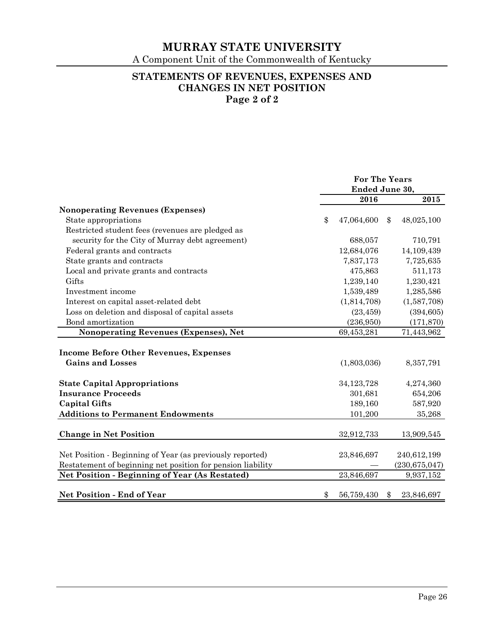A Component Unit of the Commonwealth of Kentucky

## **STATEMENTS OF REVENUES, EXPENSES AND CHANGES IN NET POSITION Page 2 of 2**

|                                                             | <b>For The Years</b><br>Ended June 30, |              |     |                 |  |
|-------------------------------------------------------------|----------------------------------------|--------------|-----|-----------------|--|
|                                                             |                                        | 2016         |     | 2015            |  |
| <b>Nonoperating Revenues (Expenses)</b>                     |                                        |              |     |                 |  |
| State appropriations                                        | \$                                     | 47,064,600   | \$  | 48,025,100      |  |
| Restricted student fees (revenues are pledged as            |                                        |              |     |                 |  |
| security for the City of Murray debt agreement)             |                                        | 688,057      |     | 710,791         |  |
| Federal grants and contracts                                |                                        | 12,684,076   |     | 14,109,439      |  |
| State grants and contracts                                  |                                        | 7,837,173    |     | 7,725,635       |  |
| Local and private grants and contracts                      |                                        | 475,863      |     | 511,173         |  |
| Gifts                                                       |                                        | 1,239,140    |     | 1,230,421       |  |
| Investment income                                           |                                        | 1,539,489    |     | 1,285,586       |  |
| Interest on capital asset-related debt                      |                                        | (1,814,708)  |     | (1,587,708)     |  |
| Loss on deletion and disposal of capital assets             |                                        | (23, 459)    |     | (394, 605)      |  |
| Bond amortization                                           |                                        | (236,950)    |     | (171, 870)      |  |
| Nonoperating Revenues (Expenses), Net                       |                                        | 69,453,281   |     | 71,443,962      |  |
|                                                             |                                        |              |     |                 |  |
| <b>Income Before Other Revenues, Expenses</b>               |                                        |              |     |                 |  |
| <b>Gains and Losses</b>                                     |                                        | (1,803,036)  |     | 8,357,791       |  |
| <b>State Capital Appropriations</b>                         |                                        | 34, 123, 728 |     | 4,274,360       |  |
| <b>Insurance Proceeds</b>                                   |                                        | 301,681      |     | 654,206         |  |
| <b>Capital Gifts</b>                                        |                                        | 189,160      |     | 587,920         |  |
| <b>Additions to Permanent Endowments</b>                    |                                        | 101,200      |     | 35,268          |  |
|                                                             |                                        |              |     |                 |  |
| <b>Change in Net Position</b>                               |                                        | 32,912,733   |     | 13,909,545      |  |
| Net Position - Beginning of Year (as previously reported)   |                                        | 23,846,697   |     | 240,612,199     |  |
| Restatement of beginning net position for pension liability |                                        |              |     | (230, 675, 047) |  |
| <b>Net Position - Beginning of Year (As Restated)</b>       |                                        | 23,846,697   |     | 9,937,152       |  |
|                                                             |                                        |              |     |                 |  |
| <b>Net Position - End of Year</b>                           | \$                                     | 56,759,430   | \$. | 23,846,697      |  |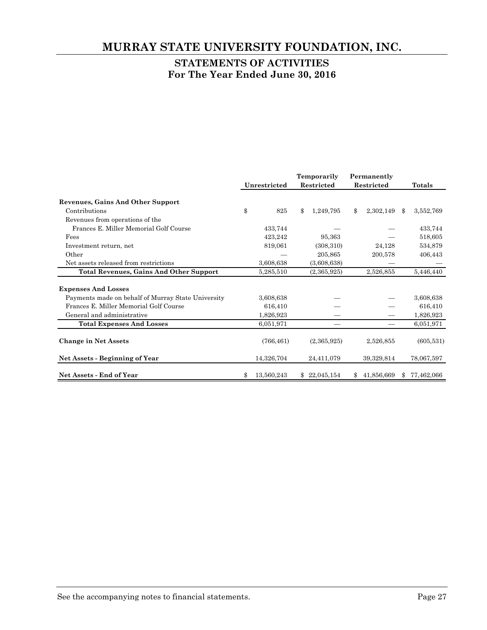# **MURRAY STATE UNIVERSITY FOUNDATION, INC.**

# **STATEMENTS OF ACTIVITIES For The Year Ended June 30, 2016**

|                                                    | Temporarily |              | Permanently |              |            |            |               |               |
|----------------------------------------------------|-------------|--------------|-------------|--------------|------------|------------|---------------|---------------|
|                                                    |             | Unrestricted | Restricted  |              | Restricted |            |               | <b>Totals</b> |
| Revenues, Gains And Other Support                  |             |              |             |              |            |            |               |               |
| Contributions                                      | \$          | 825          | \$          | 1,249,795    | \$         | 2,302,149  | $\mathbf{\$}$ | 3,552,769     |
| Revenues from operations of the                    |             |              |             |              |            |            |               |               |
| Frances E. Miller Memorial Golf Course             |             | 433,744      |             |              |            |            |               | 433,744       |
| Fees                                               |             | 423,242      |             | 95,363       |            |            |               | 518,605       |
| Investment return, net                             |             | 819,061      |             | (308, 310)   |            | 24,128     |               | 534,879       |
| Other                                              |             |              |             | 205,865      |            | 200,578    |               | 406,443       |
| Net assets released from restrictions              |             | 3,608,638    |             | (3,608,638)  |            |            |               |               |
| <b>Total Revenues, Gains And Other Support</b>     |             | 5,285,510    |             | (2,365,925)  |            | 2,526,855  |               | 5,446,440     |
| <b>Expenses And Losses</b>                         |             |              |             |              |            |            |               |               |
| Payments made on behalf of Murray State University |             | 3,608,638    |             |              |            |            |               | 3,608,638     |
| Frances E. Miller Memorial Golf Course             |             | 616,410      |             |              |            |            |               | 616,410       |
| General and administrative                         |             | 1,826,923    |             |              |            |            |               | 1,826,923     |
| <b>Total Expenses And Losses</b>                   |             | 6,051,971    |             |              |            |            |               | 6,051,971     |
| <b>Change in Net Assets</b>                        |             | (766, 461)   |             | (2,365,925)  |            | 2,526,855  |               | (605, 531)    |
| Net Assets - Beginning of Year                     |             | 14,326,704   |             | 24,411,079   |            | 39,329,814 |               | 78,067,597    |
| <b>Net Assets - End of Year</b>                    | \$          | 13,560,243   |             | \$22,045,154 | \$         | 41,856,669 | $\mathcal{S}$ | 77,462,066    |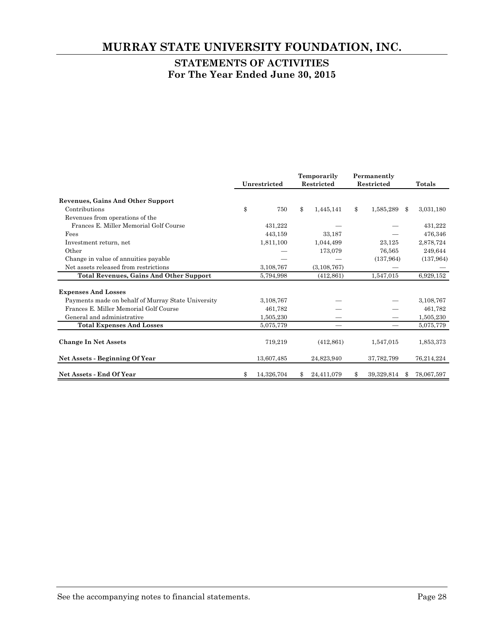# **MURRAY STATE UNIVERSITY FOUNDATION, INC.**

# **STATEMENTS OF ACTIVITIES For The Year Ended June 30, 2015**

|                                                    | Temporarily |                            |            | Permanently |            |            |               |            |
|----------------------------------------------------|-------------|----------------------------|------------|-------------|------------|------------|---------------|------------|
|                                                    |             | Unrestricted               | Restricted |             | Restricted |            | <b>Totals</b> |            |
| <b>Revenues, Gains And Other Support</b>           |             |                            |            |             |            |            |               |            |
| Contributions                                      | \$          | 750                        | \$         | 1,445,141   | \$         | 1,585,289  | -\$           | 3,031,180  |
| Revenues from operations of the                    |             |                            |            |             |            |            |               |            |
| Frances E. Miller Memorial Golf Course             |             | 431,222                    |            |             |            |            |               | 431,222    |
| Fees                                               |             | 443,159                    |            | 33,187      |            |            |               | 476,346    |
| Investment return, net                             |             | 1,811,100                  |            | 1,044,499   |            | 23,125     |               | 2,878,724  |
| Other                                              |             |                            |            | 173,079     |            | 76,565     |               | 249,644    |
| Change in value of annuities payable               |             |                            |            |             |            | (137, 964) |               | (137, 964) |
| Net assets released from restrictions              |             | 3,108,767<br>(3, 108, 767) |            |             |            |            |               |            |
| <b>Total Revenues, Gains And Other Support</b>     |             | 5,794,998                  |            | (412, 861)  |            | 1,547,015  |               | 6,929,152  |
|                                                    |             |                            |            |             |            |            |               |            |
| <b>Expenses And Losses</b>                         |             |                            |            |             |            |            |               |            |
| Payments made on behalf of Murray State University |             | 3,108,767                  |            |             |            |            |               | 3,108,767  |
| Frances E. Miller Memorial Golf Course             |             | 461,782                    |            |             |            |            |               | 461,782    |
| General and administrative                         |             | 1,505,230                  |            |             |            |            |               | 1,505,230  |
| <b>Total Expenses And Losses</b>                   |             | 5,075,779                  |            |             |            |            |               | 5,075,779  |
|                                                    |             |                            |            |             |            |            |               |            |
| <b>Change In Net Assets</b>                        |             | 719,219                    |            | (412, 861)  |            | 1,547,015  |               | 1,853,373  |
|                                                    |             |                            |            |             |            |            |               |            |
| Net Assets - Beginning Of Year                     |             | 13,607,485                 |            | 24,823,940  |            | 37,782,799 |               | 76,214,224 |
| Net Assets - End Of Year                           |             | 14,326,704                 |            | 24,411,079  |            | 39,329,814 |               | 78,067,597 |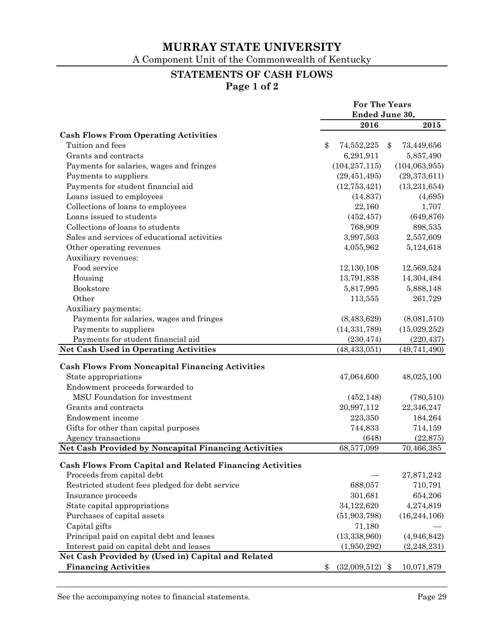A Component Unit of the Commonwealth of Kentucky

# **STATEMENTS OF CASH FLOWS**

**Page 1 of 2** 

|                                                                 | <b>For The Years</b> |                   |    |                 |
|-----------------------------------------------------------------|----------------------|-------------------|----|-----------------|
|                                                                 | Ended June 30,       |                   |    |                 |
|                                                                 |                      | 2016              |    | 2015            |
| <b>Cash Flows From Operating Activities</b>                     |                      |                   |    |                 |
| Tuition and fees                                                | \$                   | 74,552,225        | \$ | 73,449,656      |
| Grants and contracts                                            |                      | 6,291,911         |    | 5,857,490       |
| Payments for salaries, wages and fringes                        |                      | (104, 257, 115)   |    | (104, 063, 955) |
| Payments to suppliers                                           |                      | (29, 451, 495)    |    | (29, 373, 611)  |
| Payments for student financial aid                              |                      | (12, 753, 421)    |    | (13, 231, 654)  |
| Loans issued to employees                                       |                      | (14, 837)         |    | (4,695)         |
| Collections of loans to employees                               |                      | 22,160            |    | 1,707           |
| Loans issued to students                                        |                      | (452, 457)        |    | (649, 876)      |
| Collections of loans to students                                |                      | 768,909           |    | 898,535         |
| Sales and services of educational activities                    |                      | 3,997,503         |    | 2,557,609       |
| Other operating revenues                                        |                      | 4,055,962         |    | 5,124,618       |
| Auxiliary revenues:                                             |                      |                   |    |                 |
| Food service                                                    |                      | 12,130,108        |    | 12,569,524      |
| Housing                                                         |                      | 13,791,838        |    | 14,304,484      |
| Bookstore                                                       |                      | 5,817,995         |    | 5,888,148       |
| Other                                                           |                      | 113,555           |    | 261,729         |
| Auxiliary payments:                                             |                      |                   |    |                 |
| Payments for salaries, wages and fringes                        |                      | (8,483,629)       |    | (8,081,510)     |
| Payments to suppliers                                           |                      | (14, 331, 789)    |    | (15,029,252)    |
| Payments for student financial aid                              |                      | (230, 474)        |    | (220, 437)      |
| <b>Net Cash Used in Operating Activities</b>                    |                      | (48, 433, 051)    |    | (49, 741, 490)  |
|                                                                 |                      |                   |    |                 |
| <b>Cash Flows From Noncapital Financing Activities</b>          |                      |                   |    |                 |
| State appropriations                                            |                      | 47,064,600        |    | 48,025,100      |
| Endowment proceeds forwarded to                                 |                      |                   |    |                 |
| MSU Foundation for investment                                   |                      | (452, 148)        |    | (780, 510)      |
| Grants and contracts                                            |                      | 20,997,112        |    | 22,346,247      |
| Endowment income                                                |                      | 223,350           |    | 184,264         |
| Gifts for other than capital purposes                           |                      | 744,833           |    | 714,159         |
| Agency transactions                                             |                      | (648)             |    | (22, 875)       |
| Net Cash Provided by Noncapital Financing Activities            |                      | 68,577,099        |    | 70,466,385      |
| <b>Cash Flows From Capital and Related Financing Activities</b> |                      |                   |    |                 |
| Proceeds from capital debt                                      |                      |                   |    | 27,871,242      |
| Restricted student fees pledged for debt service                |                      | 688,057           |    | 710,791         |
| Insurance proceeds                                              |                      | 301,681           |    | 654,206         |
| State capital appropriations                                    |                      | 34,122,620        |    | 4,274,819       |
| Purchases of capital assets                                     |                      | (51, 903, 798)    |    | (16, 244, 106)  |
| Capital gifts                                                   |                      | 71,180            |    |                 |
| Principal paid on capital debt and leases                       |                      | (13, 338, 960)    |    | (4,946,842)     |
| Interest paid on capital debt and leases                        |                      | (1,950,292)       |    | (2, 248, 231)   |
| Net Cash Provided by (Used in) Capital and Related              |                      |                   |    |                 |
| <b>Financing Activities</b>                                     | \$                   | $(32,009,512)$ \$ |    | 10,071,879      |
|                                                                 |                      |                   |    |                 |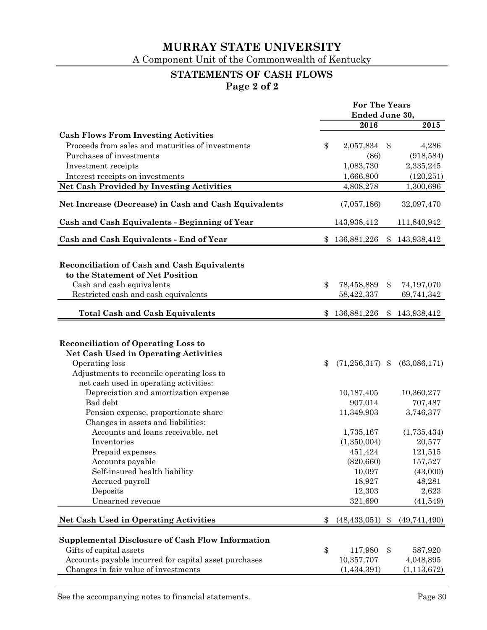A Component Unit of the Commonwealth of Kentucky

# **STATEMENTS OF CASH FLOWS**

**Page 2 of 2**

|                                                       | <b>For The Years</b> |                       |    |               |
|-------------------------------------------------------|----------------------|-----------------------|----|---------------|
|                                                       | Ended June 30,       |                       |    |               |
|                                                       |                      | 2016                  |    | 2015          |
| <b>Cash Flows From Investing Activities</b>           |                      |                       |    |               |
| Proceeds from sales and maturities of investments     | \$                   | 2,057,834             | \$ | 4,286         |
| Purchases of investments                              |                      | (86)                  |    | (918, 584)    |
| Investment receipts                                   |                      | 1,083,730             |    | 2,335,245     |
| Interest receipts on investments                      |                      | 1,666,800             |    | (120, 251)    |
| <b>Net Cash Provided by Investing Activities</b>      |                      | 4,808,278             |    | 1,300,696     |
| Net Increase (Decrease) in Cash and Cash Equivalents  |                      | (7,057,186)           |    | 32,097,470    |
| Cash and Cash Equivalents - Beginning of Year         |                      | 143,938,412           |    | 111,840,942   |
| Cash and Cash Equivalents - End of Year               |                      | 136,881,226           | \$ | 143,938,412   |
|                                                       |                      |                       |    |               |
| Reconciliation of Cash and Cash Equivalents           |                      |                       |    |               |
| to the Statement of Net Position                      |                      |                       |    |               |
| Cash and cash equivalents                             | \$                   | 78,458,889            | \$ | 74,197,070    |
| Restricted cash and cash equivalents                  |                      | 58,422,337            |    | 69,741,342    |
| <b>Total Cash and Cash Equivalents</b>                | \$.                  | 136,881,226           |    |               |
|                                                       |                      |                       |    | \$143,938,412 |
|                                                       |                      |                       |    |               |
| <b>Reconciliation of Operating Loss to</b>            |                      |                       |    |               |
| <b>Net Cash Used in Operating Activities</b>          |                      |                       |    |               |
| Operating loss                                        | \$                   | $(71,256,317)$ \$     |    | (63,086,171)  |
| Adjustments to reconcile operating loss to            |                      |                       |    |               |
| net cash used in operating activities:                |                      |                       |    |               |
| Depreciation and amortization expense                 |                      | 10,187,405            |    | 10,360,277    |
| Bad debt                                              |                      | 707,487               |    |               |
| Pension expense, proportionate share                  |                      | 907,014<br>11,349,903 |    | 3,746,377     |
| Changes in assets and liabilities:                    |                      |                       |    |               |
| Accounts and loans receivable, net                    |                      | 1,735,167             |    | (1,735,434)   |
| Inventories                                           |                      | (1,350,004)           |    | 20,577        |
|                                                       |                      |                       |    | 121,515       |
| Prepaid expenses                                      |                      | 451,424<br>(820, 660) |    |               |
| Accounts payable                                      |                      |                       |    | 157,527       |
| Self-insured health liability                         |                      | 10,097                |    | (43,000)      |
| Accrued payroll                                       |                      | 18,927                |    | 48,281        |
| Deposits                                              |                      | 12,303                |    | 2,623         |
| Unearned revenue                                      |                      | 321,690               |    | (41,549)      |
| <b>Net Cash Used in Operating Activities</b>          | \$                   | (48, 433, 051)        | \$ | (49,741,490)  |
|                                                       |                      |                       |    |               |
| Supplemental Disclosure of Cash Flow Information      |                      |                       |    |               |
| Gifts of capital assets                               | \$                   | 117,980               | \$ | 587,920       |
| Accounts payable incurred for capital asset purchases |                      | 10,357,707            |    | 4,048,895     |
| Changes in fair value of investments                  |                      | (1,434,391)           |    | (1, 113, 672) |

See the accompanying notes to financial statements. Page 30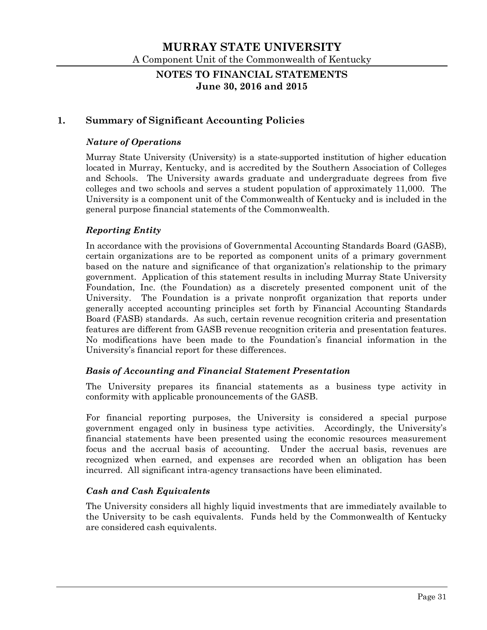## **NOTES TO FINANCIAL STATEMENTS June 30, 2016 and 2015**

## **1. Summary of Significant Accounting Policies**

### *Nature of Operations*

Murray State University (University) is a state-supported institution of higher education located in Murray, Kentucky, and is accredited by the Southern Association of Colleges and Schools. The University awards graduate and undergraduate degrees from five colleges and two schools and serves a student population of approximately 11,000. The University is a component unit of the Commonwealth of Kentucky and is included in the general purpose financial statements of the Commonwealth.

### *Reporting Entity*

In accordance with the provisions of Governmental Accounting Standards Board (GASB), certain organizations are to be reported as component units of a primary government based on the nature and significance of that organization's relationship to the primary government. Application of this statement results in including Murray State University Foundation, Inc. (the Foundation) as a discretely presented component unit of the University. The Foundation is a private nonprofit organization that reports under generally accepted accounting principles set forth by Financial Accounting Standards Board (FASB) standards. As such, certain revenue recognition criteria and presentation features are different from GASB revenue recognition criteria and presentation features. No modifications have been made to the Foundation's financial information in the University's financial report for these differences.

#### *Basis of Accounting and Financial Statement Presentation*

The University prepares its financial statements as a business type activity in conformity with applicable pronouncements of the GASB.

For financial reporting purposes, the University is considered a special purpose government engaged only in business type activities. Accordingly, the University's financial statements have been presented using the economic resources measurement focus and the accrual basis of accounting. Under the accrual basis, revenues are recognized when earned, and expenses are recorded when an obligation has been incurred. All significant intra-agency transactions have been eliminated.

#### *Cash and Cash Equivalents*

The University considers all highly liquid investments that are immediately available to the University to be cash equivalents. Funds held by the Commonwealth of Kentucky are considered cash equivalents.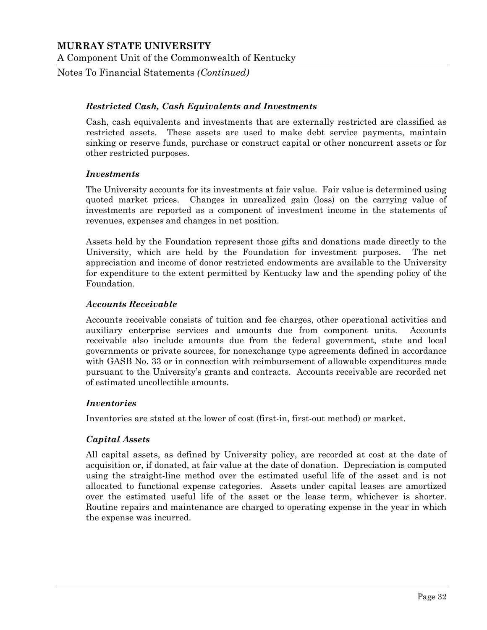Notes To Financial Statements *(Continued)*

### *Restricted Cash, Cash Equivalents and Investments*

Cash, cash equivalents and investments that are externally restricted are classified as restricted assets. These assets are used to make debt service payments, maintain sinking or reserve funds, purchase or construct capital or other noncurrent assets or for other restricted purposes.

#### *Investments*

The University accounts for its investments at fair value. Fair value is determined using quoted market prices. Changes in unrealized gain (loss) on the carrying value of investments are reported as a component of investment income in the statements of revenues, expenses and changes in net position.

Assets held by the Foundation represent those gifts and donations made directly to the University, which are held by the Foundation for investment purposes. The net appreciation and income of donor restricted endowments are available to the University for expenditure to the extent permitted by Kentucky law and the spending policy of the Foundation.

#### *Accounts Receivable*

Accounts receivable consists of tuition and fee charges, other operational activities and auxiliary enterprise services and amounts due from component units. Accounts receivable also include amounts due from the federal government, state and local governments or private sources, for nonexchange type agreements defined in accordance with GASB No. 33 or in connection with reimbursement of allowable expenditures made pursuant to the University's grants and contracts. Accounts receivable are recorded net of estimated uncollectible amounts.

#### *Inventories*

Inventories are stated at the lower of cost (first-in, first-out method) or market.

#### *Capital Assets*

All capital assets, as defined by University policy, are recorded at cost at the date of acquisition or, if donated, at fair value at the date of donation. Depreciation is computed using the straight-line method over the estimated useful life of the asset and is not allocated to functional expense categories. Assets under capital leases are amortized over the estimated useful life of the asset or the lease term, whichever is shorter. Routine repairs and maintenance are charged to operating expense in the year in which the expense was incurred.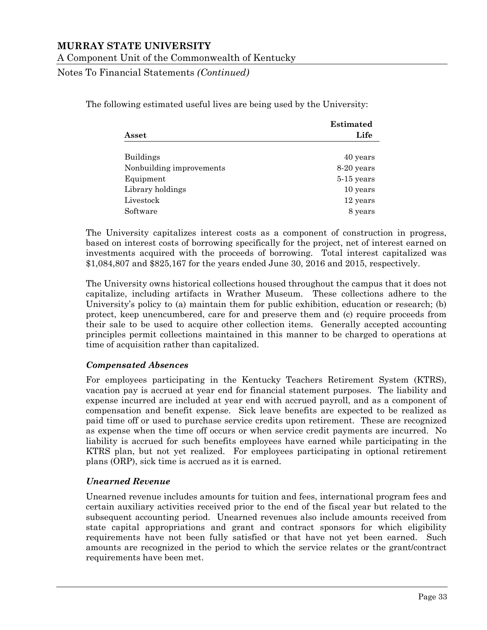#### A Component Unit of the Commonwealth of Kentucky

Notes To Financial Statements *(Continued)*

The following estimated useful lives are being used by the University:

|                          | <b>Estimated</b> |
|--------------------------|------------------|
| Asset                    | Life             |
| <b>Buildings</b>         | 40 years         |
| Nonbuilding improvements | 8-20 years       |
| Equipment                | $5-15$ years     |
| Library holdings         | 10 years         |
| Livestock                | 12 years         |
| Software                 | 8 years          |

The University capitalizes interest costs as a component of construction in progress, based on interest costs of borrowing specifically for the project, net of interest earned on investments acquired with the proceeds of borrowing. Total interest capitalized was \$1,084,807 and \$825,167 for the years ended June 30, 2016 and 2015, respectively.

The University owns historical collections housed throughout the campus that it does not capitalize, including artifacts in Wrather Museum. These collections adhere to the University's policy to (a) maintain them for public exhibition, education or research; (b) protect, keep unencumbered, care for and preserve them and (c) require proceeds from their sale to be used to acquire other collection items. Generally accepted accounting principles permit collections maintained in this manner to be charged to operations at time of acquisition rather than capitalized.

#### *Compensated Absences*

For employees participating in the Kentucky Teachers Retirement System (KTRS), vacation pay is accrued at year end for financial statement purposes. The liability and expense incurred are included at year end with accrued payroll, and as a component of compensation and benefit expense. Sick leave benefits are expected to be realized as paid time off or used to purchase service credits upon retirement. These are recognized as expense when the time off occurs or when service credit payments are incurred. No liability is accrued for such benefits employees have earned while participating in the KTRS plan, but not yet realized. For employees participating in optional retirement plans (ORP), sick time is accrued as it is earned.

#### *Unearned Revenue*

Unearned revenue includes amounts for tuition and fees, international program fees and certain auxiliary activities received prior to the end of the fiscal year but related to the subsequent accounting period. Unearned revenues also include amounts received from state capital appropriations and grant and contract sponsors for which eligibility requirements have not been fully satisfied or that have not yet been earned. Such amounts are recognized in the period to which the service relates or the grant/contract requirements have been met.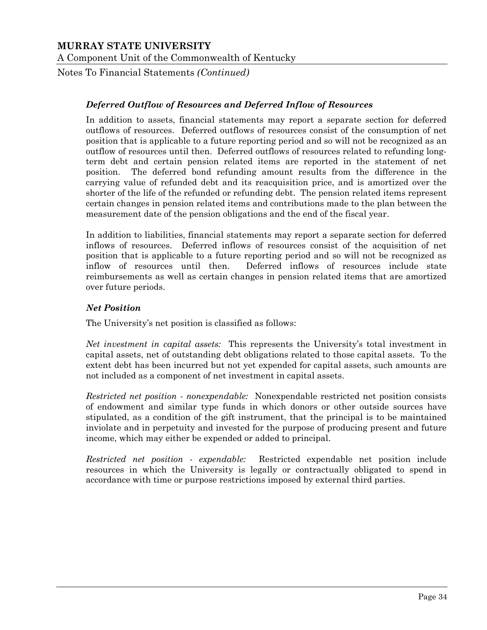Notes To Financial Statements *(Continued)*

### *Deferred Outflow of Resources and Deferred Inflow of Resources*

In addition to assets, financial statements may report a separate section for deferred outflows of resources. Deferred outflows of resources consist of the consumption of net position that is applicable to a future reporting period and so will not be recognized as an outflow of resources until then. Deferred outflows of resources related to refunding longterm debt and certain pension related items are reported in the statement of net position. The deferred bond refunding amount results from the difference in the carrying value of refunded debt and its reacquisition price, and is amortized over the shorter of the life of the refunded or refunding debt. The pension related items represent certain changes in pension related items and contributions made to the plan between the measurement date of the pension obligations and the end of the fiscal year.

In addition to liabilities, financial statements may report a separate section for deferred inflows of resources. Deferred inflows of resources consist of the acquisition of net position that is applicable to a future reporting period and so will not be recognized as inflow of resources until then. Deferred inflows of resources include state reimbursements as well as certain changes in pension related items that are amortized over future periods.

## *Net Position*

The University's net position is classified as follows:

*Net investment in capital assets:* This represents the University's total investment in capital assets, net of outstanding debt obligations related to those capital assets. To the extent debt has been incurred but not yet expended for capital assets, such amounts are not included as a component of net investment in capital assets.

*Restricted net position - nonexpendable:* Nonexpendable restricted net position consists of endowment and similar type funds in which donors or other outside sources have stipulated, as a condition of the gift instrument, that the principal is to be maintained inviolate and in perpetuity and invested for the purpose of producing present and future income, which may either be expended or added to principal.

*Restricted net position - expendable:* Restricted expendable net position include resources in which the University is legally or contractually obligated to spend in accordance with time or purpose restrictions imposed by external third parties.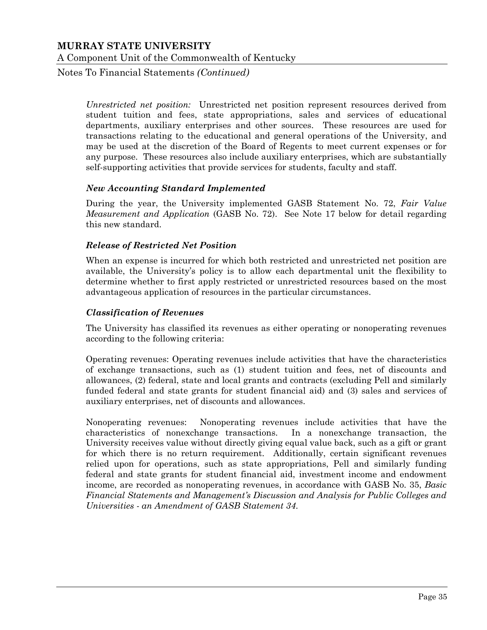Notes To Financial Statements *(Continued)*

*Unrestricted net position:* Unrestricted net position represent resources derived from student tuition and fees, state appropriations, sales and services of educational departments, auxiliary enterprises and other sources. These resources are used for transactions relating to the educational and general operations of the University, and may be used at the discretion of the Board of Regents to meet current expenses or for any purpose. These resources also include auxiliary enterprises, which are substantially self-supporting activities that provide services for students, faculty and staff.

#### *New Accounting Standard Implemented*

During the year, the University implemented GASB Statement No. 72, *Fair Value Measurement and Application* (GASB No. 72). See Note 17 below for detail regarding this new standard.

#### *Release of Restricted Net Position*

When an expense is incurred for which both restricted and unrestricted net position are available, the University's policy is to allow each departmental unit the flexibility to determine whether to first apply restricted or unrestricted resources based on the most advantageous application of resources in the particular circumstances.

#### *Classification of Revenues*

The University has classified its revenues as either operating or nonoperating revenues according to the following criteria:

Operating revenues: Operating revenues include activities that have the characteristics of exchange transactions, such as (1) student tuition and fees, net of discounts and allowances, (2) federal, state and local grants and contracts (excluding Pell and similarly funded federal and state grants for student financial aid) and (3) sales and services of auxiliary enterprises, net of discounts and allowances.

Nonoperating revenues: Nonoperating revenues include activities that have the characteristics of nonexchange transactions. In a nonexchange transaction, the University receives value without directly giving equal value back, such as a gift or grant for which there is no return requirement. Additionally, certain significant revenues relied upon for operations, such as state appropriations, Pell and similarly funding federal and state grants for student financial aid, investment income and endowment income, are recorded as nonoperating revenues, in accordance with GASB No. 35, *Basic Financial Statements and Management's Discussion and Analysis for Public Colleges and Universities - an Amendment of GASB Statement 34*.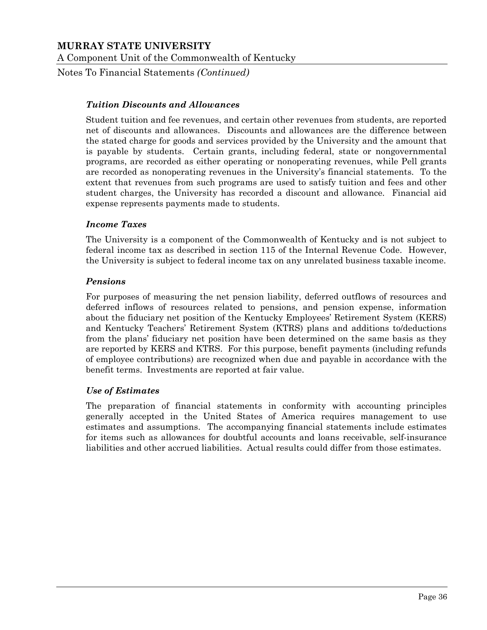Notes To Financial Statements *(Continued)*

#### *Tuition Discounts and Allowances*

Student tuition and fee revenues, and certain other revenues from students, are reported net of discounts and allowances. Discounts and allowances are the difference between the stated charge for goods and services provided by the University and the amount that is payable by students. Certain grants, including federal, state or nongovernmental programs, are recorded as either operating or nonoperating revenues, while Pell grants are recorded as nonoperating revenues in the University's financial statements. To the extent that revenues from such programs are used to satisfy tuition and fees and other student charges, the University has recorded a discount and allowance. Financial aid expense represents payments made to students.

#### *Income Taxes*

The University is a component of the Commonwealth of Kentucky and is not subject to federal income tax as described in section 115 of the Internal Revenue Code. However, the University is subject to federal income tax on any unrelated business taxable income.

#### *Pensions*

For purposes of measuring the net pension liability, deferred outflows of resources and deferred inflows of resources related to pensions, and pension expense, information about the fiduciary net position of the Kentucky Employees' Retirement System (KERS) and Kentucky Teachers' Retirement System (KTRS) plans and additions to/deductions from the plans' fiduciary net position have been determined on the same basis as they are reported by KERS and KTRS. For this purpose, benefit payments (including refunds of employee contributions) are recognized when due and payable in accordance with the benefit terms. Investments are reported at fair value.

#### *Use of Estimates*

The preparation of financial statements in conformity with accounting principles generally accepted in the United States of America requires management to use estimates and assumptions. The accompanying financial statements include estimates for items such as allowances for doubtful accounts and loans receivable, self-insurance liabilities and other accrued liabilities. Actual results could differ from those estimates.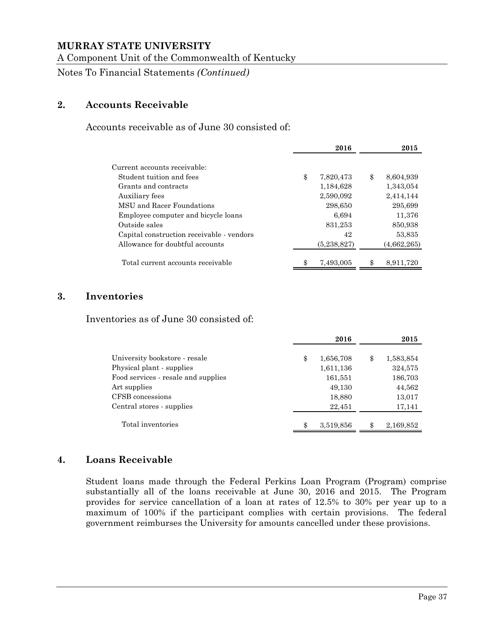A Component Unit of the Commonwealth of Kentucky

Notes To Financial Statements *(Continued)*

# **2. Accounts Receivable**

Accounts receivable as of June 30 consisted of:

|                                           | 2016            | 2015            |
|-------------------------------------------|-----------------|-----------------|
| Current accounts receivable:              |                 |                 |
| Student tuition and fees                  | \$<br>7,820,473 | \$<br>8,604,939 |
| Grants and contracts                      | 1,184,628       | 1,343,054       |
| Auxiliary fees                            | 2,590,092       | 2,414,144       |
| MSU and Racer Foundations                 | 298,650         | 295,699         |
| Employee computer and bicycle loans       | 6.694           | 11,376          |
| Outside sales                             | 831,253         | 850,938         |
| Capital construction receivable - vendors | 42              | 53,835          |
| Allowance for doubtful accounts           | (5,238,827)     | (4,662,265)     |
| Total current accounts receivable         | 7,493,005       | \$<br>8,911,720 |

## **3. Inventories**

Inventories as of June 30 consisted of:

|                                     | 2016            | 2015            |
|-------------------------------------|-----------------|-----------------|
| University bookstore - resale       | \$<br>1,656,708 | \$<br>1,583,854 |
| Physical plant - supplies           | 1,611,136       | 324,575         |
| Food services - resale and supplies | 161,551         | 186,703         |
| Art supplies                        | 49,130          | 44,562          |
| CFSB concessions                    | 18,880          | 13,017          |
| Central stores - supplies           | 22,451          | 17,141          |
| Total inventories                   | 3,519,856       | 2,169,852       |

# **4. Loans Receivable**

Student loans made through the Federal Perkins Loan Program (Program) comprise substantially all of the loans receivable at June 30, 2016 and 2015. The Program provides for service cancellation of a loan at rates of 12.5% to 30% per year up to a maximum of 100% if the participant complies with certain provisions. The federal government reimburses the University for amounts cancelled under these provisions.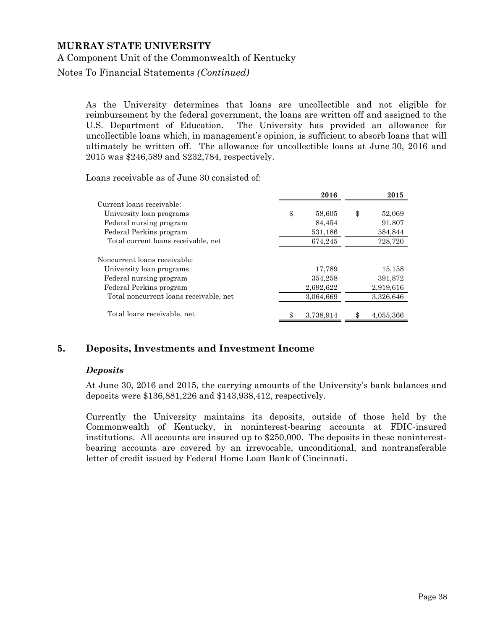Notes To Financial Statements *(Continued)*

As the University determines that loans are uncollectible and not eligible for reimbursement by the federal government, the loans are written off and assigned to the U.S. Department of Education. The University has provided an allowance for uncollectible loans which, in management's opinion, is sufficient to absorb loans that will ultimately be written off. The allowance for uncollectible loans at June 30, 2016 and 2015 was \$246,589 and \$232,784, respectively.

Loans receivable as of June 30 consisted of:

|                                        | 2016         | 2015         |
|----------------------------------------|--------------|--------------|
| Current loans receivable:              |              |              |
| University loan programs               | \$<br>58,605 | \$<br>52,069 |
| Federal nursing program                | 84,454       | 91,807       |
| Federal Perkins program                | 531,186      | 584,844      |
| Total current loans receivable, net    | 674,245      | 728,720      |
| Noncurrent loans receivable:           |              |              |
| University loan programs               | 17,789       | 15,158       |
| Federal nursing program                | 354,258      | 391,872      |
| Federal Perkins program                | 2,692,622    | 2,919,616    |
| Total noncurrent loans receivable, net | 3,064,669    | 3,326,646    |
| Total loans receivable, net            | 3,738,914    | 4,055,366    |

## **5. Deposits, Investments and Investment Income**

#### *Deposits*

At June 30, 2016 and 2015, the carrying amounts of the University's bank balances and deposits were \$136,881,226 and \$143,938,412, respectively.

Currently the University maintains its deposits, outside of those held by the Commonwealth of Kentucky, in noninterest-bearing accounts at FDIC-insured institutions. All accounts are insured up to \$250,000. The deposits in these noninterestbearing accounts are covered by an irrevocable, unconditional, and nontransferable letter of credit issued by Federal Home Loan Bank of Cincinnati.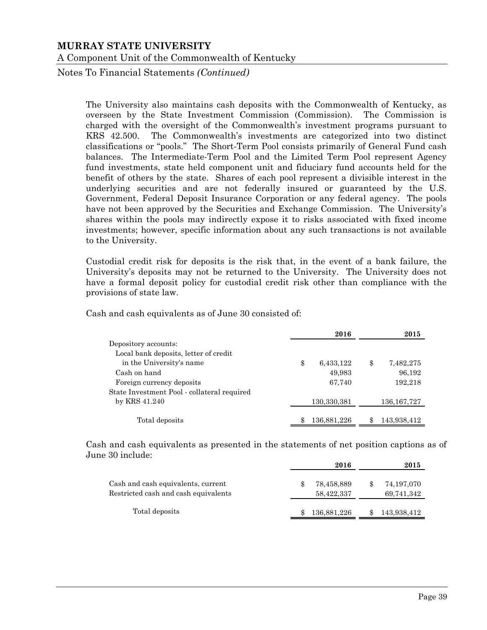Notes To Financial Statements *(Continued)*

The University also maintains cash deposits with the Commonwealth of Kentucky, as overseen by the State Investment Commission (Commission). The Commission is charged with the oversight of the Commonwealth's investment programs pursuant to KRS 42.500. The Commonwealth's investments are categorized into two distinct classifications or "pools." The Short-Term Pool consists primarily of General Fund cash balances. The Intermediate-Term Pool and the Limited Term Pool represent Agency fund investments, state held component unit and fiduciary fund accounts held for the benefit of others by the state. Shares of each pool represent a divisible interest in the underlying securities and are not federally insured or guaranteed by the U.S. Government, Federal Deposit Insurance Corporation or any federal agency. The pools have not been approved by the Securities and Exchange Commission. The University's shares within the pools may indirectly expose it to risks associated with fixed income investments; however, specific information about any such transactions is not available to the University.

Custodial credit risk for deposits is the risk that, in the event of a bank failure, the University's deposits may not be returned to the University. The University does not have a formal deposit policy for custodial credit risk other than compliance with the provisions of state law.

Cash and cash equivalents as of June 30 consisted of:

|                                             | 2016            | 2015            |
|---------------------------------------------|-----------------|-----------------|
| Depository accounts:                        |                 |                 |
| Local bank deposits, letter of credit       |                 |                 |
| in the University's name                    | \$<br>6,433,122 | \$<br>7,482,275 |
| Cash on hand                                | 49,983          | 96,192          |
| Foreign currency deposits                   | 67,740          | 192,218         |
| State Investment Pool - collateral required |                 |                 |
| by KRS 41.240                               | 130,330,381     | 136, 167, 727   |
|                                             |                 |                 |
| Total deposits                              | 136,881,226     | 143,938,412     |
|                                             |                 |                 |

Cash and cash equivalents as presented in the statements of net position captions as of June 30 include:

|                                      | 2016        | 2015        |
|--------------------------------------|-------------|-------------|
| Cash and cash equivalents, current   | 78,458,889  | 74,197,070  |
| Restricted cash and cash equivalents | 58,422,337  | 69,741,342  |
| Total deposits                       | 136,881,226 | 143,938,412 |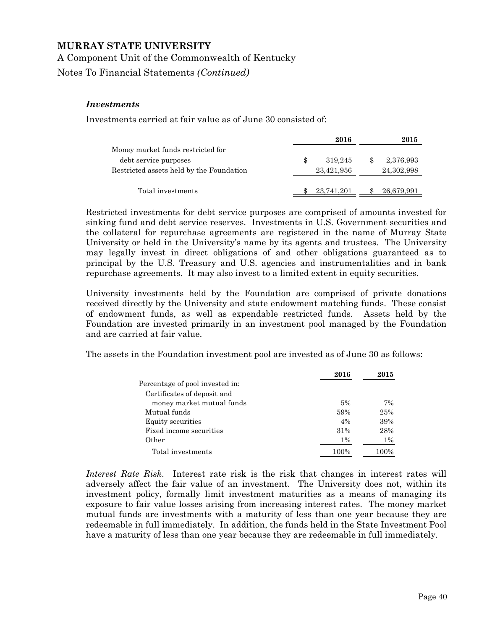Notes To Financial Statements *(Continued)*

#### *Investments*

Investments carried at fair value as of June 30 consisted of:

|                                          | 2016       | 2015       |
|------------------------------------------|------------|------------|
| Money market funds restricted for        |            |            |
| debt service purposes                    | 319.245    | 2,376,993  |
| Restricted assets held by the Foundation | 23,421,956 | 24,302,998 |
|                                          |            |            |
| Total investments                        | 23,741,201 | 26,679,991 |

Restricted investments for debt service purposes are comprised of amounts invested for sinking fund and debt service reserves. Investments in U.S. Government securities and the collateral for repurchase agreements are registered in the name of Murray State University or held in the University's name by its agents and trustees. The University may legally invest in direct obligations of and other obligations guaranteed as to principal by the U.S. Treasury and U.S. agencies and instrumentalities and in bank repurchase agreements. It may also invest to a limited extent in equity securities.

University investments held by the Foundation are comprised of private donations received directly by the University and state endowment matching funds. These consist of endowment funds, as well as expendable restricted funds. Assets held by the Foundation are invested primarily in an investment pool managed by the Foundation and are carried at fair value.

The assets in the Foundation investment pool are invested as of June 30 as follows:

|                                 | 2016  | 2015  |
|---------------------------------|-------|-------|
| Percentage of pool invested in: |       |       |
| Certificates of deposit and     |       |       |
| money market mutual funds       | 5%    | 7%    |
| Mutual funds                    | 59%   | 25%   |
| Equity securities               | 4%    | 39%   |
| Fixed income securities         | 31%   | 28%   |
| Other                           | $1\%$ | $1\%$ |
| Total investments               | 100%  | 100%  |

*Interest Rate Risk*. Interest rate risk is the risk that changes in interest rates will adversely affect the fair value of an investment. The University does not, within its investment policy, formally limit investment maturities as a means of managing its exposure to fair value losses arising from increasing interest rates. The money market mutual funds are investments with a maturity of less than one year because they are redeemable in full immediately. In addition, the funds held in the State Investment Pool have a maturity of less than one year because they are redeemable in full immediately.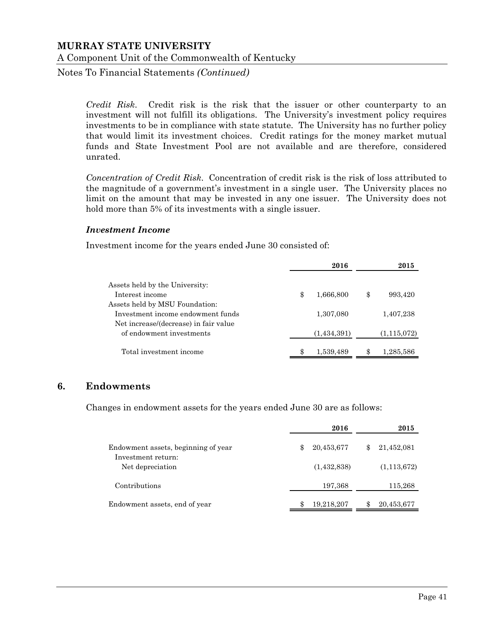Notes To Financial Statements *(Continued)*

*Credit Risk*. Credit risk is the risk that the issuer or other counterparty to an investment will not fulfill its obligations. The University's investment policy requires investments to be in compliance with state statute. The University has no further policy that would limit its investment choices. Credit ratings for the money market mutual funds and State Investment Pool are not available and are therefore, considered unrated.

*Concentration of Credit Risk*. Concentration of credit risk is the risk of loss attributed to the magnitude of a government's investment in a single user. The University places no limit on the amount that may be invested in any one issuer. The University does not hold more than 5% of its investments with a single issuer.

#### *Investment Income*

Investment income for the years ended June 30 consisted of:

|                                       | 2016            | 2015          |
|---------------------------------------|-----------------|---------------|
| Assets held by the University:        |                 |               |
| Interest income                       | \$<br>1,666,800 | \$<br>993,420 |
| Assets held by MSU Foundation:        |                 |               |
| Investment income endowment funds     | 1,307,080       | 1,407,238     |
| Net increase/(decrease) in fair value |                 |               |
| of endowment investments              | (1,434,391)     | (1, 115, 072) |
| Total investment income               | 1,539,489       | 1,285,586     |

## **6. Endowments**

Changes in endowment assets for the years ended June 30 are as follows:

|                                                           |   | 2016        | 2015             |
|-----------------------------------------------------------|---|-------------|------------------|
| Endowment assets, beginning of year<br>Investment return: | Ж | 20,453,677  | 21,452,081       |
| Net depreciation                                          |   | (1,432,838) | (1, 113, 672)    |
| Contributions                                             |   | 197,368     | 115,268          |
| Endowment assets, end of year                             |   | 19,218,207  | \$<br>20,453,677 |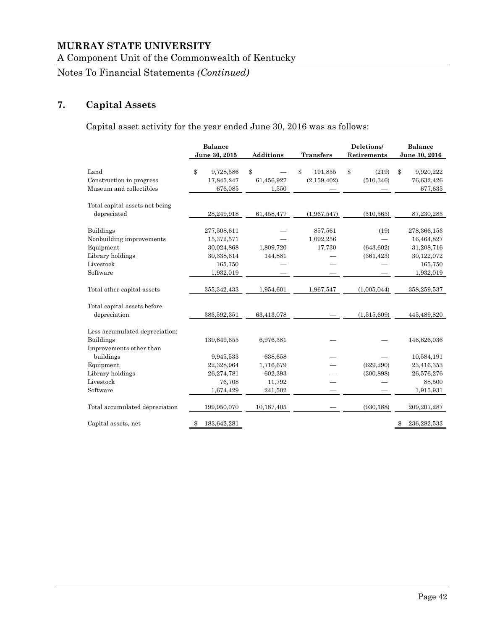A Component Unit of the Commonwealth of Kentucky

Notes To Financial Statements *(Continued)*

# **7. Capital Assets**

Capital asset activity for the year ended June 30, 2016 was as follows:

|                                                                                                        | <b>Balance</b><br>June 30, 2015                                               | Additions                                            | <b>Transfers</b>               | Deletions/<br>Retirements        | <b>Balance</b><br>June 30, 2016                                               |
|--------------------------------------------------------------------------------------------------------|-------------------------------------------------------------------------------|------------------------------------------------------|--------------------------------|----------------------------------|-------------------------------------------------------------------------------|
| Land<br>Construction in progress<br>Museum and collectibles                                            | \$<br>9,728,586<br>17,845,247<br>676,085                                      | \$<br>61,456,927<br>1,550                            | \$<br>191,855<br>(2, 159, 402) | \$<br>(219)<br>(510, 346)        | \$<br>9,920,222<br>76,632,426<br>677,635                                      |
| Total capital assets not being<br>depreciated                                                          | 28,249,918                                                                    | 61,458,477                                           | (1,967,547)                    | (510, 565)                       | 87,230,283                                                                    |
| <b>Buildings</b><br>Nonbuilding improvements<br>Equipment<br>Library holdings<br>Livestock<br>Software | 277,508,611<br>15,372,571<br>30,024,868<br>30,338,614<br>165,750<br>1,932,019 | 1,809,720<br>144,881                                 | 857,561<br>1,092,256<br>17,730 | (19)<br>(643, 602)<br>(361, 423) | 278,366,153<br>16,464,827<br>31,208,716<br>30,122,072<br>165,750<br>1,932,019 |
| Total other capital assets                                                                             | 355, 342, 433                                                                 | 1,954,601                                            | 1,967,547                      | (1,005,044)                      | 358,259,537                                                                   |
| Total capital assets before<br>depreciation                                                            | 383,592,351                                                                   | 63,413,078                                           |                                | (1,515,609)                      | 445,489,820                                                                   |
| Less accumulated depreciation:<br><b>Buildings</b><br>Improvements other than                          | 139,649,655                                                                   | 6,976,381                                            |                                |                                  | 146,626,036                                                                   |
| buildings<br>Equipment<br>Library holdings<br>Livestock<br>Software                                    | 9,945,533<br>22,328,964<br>26,274,781<br>76,708<br>1,674,429                  | 638,658<br>1,716,679<br>602,393<br>11,792<br>241,502 |                                | (629, 290)<br>(300, 898)         | 10,584,191<br>23,416,353<br>26,576,276<br>88,500<br>1,915,931                 |
| Total accumulated depreciation                                                                         | 199,950,070                                                                   | 10,187,405                                           |                                | (930, 188)                       | 209, 207, 287                                                                 |
| Capital assets, net                                                                                    | 183,642,281                                                                   |                                                      |                                |                                  | 236, 282, 533<br>-\$                                                          |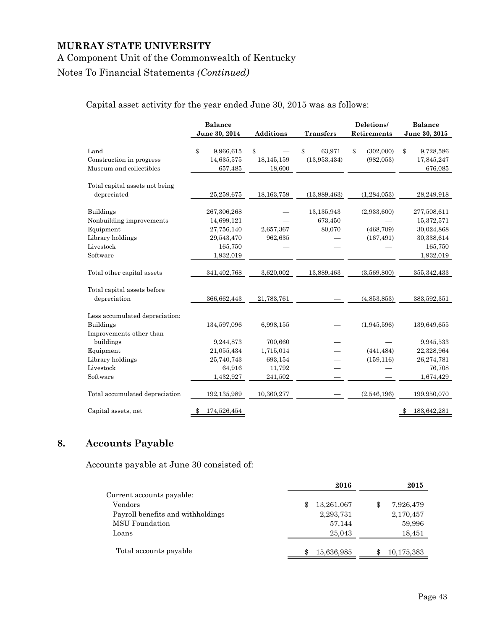# A Component Unit of the Commonwealth of Kentucky

# Notes To Financial Statements *(Continued)*

#### Capital asset activity for the year ended June 30, 2015 was as follows:

|                                                             | <b>Balance</b><br>June 30, 2014          | Additions                  | <b>Transfers</b>             | Deletions/<br>Retirements     | <b>Balance</b><br>June 30, 2015          |
|-------------------------------------------------------------|------------------------------------------|----------------------------|------------------------------|-------------------------------|------------------------------------------|
| Land<br>Construction in progress<br>Museum and collectibles | \$<br>9,966,615<br>14,635,575<br>657,485 | \$<br>18,145,159<br>18,600 | \$<br>63,971<br>(13,953,434) | \$<br>(302,000)<br>(982, 053) | \$<br>9,728,586<br>17,845,247<br>676,085 |
| Total capital assets not being                              |                                          |                            |                              |                               |                                          |
| depreciated                                                 | 25,259,675                               | 18, 163, 759               | (13,889,463)                 | (1, 284, 053)                 | 28,249,918                               |
| <b>Buildings</b>                                            | 267,306,268                              |                            | 13,135,943                   | (2,933,600)                   | 277,508,611                              |
| Nonbuilding improvements                                    | 14,699,121                               |                            | 673,450                      |                               | 15,372,571                               |
| Equipment                                                   | 27,756,140                               | 2,657,367                  | 80,070                       | (468, 709)                    | 30,024,868                               |
| Library holdings                                            | 29,543,470                               | 962,635                    |                              | (167, 491)                    | 30,338,614                               |
| Livestock                                                   | 165,750                                  |                            |                              |                               | 165,750                                  |
| Software                                                    | 1,932,019                                |                            |                              |                               | 1,932,019                                |
| Total other capital assets                                  | 341,402,768                              | 3,620,002                  | 13,889,463                   | (3,569,800)                   | 355, 342, 433                            |
| Total capital assets before                                 |                                          |                            |                              |                               |                                          |
| depreciation                                                | 366,662,443                              | 21,783,761                 |                              | (4,853,853)                   | 383,592,351                              |
| Less accumulated depreciation:                              |                                          |                            |                              |                               |                                          |
| <b>Buildings</b>                                            | 134,597,096                              | 6,998,155                  |                              | (1,945,596)                   | 139,649,655                              |
| Improvements other than                                     |                                          |                            |                              |                               |                                          |
| buildings                                                   | 9,244,873                                | 700,660                    |                              |                               | 9,945,533                                |
| Equipment                                                   | 21,055,434                               | 1,715,014                  |                              | (441, 484)                    | 22,328,964                               |
| Library holdings                                            | 25,740,743                               | 693,154                    |                              | (159, 116)                    | 26,274,781                               |
| Livestock                                                   | 64,916                                   | 11,792                     |                              |                               | 76,708                                   |
| Software                                                    | 1,432,927                                | 241,502                    |                              |                               | 1,674,429                                |
| Total accumulated depreciation                              | 192,135,989                              | 10,360,277                 |                              | (2,546,196)                   | 199,950,070                              |
| Capital assets, net                                         | 174,526,454                              |                            |                              |                               | 183,642,281                              |

# **8. Accounts Payable**

Accounts payable at June 30 consisted of:

|                                   | 2016             | 2015       |
|-----------------------------------|------------------|------------|
| Current accounts payable:         |                  |            |
| Vendors                           | 13,261,067<br>\$ | 7,926,479  |
| Payroll benefits and withholdings | 2,293,731        | 2,170,457  |
| <b>MSU</b> Foundation             | 57,144           | 59,996     |
| Loans                             | 25,043           | 18,451     |
| Total accounts payable            | 15,636,985       | 10,175,383 |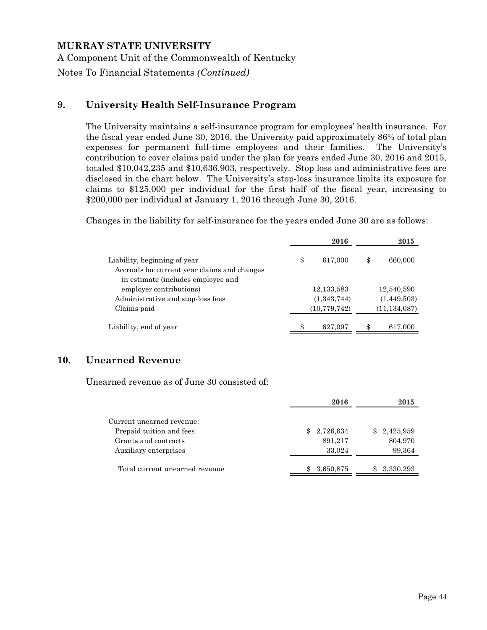Notes To Financial Statements *(Continued)*

# **9. University Health Self-Insurance Program**

The University maintains a self-insurance program for employees' health insurance. For the fiscal year ended June 30, 2016, the University paid approximately 86% of total plan expenses for permanent full-time employees and their families. The University's contribution to cover claims paid under the plan for years ended June 30, 2016 and 2015, totaled \$10,042,235 and \$10,636,903, respectively. Stop loss and administrative fees are disclosed in the chart below. The University's stop-loss insurance limits its exposure for claims to \$125,000 per individual for the first half of the fiscal year, increasing to \$200,000 per individual at January 1, 2016 through June 30, 2016.

Changes in the liability for self-insurance for the years ended June 30 are as follows:

|                                                                              | 2016           | 2015           |
|------------------------------------------------------------------------------|----------------|----------------|
| Liability, beginning of year<br>Accruals for current year claims and changes | \$<br>617,000  | \$<br>660,000  |
| in estimate (includes employee and                                           |                |                |
| employer contributions)                                                      | 12,133,583     | 12,540,590     |
| Administrative and stop-loss fees                                            | (1,343,744)    | (1,449,503)    |
| Claims paid                                                                  | (10, 779, 742) | (11, 134, 087) |
| Liability, end of year                                                       | \$<br>627,097  | \$<br>617,000  |

# **10. Unearned Revenue**

Unearned revenue as of June 30 consisted of:

|                                | 2016             | 2015      |
|--------------------------------|------------------|-----------|
| Current unearned revenue:      |                  |           |
| Prepaid tuition and fees       | 2,726,634<br>SS. | 2,425,959 |
| Grants and contracts           | 891,217          | 804,970   |
| Auxiliary enterprises          | 33,024           | 99,364    |
|                                |                  |           |
| Total current unearned revenue | 3,650,875        | 3,330,293 |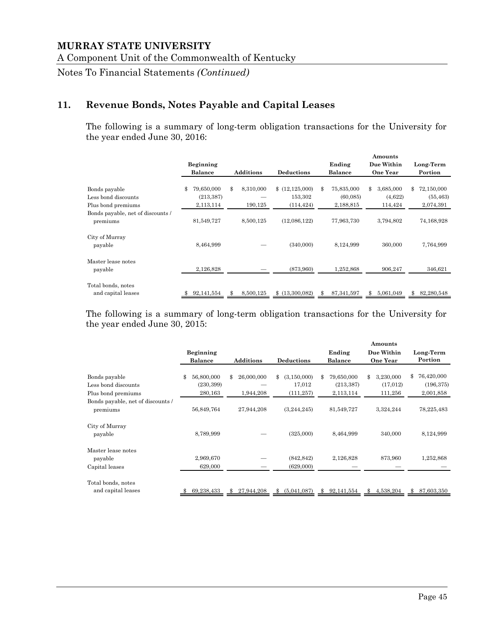A Component Unit of the Commonwealth of Kentucky

Notes To Financial Statements *(Continued)*

# **11. Revenue Bonds, Notes Payable and Capital Leases**

The following is a summary of long-term obligation transactions for the University for the year ended June 30, 2016:

|                                               |                                |                  |                           |                               | Amounts                    |                               |
|-----------------------------------------------|--------------------------------|------------------|---------------------------|-------------------------------|----------------------------|-------------------------------|
|                                               | <b>Beginning</b>               |                  |                           | Ending                        | Due Within                 | Long-Term                     |
|                                               | <b>Balance</b>                 | <b>Additions</b> | <b>Deductions</b>         | <b>Balance</b>                | <b>One Year</b>            | Portion                       |
| Bonds payable<br>Less bond discounts          | 79,650,000<br>\$<br>(213, 387) | \$<br>8,310,000  | (12, 125, 000)<br>153,302 | \$<br>75,835,000<br>(60, 085) | \$<br>3,685,000<br>(4,622) | 72,150,000<br>\$<br>(55, 463) |
| Plus bond premiums                            | 2,113,114                      | 190,125          | (114, 424)                | 2,188,815                     | 114,424                    | 2,074,391                     |
| Bonds payable, net of discounts /<br>premiums | 81,549,727                     | 8,500,125        | (12,086,122)              | 77,963,730                    | 3,794,802                  | 74,168,928                    |
| City of Murray<br>payable                     | 8,464,999                      |                  | (340,000)                 | 8,124,999                     | 360,000                    | 7,764,999                     |
| Master lease notes<br>payable                 | 2,126,828                      |                  | (873,960)                 | 1,252,868                     | 906,247                    | 346,621                       |
| Total bonds, notes<br>and capital leases      | 92,141,554                     | 8,500,125        | \$(13,300,082)            | \$<br>87, 341, 597            | \$<br>5,061,049            | 82,280,548<br>\$              |

The following is a summary of long-term obligation transactions for the University for the year ended June 30, 2015:

|                                   |                  |                  |                     |                  | Amounts         |                  |
|-----------------------------------|------------------|------------------|---------------------|------------------|-----------------|------------------|
|                                   | Beginning        |                  |                     | Ending           | Due Within      | Long-Term        |
|                                   | <b>Balance</b>   | <b>Additions</b> | <b>Deductions</b>   | <b>Balance</b>   | <b>One Year</b> | Portion          |
|                                   |                  |                  |                     |                  |                 |                  |
| Bonds payable                     | 56,800,000<br>\$ | \$<br>26,000,000 | \$<br>(3, 150, 000) | 79,650,000<br>\$ | 3,230,000<br>\$ | 76,420,000<br>\$ |
| Less bond discounts               | (230, 399)       |                  | 17,012              | (213, 387)       | (17, 012)       | (196, 375)       |
| Plus bond premiums                | 280,163          | 1,944,208        | (111, 257)          | 2,113,114        | 111,256         | 2,001,858        |
| Bonds payable, net of discounts / |                  |                  |                     |                  |                 |                  |
| premiums                          | 56,849,764       | 27,944,208       | (3,244,245)         | 81,549,727       | 3,324,244       | 78,225,483       |
| City of Murray                    |                  |                  |                     |                  |                 |                  |
| payable                           | 8,789,999        |                  | (325,000)           | 8,464,999        | 340,000         | 8,124,999        |
| Master lease notes                |                  |                  |                     |                  |                 |                  |
| payable                           | 2,969,670        |                  | (842, 842)          | 2,126,828        | 873,960         | 1,252,868        |
| Capital leases                    | 629,000          |                  | (629,000)           |                  |                 |                  |
| Total bonds, notes                |                  |                  |                     |                  |                 |                  |
| and capital leases                | 69,238,433       | 27,944,208       | (5,041,087)<br>\$   | 92,141,554<br>\$ | 4,538,204<br>\$ | 87,603,350<br>\$ |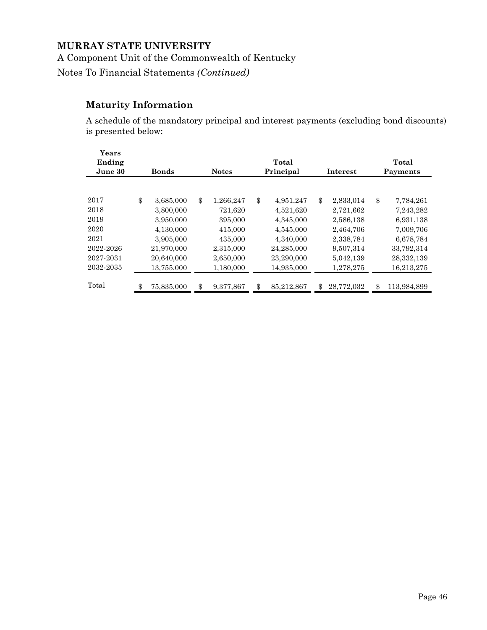A Component Unit of the Commonwealth of Kentucky

Notes To Financial Statements *(Continued)*

# **Maturity Information**

A schedule of the mandatory principal and interest payments (excluding bond discounts) is presented below:

| Years<br>Ending<br>June 30 | <b>Bonds</b>     | Total<br><b>Notes</b><br>Principal<br><b>Interest</b> |           |    |            |    |            |    | Total<br>Payments |  |  |  |
|----------------------------|------------------|-------------------------------------------------------|-----------|----|------------|----|------------|----|-------------------|--|--|--|
|                            |                  |                                                       |           |    |            |    |            |    |                   |  |  |  |
| 2017                       | \$<br>3,685,000  | \$                                                    | 1,266,247 | \$ | 4,951,247  | \$ | 2,833,014  | \$ | 7,784,261         |  |  |  |
| 2018                       | 3,800,000        |                                                       | 721,620   |    | 4,521,620  |    | 2,721,662  |    | 7,243,282         |  |  |  |
| 2019                       | 3,950,000        |                                                       | 395,000   |    | 4,345,000  |    | 2,586,138  |    | 6,931,138         |  |  |  |
| 2020                       | 4,130,000        |                                                       | 415,000   |    | 4,545,000  |    | 2,464,706  |    | 7,009,706         |  |  |  |
| 2021                       | 3,905,000        |                                                       | 435,000   |    | 4,340,000  |    | 2,338,784  |    | 6,678,784         |  |  |  |
| 2022-2026                  | 21.970.000       |                                                       | 2.315,000 |    | 24,285,000 |    | 9,507,314  |    | 33,792,314        |  |  |  |
| 2027-2031                  | 20,640,000       |                                                       | 2,650,000 |    | 23,290,000 |    | 5,042,139  |    | 28,332,139        |  |  |  |
| 2032-2035                  | 13,755,000       |                                                       | 1,180,000 |    | 14,935,000 |    | 1,278,275  |    | 16,213,275        |  |  |  |
| Total                      | \$<br>75,835,000 | \$                                                    | 9,377,867 | \$ | 85,212,867 | \$ | 28,772,032 | \$ | 113,984,899       |  |  |  |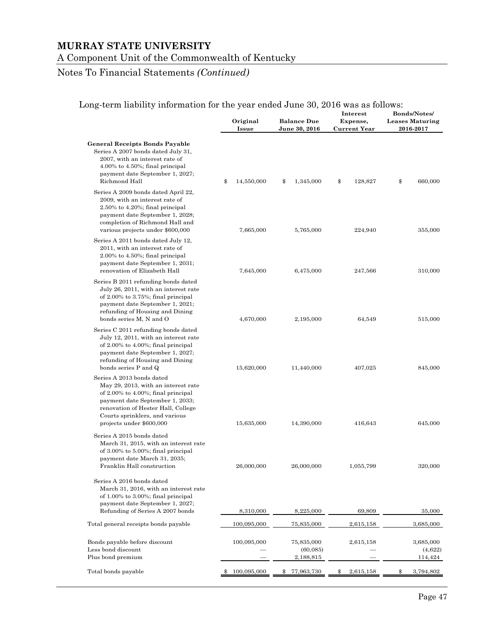#### A Component Unit of the Commonwealth of Kentucky

# Notes To Financial Statements *(Continued)*

| ong ichii naonny miorinanon'ny tin'year enaca banc 90, 2010 was as fono                                                                                                                                                                              | Original<br>Issue | <b>Balance Due</b><br>June 30, 2016        | Interest<br>Expense,<br><b>Current Year</b> | <b>Bonds/Notes/</b><br><b>Leases Maturing</b><br>2016-2017 |  |
|------------------------------------------------------------------------------------------------------------------------------------------------------------------------------------------------------------------------------------------------------|-------------------|--------------------------------------------|---------------------------------------------|------------------------------------------------------------|--|
| General Receipts Bonds Payable<br>Series A 2007 bonds dated July 31,<br>2007, with an interest rate of<br>$4.00\%$ to $4.50\%$ ; final principal<br>payment date September 1, 2027;<br>Richmond Hall                                                 | \$<br>14,550,000  | \$<br>1,345,000                            | \$<br>128,827                               | \$<br>660,000                                              |  |
| Series A 2009 bonds dated April 22,<br>2009, with an interest rate of<br>$2.50\%$ to $4.20\%$ ; final principal<br>payment date September 1, 2028;<br>completion of Richmond Hall and<br>various projects under \$600,000                            | 7,665,000         | 5,765,000                                  | 224,940                                     | 355,000                                                    |  |
| Series A 2011 bonds dated July 12,<br>2011, with an interest rate of<br>$2.00\%$ to $4.50\%$ ; final principal<br>payment date September 1, 2031;<br>renovation of Elizabeth Hall                                                                    | 7,645,000         | 6,475,000                                  | 247,566                                     | 310,000                                                    |  |
| Series B 2011 refunding bonds dated<br>July 26, 2011, with an interest rate<br>of $2.00\%$ to $3.75\%$ ; final principal<br>payment date September 1, 2021;<br>refunding of Housing and Dining<br>bonds series M, N and O                            | 4,670,000         | 2,195,000                                  | 64,549                                      | 515,000                                                    |  |
| Series C 2011 refunding bonds dated<br>July 12, 2011, with an interest rate<br>of $2.00\%$ to $4.00\%$ ; final principal<br>payment date September 1, 2027;<br>refunding of Housing and Dining<br>bonds series P and Q                               | 15,620,000        | 11,440,000                                 | 407,025                                     | 845,000                                                    |  |
| Series A 2013 bonds dated<br>May 29, 2013, with an interest rate<br>of $2.00\%$ to $4.00\%$ ; final principal<br>payment date September 1, 2033;<br>renovation of Hester Hall, College<br>Courts sprinklers, and various<br>projects under \$600,000 | 15,635,000        | 14,390,000                                 | 416,643                                     | 645,000                                                    |  |
| Series A 2015 bonds dated<br>March 31, 2015, with an interest rate<br>of $3.00\%$ to $5.00\%$ ; final principal<br>payment date March 31, 2035;<br>Franklin Hall construction                                                                        | 26,000,000        | 26,000,000                                 | 1,055,799                                   | 320,000                                                    |  |
| Series A 2016 bonds dated<br>March 31, 2016, with an interest rate<br>of $1.00\%$ to $3.00\%$ ; final principal<br>payment date September 1, 2027;                                                                                                   |                   |                                            |                                             |                                                            |  |
| Refunding of Series A 2007 bonds                                                                                                                                                                                                                     | 8,310,000         | 8,225,000                                  | 69,809                                      | 35,000                                                     |  |
| Total general receipts bonds payable                                                                                                                                                                                                                 | 100,095,000       | 75,835,000                                 | 2,615,158                                   | 3,685,000                                                  |  |
| Bonds payable before discount<br>Less bond discount<br>Plus bond premium                                                                                                                                                                             | 100,095,000       | 75,835,000<br>(60,085)<br><u>2,188,815</u> | 2,615,158                                   | 3,685,000<br>(4,622)<br>114,424                            |  |
| Total bonds payable                                                                                                                                                                                                                                  | 100,095,000<br>\$ | 77,963,730<br>$\mathbb{S}$                 | 2,615,158<br>\$                             | \$<br>3,794,802                                            |  |

#### Long-term liability information for the year ended June 30, 2016 was as follows: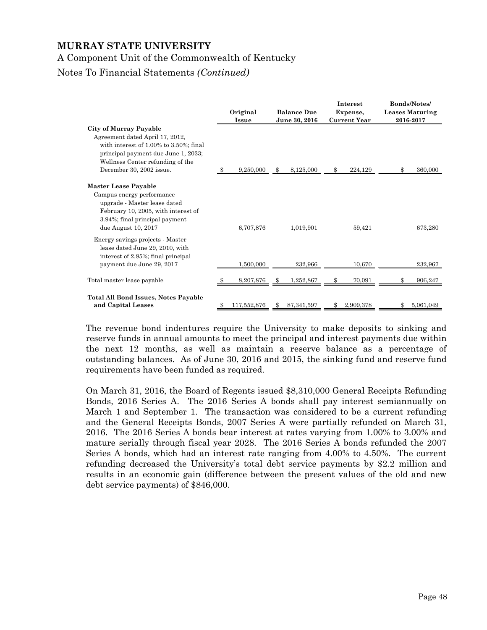A Component Unit of the Commonwealth of Kentucky

#### Notes To Financial Statements *(Continued)*

|                                                                                                                                                                                                                   | Original<br><b>Issue</b> | <b>Balance Due</b><br>June 30, 2016 | <b>Interest</b><br>Expense,<br><b>Current Year</b> |    | <b>Bonds/Notes/</b><br><b>Leases Maturing</b><br>2016-2017 |
|-------------------------------------------------------------------------------------------------------------------------------------------------------------------------------------------------------------------|--------------------------|-------------------------------------|----------------------------------------------------|----|------------------------------------------------------------|
| <b>City of Murray Payable</b><br>Agreement dated April 17, 2012,<br>with interest of 1.00% to 3.50%; final<br>principal payment due June 1, 2033;<br>Wellness Center refunding of the<br>December 30, 2002 issue. | \$<br>9,250,000          | \$<br>8,125,000                     | \$<br>224,129                                      | \$ | 360,000                                                    |
| <b>Master Lease Payable</b><br>Campus energy performance<br>upgrade - Master lease dated<br>February 10, 2005, with interest of<br>3.94%; final principal payment<br>due August 10, 2017                          | 6,707,876                | 1,019,901                           | 59,421                                             |    | 673,280                                                    |
| Energy savings projects - Master<br>lease dated June 29, 2010, with<br>interest of 2.85%; final principal<br>payment due June 29, 2017                                                                            | 1.500.000                | 232,966                             | 10.670                                             |    | 232,967                                                    |
| Total master lease payable                                                                                                                                                                                        | 8,207,876                | 1,252,867                           | \$<br>70,091                                       | Ж, | 906,247                                                    |
| <b>Total All Bond Issues, Notes Payable</b><br>and Capital Leases                                                                                                                                                 | 117,552,876              | 87, 341, 597                        | 2.909.378                                          |    | 5.061.049                                                  |

The revenue bond indentures require the University to make deposits to sinking and reserve funds in annual amounts to meet the principal and interest payments due within the next 12 months, as well as maintain a reserve balance as a percentage of outstanding balances. As of June 30, 2016 and 2015, the sinking fund and reserve fund requirements have been funded as required.

On March 31, 2016, the Board of Regents issued \$8,310,000 General Receipts Refunding Bonds, 2016 Series A. The 2016 Series A bonds shall pay interest semiannually on March 1 and September 1. The transaction was considered to be a current refunding and the General Receipts Bonds, 2007 Series A were partially refunded on March 31, 2016. The 2016 Series A bonds bear interest at rates varying from 1.00% to 3.00% and mature serially through fiscal year 2028. The 2016 Series A bonds refunded the 2007 Series A bonds, which had an interest rate ranging from 4.00% to 4.50%. The current refunding decreased the University's total debt service payments by \$2.2 million and results in an economic gain (difference between the present values of the old and new debt service payments) of \$846,000.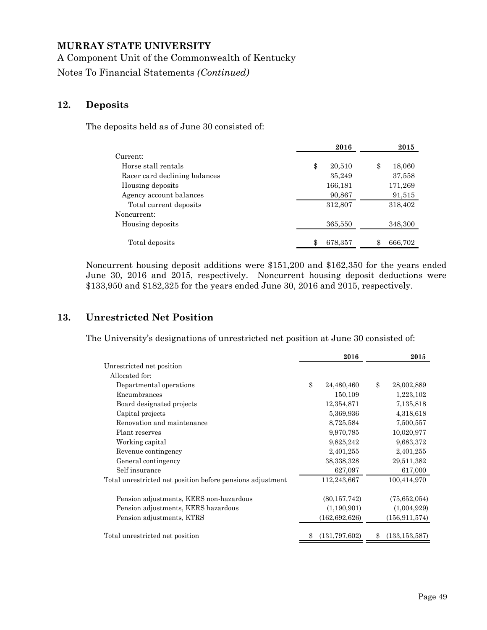A Component Unit of the Commonwealth of Kentucky

Notes To Financial Statements *(Continued)*

#### **12. Deposits**

The deposits held as of June 30 consisted of:

|                               |         | 2016         | 2015    |
|-------------------------------|---------|--------------|---------|
| Current:                      |         |              |         |
| Horse stall rentals           | \$      | 20,510<br>\$ | 18,060  |
| Racer card declining balances |         | 35,249       | 37,558  |
| Housing deposits              | 166,181 |              | 171,269 |
| Agency account balances       | 90,867  |              | 91,515  |
| Total current deposits        | 312,807 |              | 318,402 |
| Noncurrent:                   |         |              |         |
| Housing deposits              | 365,550 |              | 348,300 |
|                               |         |              |         |
| Total deposits                | 678,357 |              | 666,702 |

Noncurrent housing deposit additions were \$151,200 and \$162,350 for the years ended June 30, 2016 and 2015, respectively. Noncurrent housing deposit deductions were \$133,950 and \$182,325 for the years ended June 30, 2016 and 2015, respectively.

## **13. Unrestricted Net Position**

The University's designations of unrestricted net position at June 30 consisted of:

|                                                            | 2016             | 2015                  |
|------------------------------------------------------------|------------------|-----------------------|
| Unrestricted net position                                  |                  |                       |
| Allocated for:                                             |                  |                       |
| Departmental operations                                    | \$<br>24,480,460 | \$<br>28,002,889      |
| Encumbrances                                               | 150,109          | 1,223,102             |
| Board designated projects                                  | 12,354,871       | 7,135,818             |
| Capital projects                                           | 5,369,936        | 4,318,618             |
| Renovation and maintenance                                 | 8,725,584        | 7,500,557             |
| Plant reserves                                             | 9,970,785        | 10,020,977            |
| Working capital                                            | 9,825,242        | 9,683,372             |
| Revenue contingency                                        | 2,401,255        | 2,401,255             |
| General contingency                                        | 38,338,328       | 29,511,382            |
| Self insurance                                             | 627,097          | 617,000               |
| Total unrestricted net position before pensions adjustment | 112,243,667      | 100,414,970           |
| Pension adjustments, KERS non-hazardous                    | (80, 157, 742)   | (75,652,054)          |
| Pension adjustments, KERS hazardous                        | (1,190,901)      | (1,004,929)           |
| Pension adjustments, KTRS                                  | (162, 692, 626)  | (156, 911, 574)       |
| Total unrestricted net position                            | (131, 797, 602)  | \$<br>(133, 153, 587) |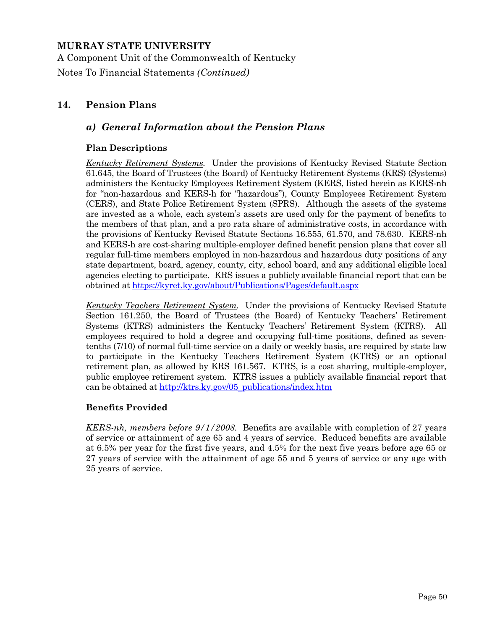A Component Unit of the Commonwealth of Kentucky

Notes To Financial Statements *(Continued)*

# **14. Pension Plans**

# *a) General Information about the Pension Plans*

#### **Plan Descriptions**

*Kentucky Retirement Systems.* Under the provisions of Kentucky Revised Statute Section 61.645, the Board of Trustees (the Board) of Kentucky Retirement Systems (KRS) (Systems) administers the Kentucky Employees Retirement System (KERS, listed herein as KERS-nh for "non-hazardous and KERS-h for "hazardous"), County Employees Retirement System (CERS), and State Police Retirement System (SPRS). Although the assets of the systems are invested as a whole, each system's assets are used only for the payment of benefits to the members of that plan, and a pro rata share of administrative costs, in accordance with the provisions of Kentucky Revised Statute Sections 16.555, 61.570, and 78.630. KERS-nh and KERS-h are cost‐sharing multiple‐employer defined benefit pension plans that cover all regular full-time members employed in non-hazardous and hazardous duty positions of any state department, board, agency, county, city, school board, and any additional eligible local agencies electing to participate. KRS issues a publicly available financial report that can be obtained at https://kyret.ky.gov/about/Publications/Pages/default.aspx

*Kentucky Teachers Retirement System.* Under the provisions of Kentucky Revised Statute Section 161.250, the Board of Trustees (the Board) of Kentucky Teachers' Retirement Systems (KTRS) administers the Kentucky Teachers' Retirement System (KTRS). All employees required to hold a degree and occupying full-time positions, defined as seventenths (7/10) of normal full-time service on a daily or weekly basis, are required by state law to participate in the Kentucky Teachers Retirement System (KTRS) or an optional retirement plan, as allowed by KRS 161.567. KTRS, is a cost sharing, multiple-employer, public employee retirement system. KTRS issues a publicly available financial report that can be obtained at http://ktrs.ky.gov/05\_publications/index.htm

#### **Benefits Provided**

*KERS-nh, members before 9/1/2008.* Benefits are available with completion of 27 years of service or attainment of age 65 and 4 years of service. Reduced benefits are available at 6.5% per year for the first five years, and 4.5% for the next five years before age 65 or 27 years of service with the attainment of age 55 and 5 years of service or any age with 25 years of service.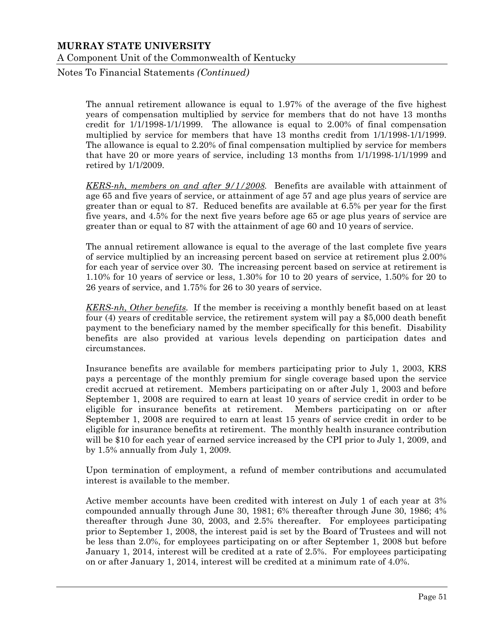Notes To Financial Statements *(Continued)*

The annual retirement allowance is equal to 1.97% of the average of the five highest years of compensation multiplied by service for members that do not have 13 months credit for 1/1/1998-1/1/1999. The allowance is equal to 2.00% of final compensation multiplied by service for members that have 13 months credit from 1/1/1998-1/1/1999. The allowance is equal to 2.20% of final compensation multiplied by service for members that have 20 or more years of service, including 13 months from 1/1/1998-1/1/1999 and retired by 1/1/2009.

*KERS-nh, members on and after 9/1/2008.* Benefits are available with attainment of age 65 and five years of service, or attainment of age 57 and age plus years of service are greater than or equal to 87. Reduced benefits are available at 6.5% per year for the first five years, and 4.5% for the next five years before age 65 or age plus years of service are greater than or equal to 87 with the attainment of age 60 and 10 years of service.

The annual retirement allowance is equal to the average of the last complete five years of service multiplied by an increasing percent based on service at retirement plus 2.00% for each year of service over 30. The increasing percent based on service at retirement is 1.10% for 10 years of service or less, 1.30% for 10 to 20 years of service, 1.50% for 20 to 26 years of service, and 1.75% for 26 to 30 years of service.

*KERS-nh, Other benefits.* If the member is receiving a monthly benefit based on at least four (4) years of creditable service, the retirement system will pay a \$5,000 death benefit payment to the beneficiary named by the member specifically for this benefit. Disability benefits are also provided at various levels depending on participation dates and circumstances.

 Insurance benefits are available for members participating prior to July 1, 2003, KRS pays a percentage of the monthly premium for single coverage based upon the service credit accrued at retirement. Members participating on or after July 1, 2003 and before September 1, 2008 are required to earn at least 10 years of service credit in order to be eligible for insurance benefits at retirement. Members participating on or after September 1, 2008 are required to earn at least 15 years of service credit in order to be eligible for insurance benefits at retirement. The monthly health insurance contribution will be \$10 for each year of earned service increased by the CPI prior to July 1, 2009, and by 1.5% annually from July 1, 2009.

 Upon termination of employment, a refund of member contributions and accumulated interest is available to the member.

 Active member accounts have been credited with interest on July 1 of each year at 3% compounded annually through June 30, 1981; 6% thereafter through June 30, 1986; 4% thereafter through June 30, 2003, and 2.5% thereafter. For employees participating prior to September 1, 2008, the interest paid is set by the Board of Trustees and will not be less than 2.0%, for employees participating on or after September 1, 2008 but before January 1, 2014, interest will be credited at a rate of 2.5%. For employees participating on or after January 1, 2014, interest will be credited at a minimum rate of 4.0%.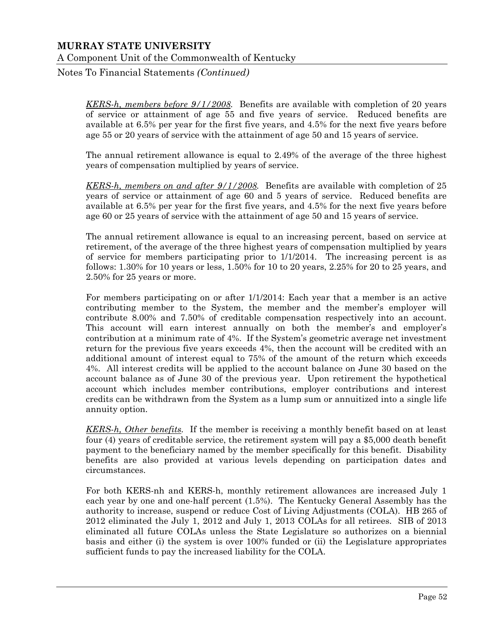Notes To Financial Statements *(Continued)*

*KERS-h, members before 9/1/2008.* Benefits are available with completion of 20 years of service or attainment of age 55 and five years of service. Reduced benefits are available at 6.5% per year for the first five years, and 4.5% for the next five years before age 55 or 20 years of service with the attainment of age 50 and 15 years of service.

The annual retirement allowance is equal to 2.49% of the average of the three highest years of compensation multiplied by years of service.

*KERS-h, members on and after 9/1/2008.* Benefits are available with completion of 25 years of service or attainment of age 60 and 5 years of service. Reduced benefits are available at 6.5% per year for the first five years, and 4.5% for the next five years before age 60 or 25 years of service with the attainment of age 50 and 15 years of service.

The annual retirement allowance is equal to an increasing percent, based on service at retirement, of the average of the three highest years of compensation multiplied by years of service for members participating prior to 1/1/2014. The increasing percent is as follows: 1.30% for 10 years or less, 1.50% for 10 to 20 years, 2.25% for 20 to 25 years, and 2.50% for 25 years or more.

For members participating on or after 1/1/2014: Each year that a member is an active contributing member to the System, the member and the member's employer will contribute 8.00% and 7.50% of creditable compensation respectively into an account. This account will earn interest annually on both the member's and employer's contribution at a minimum rate of 4%. If the System's geometric average net investment return for the previous five years exceeds 4%, then the account will be credited with an additional amount of interest equal to 75% of the amount of the return which exceeds 4%. All interest credits will be applied to the account balance on June 30 based on the account balance as of June 30 of the previous year. Upon retirement the hypothetical account which includes member contributions, employer contributions and interest credits can be withdrawn from the System as a lump sum or annuitized into a single life annuity option.

*KERS-h, Other benefits.* If the member is receiving a monthly benefit based on at least four (4) years of creditable service, the retirement system will pay a \$5,000 death benefit payment to the beneficiary named by the member specifically for this benefit. Disability benefits are also provided at various levels depending on participation dates and circumstances.

For both KERS-nh and KERS-h, monthly retirement allowances are increased July 1 each year by one and one-half percent (1.5%). The Kentucky General Assembly has the authority to increase, suspend or reduce Cost of Living Adjustments (COLA). HB 265 of 2012 eliminated the July 1, 2012 and July 1, 2013 COLAs for all retirees. SIB of 2013 eliminated all future COLAs unless the State Legislature so authorizes on a biennial basis and either (i) the system is over 100% funded or (ii) the Legislature appropriates sufficient funds to pay the increased liability for the COLA.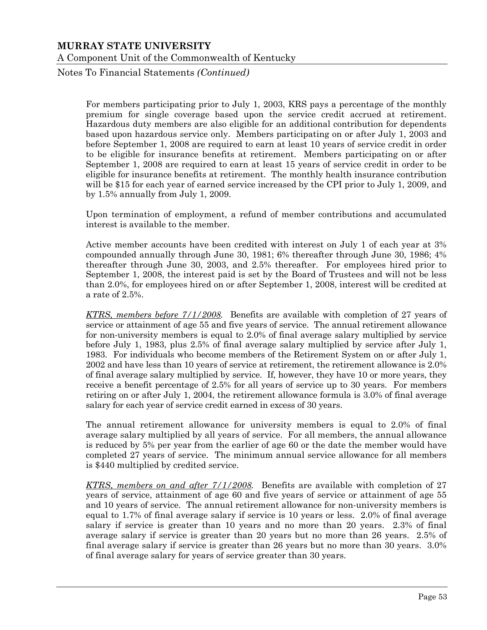Notes To Financial Statements *(Continued)*

For members participating prior to July 1, 2003, KRS pays a percentage of the monthly premium for single coverage based upon the service credit accrued at retirement. Hazardous duty members are also eligible for an additional contribution for dependents based upon hazardous service only. Members participating on or after July 1, 2003 and before September 1, 2008 are required to earn at least 10 years of service credit in order to be eligible for insurance benefits at retirement. Members participating on or after September 1, 2008 are required to earn at least 15 years of service credit in order to be eligible for insurance benefits at retirement. The monthly health insurance contribution will be \$15 for each year of earned service increased by the CPI prior to July 1, 2009, and by 1.5% annually from July 1, 2009.

Upon termination of employment, a refund of member contributions and accumulated interest is available to the member.

Active member accounts have been credited with interest on July 1 of each year at 3% compounded annually through June 30, 1981; 6% thereafter through June 30, 1986; 4% thereafter through June 30, 2003, and 2.5% thereafter. For employees hired prior to September 1, 2008, the interest paid is set by the Board of Trustees and will not be less than 2.0%, for employees hired on or after September 1, 2008, interest will be credited at a rate of 2.5%.

*KTRS, members before 7/1/2008.* Benefits are available with completion of 27 years of service or attainment of age 55 and five years of service. The annual retirement allowance for non-university members is equal to 2.0% of final average salary multiplied by service before July 1, 1983, plus 2.5% of final average salary multiplied by service after July 1, 1983. For individuals who become members of the Retirement System on or after July 1, 2002 and have less than 10 years of service at retirement, the retirement allowance is 2.0% of final average salary multiplied by service. If, however, they have 10 or more years, they receive a benefit percentage of 2.5% for all years of service up to 30 years. For members retiring on or after July 1, 2004, the retirement allowance formula is 3.0% of final average salary for each year of service credit earned in excess of 30 years.

The annual retirement allowance for university members is equal to 2.0% of final average salary multiplied by all years of service. For all members, the annual allowance is reduced by 5% per year from the earlier of age 60 or the date the member would have completed 27 years of service. The minimum annual service allowance for all members is \$440 multiplied by credited service.

*KTRS, members on and after 7/1/2008.* Benefits are available with completion of 27 years of service, attainment of age 60 and five years of service or attainment of age 55 and 10 years of service. The annual retirement allowance for non-university members is equal to 1.7% of final average salary if service is 10 years or less. 2.0% of final average salary if service is greater than 10 years and no more than 20 years. 2.3% of final average salary if service is greater than 20 years but no more than 26 years. 2.5% of final average salary if service is greater than 26 years but no more than 30 years. 3.0% of final average salary for years of service greater than 30 years.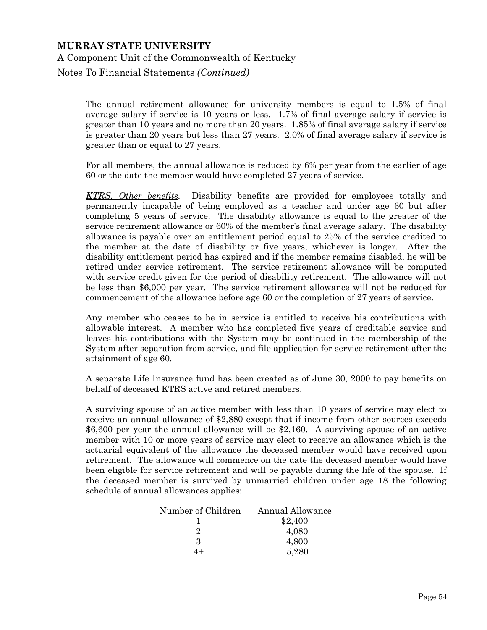Notes To Financial Statements *(Continued)*

The annual retirement allowance for university members is equal to 1.5% of final average salary if service is 10 years or less. 1.7% of final average salary if service is greater than 10 years and no more than 20 years. 1.85% of final average salary if service is greater than 20 years but less than 27 years. 2.0% of final average salary if service is greater than or equal to 27 years.

For all members, the annual allowance is reduced by 6% per year from the earlier of age 60 or the date the member would have completed 27 years of service.

*KTRS, Other benefits.* Disability benefits are provided for employees totally and permanently incapable of being employed as a teacher and under age 60 but after completing 5 years of service. The disability allowance is equal to the greater of the service retirement allowance or 60% of the member's final average salary. The disability allowance is payable over an entitlement period equal to 25% of the service credited to the member at the date of disability or five years, whichever is longer. After the disability entitlement period has expired and if the member remains disabled, he will be retired under service retirement. The service retirement allowance will be computed with service credit given for the period of disability retirement. The allowance will not be less than \$6,000 per year. The service retirement allowance will not be reduced for commencement of the allowance before age 60 or the completion of 27 years of service.

 Any member who ceases to be in service is entitled to receive his contributions with allowable interest. A member who has completed five years of creditable service and leaves his contributions with the System may be continued in the membership of the System after separation from service, and file application for service retirement after the attainment of age 60.

 A separate Life Insurance fund has been created as of June 30, 2000 to pay benefits on behalf of deceased KTRS active and retired members.

 A surviving spouse of an active member with less than 10 years of service may elect to receive an annual allowance of \$2,880 except that if income from other sources exceeds \$6,600 per year the annual allowance will be \$2,160. A surviving spouse of an active member with 10 or more years of service may elect to receive an allowance which is the actuarial equivalent of the allowance the deceased member would have received upon retirement. The allowance will commence on the date the deceased member would have been eligible for service retirement and will be payable during the life of the spouse. If the deceased member is survived by unmarried children under age 18 the following schedule of annual allowances applies:

| Number of Children | Annual Allowance |
|--------------------|------------------|
|                    | \$2,400          |
|                    | 4,080            |
| 3                  | 4,800            |
|                    | 5,280            |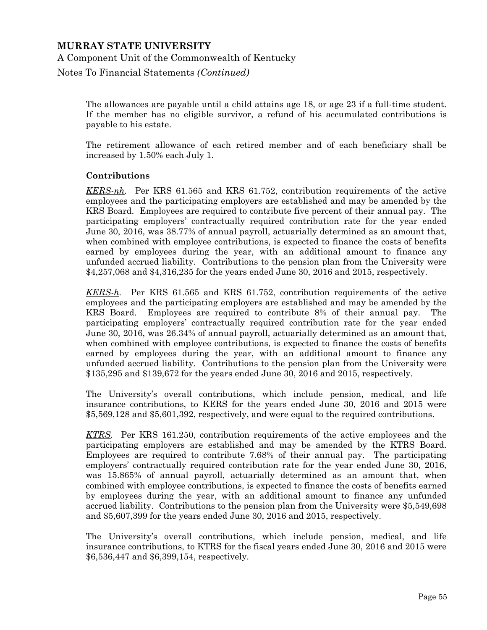Notes To Financial Statements *(Continued)*

The allowances are payable until a child attains age 18, or age 23 if a full-time student. If the member has no eligible survivor, a refund of his accumulated contributions is payable to his estate.

The retirement allowance of each retired member and of each beneficiary shall be increased by 1.50% each July 1.

#### **Contributions**

*KERS-nh.* Per KRS 61.565 and KRS 61.752, contribution requirements of the active employees and the participating employers are established and may be amended by the KRS Board. Employees are required to contribute five percent of their annual pay. The participating employers' contractually required contribution rate for the year ended June 30, 2016, was 38.77% of annual payroll, actuarially determined as an amount that, when combined with employee contributions, is expected to finance the costs of benefits earned by employees during the year, with an additional amount to finance any unfunded accrued liability. Contributions to the pension plan from the University were \$4,257,068 and \$4,316,235 for the years ended June 30, 2016 and 2015, respectively.

*KERS-h.* Per KRS 61.565 and KRS 61.752, contribution requirements of the active employees and the participating employers are established and may be amended by the KRS Board. Employees are required to contribute 8% of their annual pay. The participating employers' contractually required contribution rate for the year ended June 30, 2016, was 26.34% of annual payroll, actuarially determined as an amount that, when combined with employee contributions, is expected to finance the costs of benefits earned by employees during the year, with an additional amount to finance any unfunded accrued liability. Contributions to the pension plan from the University were \$135,295 and \$139,672 for the years ended June 30, 2016 and 2015, respectively.

The University's overall contributions, which include pension, medical, and life insurance contributions, to KERS for the years ended June 30, 2016 and 2015 were \$5,569,128 and \$5,601,392, respectively, and were equal to the required contributions.

*KTRS.* Per KRS 161.250, contribution requirements of the active employees and the participating employers are established and may be amended by the KTRS Board. Employees are required to contribute 7.68% of their annual pay. The participating employers' contractually required contribution rate for the year ended June 30, 2016, was 15.865% of annual payroll, actuarially determined as an amount that, when combined with employee contributions, is expected to finance the costs of benefits earned by employees during the year, with an additional amount to finance any unfunded accrued liability. Contributions to the pension plan from the University were \$5,549,698 and \$5,607,399 for the years ended June 30, 2016 and 2015, respectively.

 The University's overall contributions, which include pension, medical, and life insurance contributions, to KTRS for the fiscal years ended June 30, 2016 and 2015 were \$6,536,447 and \$6,399,154, respectively.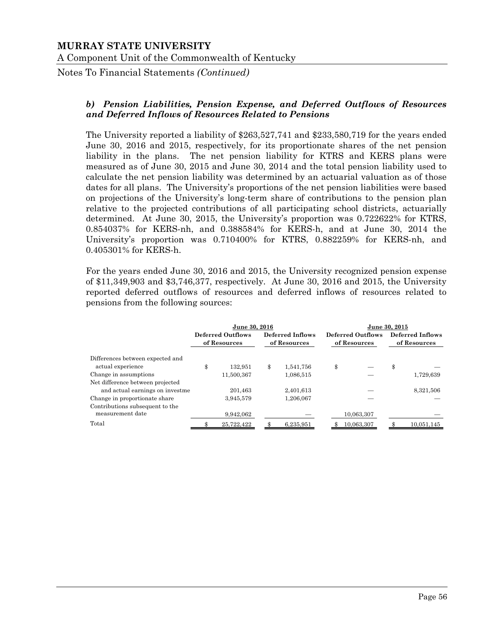Notes To Financial Statements *(Continued)*

#### *b) Pension Liabilities, Pension Expense, and Deferred Outflows of Resources and Deferred Inflows of Resources Related to Pensions*

The University reported a liability of \$263,527,741 and \$233,580,719 for the years ended June 30, 2016 and 2015, respectively, for its proportionate shares of the net pension liability in the plans. The net pension liability for KTRS and KERS plans were measured as of June 30, 2015 and June 30, 2014 and the total pension liability used to calculate the net pension liability was determined by an actuarial valuation as of those dates for all plans. The University's proportions of the net pension liabilities were based on projections of the University's long-term share of contributions to the pension plan relative to the projected contributions of all participating school districts, actuarially determined. At June 30, 2015, the University's proportion was 0.722622% for KTRS, 0.854037% for KERS-nh, and 0.388584% for KERS-h, and at June 30, 2014 the University's proportion was 0.710400% for KTRS, 0.882259% for KERS-nh, and 0.405301% for KERS-h.

For the years ended June 30, 2016 and 2015, the University recognized pension expense of \$11,349,903 and \$3,746,377, respectively. At June 30, 2016 and 2015, the University reported deferred outflows of resources and deferred inflows of resources related to pensions from the following sources:

|                                  |                                   | June 30, 2016 |                                  | June 30, 2015 |                                   |            |                                  |            |
|----------------------------------|-----------------------------------|---------------|----------------------------------|---------------|-----------------------------------|------------|----------------------------------|------------|
|                                  | Deferred Outflows<br>of Resources |               | Deferred Inflows<br>of Resources |               | Deferred Outflows<br>of Resources |            | Deferred Inflows<br>of Resources |            |
| Differences between expected and |                                   |               |                                  |               |                                   |            |                                  |            |
| actual experience                | \$                                | 132.951       | \$                               | 1.541.756     | \$                                |            | \$                               |            |
| Change in assumptions            |                                   | 11.500.367    |                                  | 1,086,515     |                                   |            |                                  | 1,729,639  |
| Net difference between projected |                                   |               |                                  |               |                                   |            |                                  |            |
| and actual earnings on investme  |                                   | 201.463       |                                  | 2,401,613     |                                   |            |                                  | 8,321,506  |
| Change in proportionate share    |                                   | 3,945,579     |                                  | 1,206,067     |                                   |            |                                  |            |
| Contributions subsequent to the  |                                   |               |                                  |               |                                   |            |                                  |            |
| measurement date                 |                                   | 9,942,062     |                                  |               |                                   | 10,063,307 |                                  |            |
| Total                            |                                   | 25,722,422    |                                  | 6,235,951     |                                   | 10,063,307 |                                  | 10.051.145 |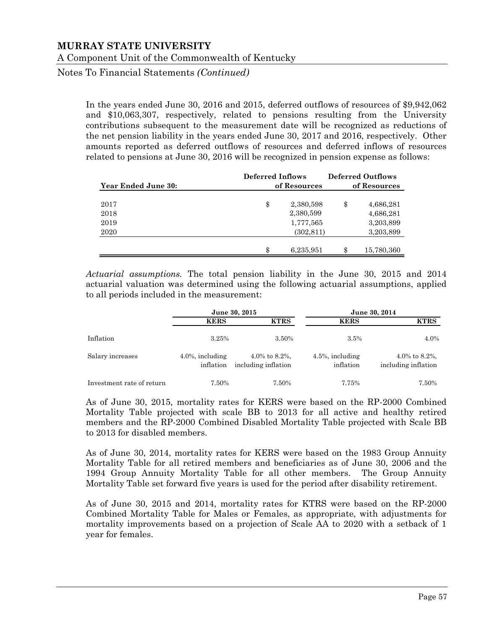Notes To Financial Statements *(Continued)*

In the years ended June 30, 2016 and 2015, deferred outflows of resources of \$9,942,062 and \$10,063,307, respectively, related to pensions resulting from the University contributions subsequent to the measurement date will be recognized as reductions of the net pension liability in the years ended June 30, 2017 and 2016, respectively. Other amounts reported as deferred outflows of resources and deferred inflows of resources related to pensions at June 30, 2016 will be recognized in pension expense as follows:

| Year Ended June 30: | <b>Deferred Inflows</b><br>of Resources | <b>Deferred Outflows</b><br>of Resources |            |  |
|---------------------|-----------------------------------------|------------------------------------------|------------|--|
| 2017                | \$<br>2,380,598                         | \$                                       | 4,686,281  |  |
| 2018                | 2,380,599                               |                                          | 4,686,281  |  |
| 2019                | 1,777,565                               |                                          | 3,203,899  |  |
| 2020                | (302, 811)                              |                                          | 3,203,899  |  |
|                     |                                         |                                          |            |  |
|                     | 6,235,951                               | \$                                       | 15,780,360 |  |

*Actuarial assumptions.* The total pension liability in the June 30, 2015 and 2014 actuarial valuation was determined using the following actuarial assumptions, applied to all periods included in the measurement:

|                           |                                  | June 30, 2015                        | June 30, 2014                    |                                      |  |
|---------------------------|----------------------------------|--------------------------------------|----------------------------------|--------------------------------------|--|
|                           | <b>KERS</b>                      | <b>KTRS</b>                          | <b>KERS</b>                      | <b>KTRS</b>                          |  |
| Inflation                 | 3.25%                            | 3.50%                                | $3.5\%$                          | 4.0%                                 |  |
| Salary increases          | $4.0\%$ , including<br>inflation | 4.0% to 8.2%,<br>including inflation | $4.5\%$ , including<br>inflation | 4.0% to 8.2%,<br>including inflation |  |
| Investment rate of return | 7.50%                            | 7.50%                                | 7.75%                            | 7.50%                                |  |

As of June 30, 2015, mortality rates for KERS were based on the RP-2000 Combined Mortality Table projected with scale BB to 2013 for all active and healthy retired members and the RP-2000 Combined Disabled Mortality Table projected with Scale BB to 2013 for disabled members.

As of June 30, 2014, mortality rates for KERS were based on the 1983 Group Annuity Mortality Table for all retired members and beneficiaries as of June 30, 2006 and the 1994 Group Annuity Mortality Table for all other members. The Group Annuity Mortality Table set forward five years is used for the period after disability retirement.

As of June 30, 2015 and 2014, mortality rates for KTRS were based on the RP-2000 Combined Mortality Table for Males or Females, as appropriate, with adjustments for mortality improvements based on a projection of Scale AA to 2020 with a setback of 1 year for females.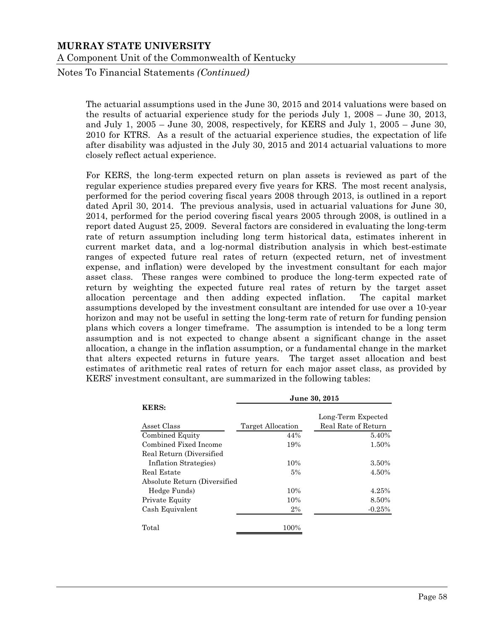Notes To Financial Statements *(Continued)*

The actuarial assumptions used in the June 30, 2015 and 2014 valuations were based on the results of actuarial experience study for the periods July 1, 2008 – June 30, 2013, and July 1, 2005 – June 30, 2008, respectively, for KERS and July 1, 2005 – June 30, 2010 for KTRS. As a result of the actuarial experience studies, the expectation of life after disability was adjusted in the July 30, 2015 and 2014 actuarial valuations to more closely reflect actual experience.

For KERS, the long-term expected return on plan assets is reviewed as part of the regular experience studies prepared every five years for KRS. The most recent analysis, performed for the period covering fiscal years 2008 through 2013, is outlined in a report dated April 30, 2014. The previous analysis, used in actuarial valuations for June 30, 2014, performed for the period covering fiscal years 2005 through 2008, is outlined in a report dated August 25, 2009. Several factors are considered in evaluating the long-term rate of return assumption including long term historical data, estimates inherent in current market data, and a log-normal distribution analysis in which best-estimate ranges of expected future real rates of return (expected return, net of investment expense, and inflation) were developed by the investment consultant for each major asset class. These ranges were combined to produce the long-term expected rate of return by weighting the expected future real rates of return by the target asset allocation percentage and then adding expected inflation. The capital market assumptions developed by the investment consultant are intended for use over a 10-year horizon and may not be useful in setting the long-term rate of return for funding pension plans which covers a longer timeframe. The assumption is intended to be a long term assumption and is not expected to change absent a significant change in the asset allocation, a change in the inflation assumption, or a fundamental change in the market that alters expected returns in future years. The target asset allocation and best estimates of arithmetic real rates of return for each major asset class, as provided by KERS' investment consultant, are summarized in the following tables:

|                               | June 30, 2015     |                     |  |  |  |  |  |
|-------------------------------|-------------------|---------------------|--|--|--|--|--|
| <b>KERS:</b>                  |                   | Long-Term Expected  |  |  |  |  |  |
| Asset Class                   | Target Allocation | Real Rate of Return |  |  |  |  |  |
| Combined Equity               | 44%               | 5.40%               |  |  |  |  |  |
| Combined Fixed Income         | 19%               | 1.50%               |  |  |  |  |  |
| Real Return (Diversified)     |                   |                     |  |  |  |  |  |
| Inflation Strategies)         | 10%               | 3.50%               |  |  |  |  |  |
| Real Estate                   | 5%                | 4.50%               |  |  |  |  |  |
| Absolute Return (Diversified) |                   |                     |  |  |  |  |  |
| Hedge Funds)                  | 10%               | 4.25%               |  |  |  |  |  |
| Private Equity                | 10%               | 8.50%               |  |  |  |  |  |
| Cash Equivalent               | $2\%$             | $-0.25%$            |  |  |  |  |  |
| Total                         | 100%              |                     |  |  |  |  |  |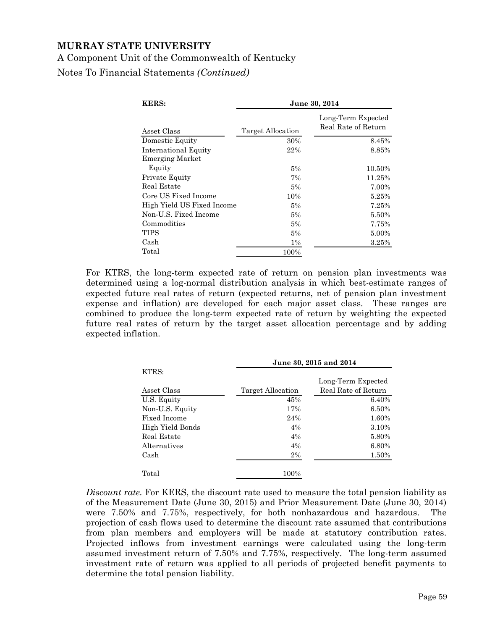A Component Unit of the Commonwealth of Kentucky

Notes To Financial Statements *(Continued)*

| <b>KERS:</b>               | June 30, 2014     |                                           |  |  |
|----------------------------|-------------------|-------------------------------------------|--|--|
| Asset Class                | Target Allocation | Long-Term Expected<br>Real Rate of Return |  |  |
| Domestic Equity            | 30%               | 8.45%                                     |  |  |
| International Equity       | 22%               | 8.85%                                     |  |  |
| <b>Emerging Market</b>     |                   |                                           |  |  |
| Equity                     | 5%                | 10.50%                                    |  |  |
| Private Equity             | 7%                | 11.25%                                    |  |  |
| Real Estate                | 5%                | 7.00%                                     |  |  |
| Core US Fixed Income       | 10%               | 5.25%                                     |  |  |
| High Yield US Fixed Income | 5%                | 7.25%                                     |  |  |
| Non-U.S. Fixed Income      | 5%                | 5.50%                                     |  |  |
| Commodities                | 5%                | 7.75%                                     |  |  |
| TIPS                       | 5%                | 5.00%                                     |  |  |
| Cash                       | $1\%$             | 3.25%                                     |  |  |
| Total                      | 100%              |                                           |  |  |

For KTRS, the long-term expected rate of return on pension plan investments was determined using a log-normal distribution analysis in which best-estimate ranges of expected future real rates of return (expected returns, net of pension plan investment expense and inflation) are developed for each major asset class. These ranges are combined to produce the long-term expected rate of return by weighting the expected future real rates of return by the target asset allocation percentage and by adding expected inflation.

|                  | June 30, 2015 and 2014 |                     |  |  |
|------------------|------------------------|---------------------|--|--|
| KTRS:            |                        | Long-Term Expected  |  |  |
| Asset Class      | Target Allocation      | Real Rate of Return |  |  |
| U.S. Equity      | 45%                    | 6.40%               |  |  |
| Non-U.S. Equity  | 17%                    | 6.50%               |  |  |
| Fixed Income     | 24%                    | 1.60%               |  |  |
| High Yield Bonds | 4%                     | 3.10%               |  |  |
| Real Estate      | $4\%$                  | 5.80%               |  |  |
| Alternatives     | $4\%$                  | 6.80%               |  |  |
| Cash             | $2\%$                  | 1.50%               |  |  |
| Total            | 100%                   |                     |  |  |

*Discount rate.* For KERS, the discount rate used to measure the total pension liability as of the Measurement Date (June 30, 2015) and Prior Measurement Date (June 30, 2014) were 7.50% and 7.75%, respectively, for both nonhazardous and hazardous. The projection of cash flows used to determine the discount rate assumed that contributions from plan members and employers will be made at statutory contribution rates. Projected inflows from investment earnings were calculated using the long-term assumed investment return of 7.50% and 7.75%, respectively. The long-term assumed investment rate of return was applied to all periods of projected benefit payments to determine the total pension liability.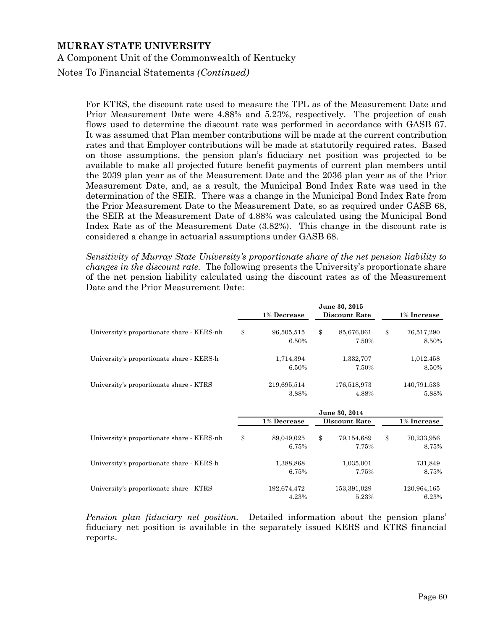Notes To Financial Statements *(Continued)*

For KTRS, the discount rate used to measure the TPL as of the Measurement Date and Prior Measurement Date were 4.88% and 5.23%, respectively. The projection of cash flows used to determine the discount rate was performed in accordance with GASB 67. It was assumed that Plan member contributions will be made at the current contribution rates and that Employer contributions will be made at statutorily required rates. Based on those assumptions, the pension plan's fiduciary net position was projected to be available to make all projected future benefit payments of current plan members until the 2039 plan year as of the Measurement Date and the 2036 plan year as of the Prior Measurement Date, and, as a result, the Municipal Bond Index Rate was used in the determination of the SEIR. There was a change in the Municipal Bond Index Rate from the Prior Measurement Date to the Measurement Date, so as required under GASB 68, the SEIR at the Measurement Date of 4.88% was calculated using the Municipal Bond Index Rate as of the Measurement Date (3.82%). This change in the discount rate is considered a change in actuarial assumptions under GASB 68.

*Sensitivity of Murray State University's proportionate share of the net pension liability to changes in the discount rate.* The following presents the University's proportionate share of the net pension liability calculated using the discount rates as of the Measurement Date and the Prior Measurement Date:

|                                            | June 30, 2015 |             |              |                      |    |             |
|--------------------------------------------|---------------|-------------|--------------|----------------------|----|-------------|
|                                            |               | 1% Decrease |              | <b>Discount Rate</b> |    | 1% Increase |
| University's proportionate share - KERS-nh | \$            | 96,505,515  | \$           | 85,676,061           | \$ | 76,517,290  |
|                                            |               | 6.50%       |              | 7.50%                |    | 8.50%       |
| University's proportionate share - KERS-h  |               | 1,714,394   |              | 1,332,707            |    | 1,012,458   |
|                                            |               | 6.50%       |              | 7.50%                |    | 8.50%       |
| University's proportionate share - KTRS    |               | 219,695,514 |              | 176,518,973          |    | 140,791,533 |
|                                            |               | 3.88%       |              | 4.88%                |    | 5.88%       |
|                                            |               |             |              | June 30, 2014        |    |             |
|                                            |               | 1% Decrease |              | <b>Discount Rate</b> |    | 1% Increase |
| University's proportionate share - KERS-nh | \$            | 89,049,025  | $\mathbb{S}$ | 79,154,689           | \$ | 70,233,956  |
|                                            |               | 6.75%       |              | 7.75%                |    | 8.75%       |
| University's proportionate share - KERS-h  |               | 1,388,868   |              | 1,035,001            |    | 731,849     |
|                                            |               | 6.75%       |              | 7.75%                |    | 8.75%       |
| University's proportionate share - KTRS    |               | 192,674,472 |              | 153,391,029          |    | 120,964,165 |
|                                            |               | 4.23%       |              | 5.23%                |    | 6.23%       |

*Pension plan fiduciary net position.* Detailed information about the pension plans' fiduciary net position is available in the separately issued KERS and KTRS financial reports.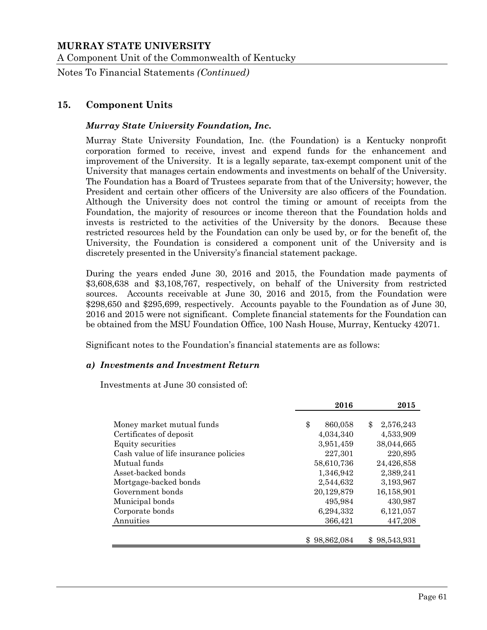A Component Unit of the Commonwealth of Kentucky

Notes To Financial Statements *(Continued)*

# **15. Component Units**

#### *Murray State University Foundation, Inc.*

Murray State University Foundation, Inc. (the Foundation) is a Kentucky nonprofit corporation formed to receive, invest and expend funds for the enhancement and improvement of the University. It is a legally separate, tax-exempt component unit of the University that manages certain endowments and investments on behalf of the University. The Foundation has a Board of Trustees separate from that of the University; however, the President and certain other officers of the University are also officers of the Foundation. Although the University does not control the timing or amount of receipts from the Foundation, the majority of resources or income thereon that the Foundation holds and invests is restricted to the activities of the University by the donors. Because these restricted resources held by the Foundation can only be used by, or for the benefit of, the University, the Foundation is considered a component unit of the University and is discretely presented in the University's financial statement package.

During the years ended June 30, 2016 and 2015, the Foundation made payments of \$3,608,638 and \$3,108,767, respectively, on behalf of the University from restricted sources. Accounts receivable at June 30, 2016 and 2015, from the Foundation were \$298,650 and \$295,699, respectively. Accounts payable to the Foundation as of June 30, 2016 and 2015 were not significant. Complete financial statements for the Foundation can be obtained from the MSU Foundation Office, 100 Nash House, Murray, Kentucky 42071.

Significant notes to the Foundation's financial statements are as follows:

#### *a) Investments and Investment Return*

Investments at June 30 consisted of:

|                                       | 2016          | 2015            |
|---------------------------------------|---------------|-----------------|
|                                       |               |                 |
| Money market mutual funds             | \$<br>860,058 | 2,576,243<br>\$ |
| Certificates of deposit               | 4,034,340     | 4,533,909       |
| Equity securities                     | 3,951,459     | 38,044,665      |
| Cash value of life insurance policies | 227.301       | 220,895         |
| Mutual funds                          | 58,610,736    | 24,426,858      |
| Asset-backed bonds                    | 1,346,942     | 2,389,241       |
| Mortgage-backed bonds                 | 2,544,632     | 3,193,967       |
| Government bonds                      | 20,129,879    | 16,158,901      |
| Municipal bonds                       | 495,984       | 430,987         |
| Corporate bonds                       | 6,294,332     | 6,121,057       |
| Annuities                             | 366,421       | 447,208         |
|                                       |               |                 |
|                                       | \$98,862,084  | \$98,543,931    |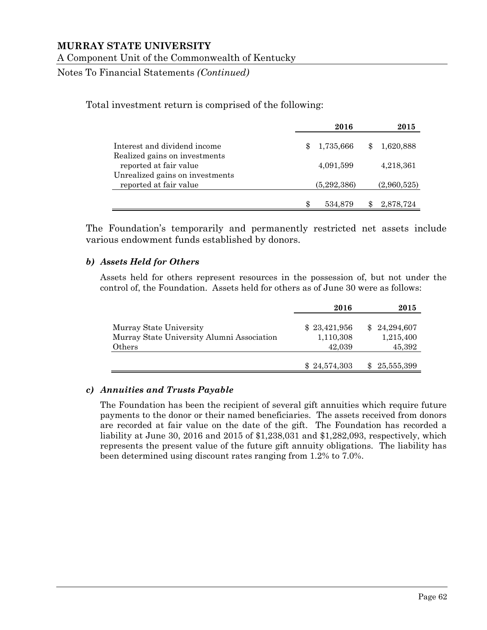Notes To Financial Statements *(Continued)*

Total investment return is comprised of the following:

|                                                           |     | 2016        | 2015        |
|-----------------------------------------------------------|-----|-------------|-------------|
| Interest and dividend income                              | \$, | 1,735,666   | 1,620,888   |
| Realized gains on investments<br>reported at fair value   |     | 4,091,599   | 4,218,361   |
| Unrealized gains on investments<br>reported at fair value |     | (5,292,386) | (2,960,525) |
|                                                           |     | 534,879     | 2,878,724   |

The Foundation's temporarily and permanently restricted net assets include various endowment funds established by donors.

#### *b) Assets Held for Others*

Assets held for others represent resources in the possession of, but not under the control of, the Foundation. Assets held for others as of June 30 were as follows:

|                                                                                 | 2016                                | 2015                                |
|---------------------------------------------------------------------------------|-------------------------------------|-------------------------------------|
| Murray State University<br>Murray State University Alumni Association<br>Others | \$23,421,956<br>1,110,308<br>42,039 | \$24,294,607<br>1,215,400<br>45,392 |
|                                                                                 | \$24,574,303                        | 25,555,399                          |

## *c) Annuities and Trusts Payable*

The Foundation has been the recipient of several gift annuities which require future payments to the donor or their named beneficiaries. The assets received from donors are recorded at fair value on the date of the gift. The Foundation has recorded a liability at June 30, 2016 and 2015 of \$1,238,031 and \$1,282,093, respectively, which represents the present value of the future gift annuity obligations. The liability has been determined using discount rates ranging from 1.2% to 7.0%.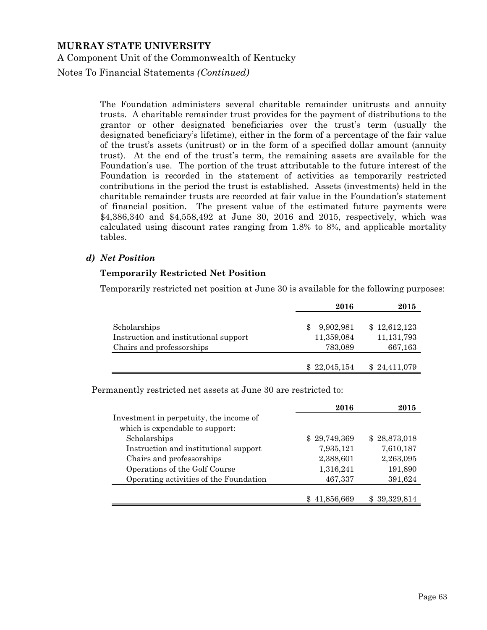Notes To Financial Statements *(Continued)*

The Foundation administers several charitable remainder unitrusts and annuity trusts. A charitable remainder trust provides for the payment of distributions to the grantor or other designated beneficiaries over the trust's term (usually the designated beneficiary's lifetime), either in the form of a percentage of the fair value of the trust's assets (unitrust) or in the form of a specified dollar amount (annuity trust). At the end of the trust's term, the remaining assets are available for the Foundation's use. The portion of the trust attributable to the future interest of the Foundation is recorded in the statement of activities as temporarily restricted contributions in the period the trust is established. Assets (investments) held in the charitable remainder trusts are recorded at fair value in the Foundation's statement of financial position. The present value of the estimated future payments were \$4,386,340 and \$4,558,492 at June 30, 2016 and 2015, respectively, which was calculated using discount rates ranging from 1.8% to 8%, and applicable mortality tables.

#### *d) Net Position*

#### **Temporarily Restricted Net Position**

Temporarily restricted net position at June 30 is available for the following purposes:

|                                       | 2016         | 2015         |
|---------------------------------------|--------------|--------------|
| Scholarships                          | 9,902,981    | \$12,612,123 |
| Instruction and institutional support | 11,359,084   | 11, 131, 793 |
| Chairs and professorships             | 783,089      | 667,163      |
|                                       | \$22,045,154 | \$24,411,079 |

Permanently restricted net assets at June 30 are restricted to:

|                                         | 2016         | 2015         |
|-----------------------------------------|--------------|--------------|
| Investment in perpetuity, the income of |              |              |
| which is expendable to support:         |              |              |
| Scholarships                            | \$29,749,369 | \$28,873,018 |
| Instruction and institutional support   | 7,935,121    | 7,610,187    |
| Chairs and professorships               | 2,388,601    | 2,263,095    |
| Operations of the Golf Course           | 1,316,241    | 191,890      |
| Operating activities of the Foundation  | 467,337      | 391,624      |
|                                         |              |              |
|                                         | 41,856,669   | \$39,329,814 |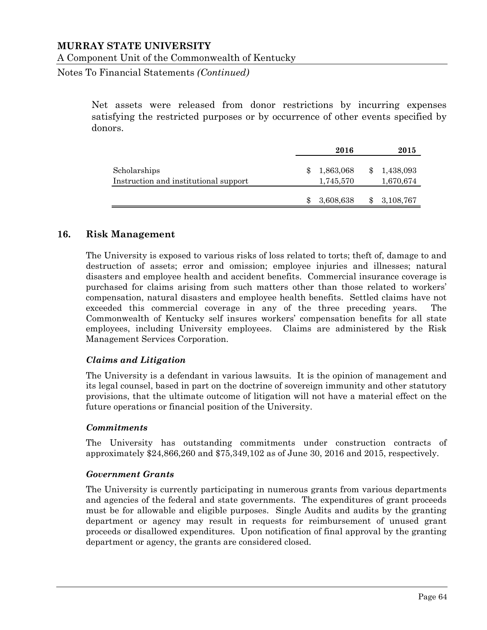#### A Component Unit of the Commonwealth of Kentucky

Notes To Financial Statements *(Continued)*

Net assets were released from donor restrictions by incurring expenses satisfying the restricted purposes or by occurrence of other events specified by donors.

|                                                       | 2016 |                        |  | 2015                   |  |
|-------------------------------------------------------|------|------------------------|--|------------------------|--|
| Scholarships<br>Instruction and institutional support |      | 1,863,068<br>1,745,570 |  | 1,438,093<br>1,670,674 |  |
|                                                       |      | 3,608,638              |  | 3,108,767              |  |

#### **16. Risk Management**

The University is exposed to various risks of loss related to torts; theft of, damage to and destruction of assets; error and omission; employee injuries and illnesses; natural disasters and employee health and accident benefits. Commercial insurance coverage is purchased for claims arising from such matters other than those related to workers' compensation, natural disasters and employee health benefits. Settled claims have not exceeded this commercial coverage in any of the three preceding years. The Commonwealth of Kentucky self insures workers' compensation benefits for all state employees, including University employees. Claims are administered by the Risk Management Services Corporation.

#### *Claims and Litigation*

The University is a defendant in various lawsuits. It is the opinion of management and its legal counsel, based in part on the doctrine of sovereign immunity and other statutory provisions, that the ultimate outcome of litigation will not have a material effect on the future operations or financial position of the University.

#### *Commitments*

The University has outstanding commitments under construction contracts of approximately \$24,866,260 and \$75,349,102 as of June 30, 2016 and 2015, respectively.

#### *Government Grants*

The University is currently participating in numerous grants from various departments and agencies of the federal and state governments. The expenditures of grant proceeds must be for allowable and eligible purposes. Single Audits and audits by the granting department or agency may result in requests for reimbursement of unused grant proceeds or disallowed expenditures. Upon notification of final approval by the granting department or agency, the grants are considered closed.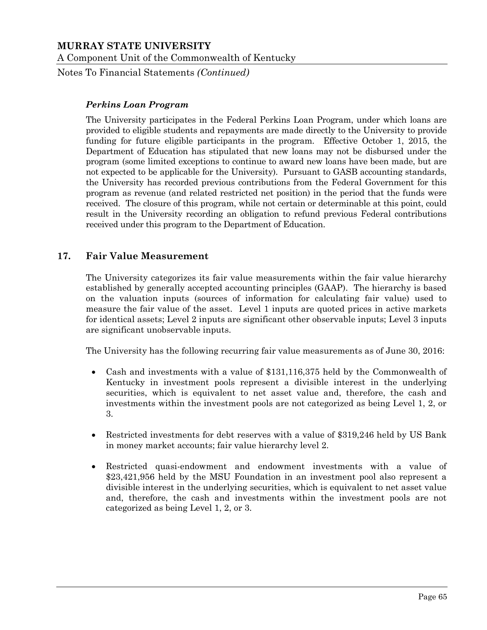Notes To Financial Statements *(Continued)*

#### *Perkins Loan Program*

The University participates in the Federal Perkins Loan Program, under which loans are provided to eligible students and repayments are made directly to the University to provide funding for future eligible participants in the program. Effective October 1, 2015, the Department of Education has stipulated that new loans may not be disbursed under the program (some limited exceptions to continue to award new loans have been made, but are not expected to be applicable for the University). Pursuant to GASB accounting standards, the University has recorded previous contributions from the Federal Government for this program as revenue (and related restricted net position) in the period that the funds were received. The closure of this program, while not certain or determinable at this point, could result in the University recording an obligation to refund previous Federal contributions received under this program to the Department of Education.

## **17. Fair Value Measurement**

The University categorizes its fair value measurements within the fair value hierarchy established by generally accepted accounting principles (GAAP). The hierarchy is based on the valuation inputs (sources of information for calculating fair value) used to measure the fair value of the asset. Level 1 inputs are quoted prices in active markets for identical assets; Level 2 inputs are significant other observable inputs; Level 3 inputs are significant unobservable inputs.

The University has the following recurring fair value measurements as of June 30, 2016:

- Cash and investments with a value of \$131,116,375 held by the Commonwealth of Kentucky in investment pools represent a divisible interest in the underlying securities, which is equivalent to net asset value and, therefore, the cash and investments within the investment pools are not categorized as being Level 1, 2, or 3.
- Restricted investments for debt reserves with a value of \$319,246 held by US Bank in money market accounts; fair value hierarchy level 2.
- Restricted quasi-endowment and endowment investments with a value of \$23,421,956 held by the MSU Foundation in an investment pool also represent a divisible interest in the underlying securities, which is equivalent to net asset value and, therefore, the cash and investments within the investment pools are not categorized as being Level 1, 2, or 3.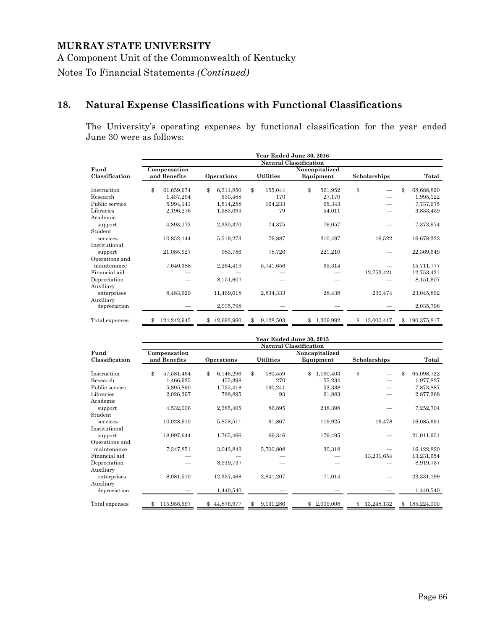Notes To Financial Statements *(Continued)*

# **18. Natural Expense Classifications with Functional Classifications**

The University's operating expenses by functional classification for the year ended June 30 were as follows:

|                           |                   |                 |                  | Year Ended June 30, 2016      |                  |                   |
|---------------------------|-------------------|-----------------|------------------|-------------------------------|------------------|-------------------|
|                           |                   |                 |                  | <b>Natural Classification</b> |                  |                   |
| Fund                      | Compensation      |                 |                  | Noncapitalized                |                  |                   |
| Classification            | and Benefits      | Operations      | <b>Utilities</b> | Equipment                     | Scholarships     | Total             |
| Instruction               | \$<br>61,659,974  | \$<br>6,311,850 | \$<br>155,044    | \$<br>561,952                 | \$               | \$<br>68,688,820  |
| Research                  | 1,437,294         | 530,488         | 170              | 27,170                        |                  | 1,995,122         |
| Public service            | 5,994,141         | 1,514,258       | 164,233          | 65,343                        |                  | 7,737,975         |
| Libraries                 | 2,196,276         | 1,583,093       | 79               | 54,011                        |                  | 3,833,459         |
| Academic                  |                   |                 |                  |                               |                  |                   |
| support                   | 4,893,172         | 2,330,370       | 74,375           | 76,057                        |                  | 7,373,974         |
| Student                   |                   |                 |                  |                               |                  |                   |
| services                  | 10,852,144        | 5,519,273       | 79,887           | 210,497                       | 16,522           | 16,678,323        |
| Institutional             |                   |                 |                  |                               |                  |                   |
| support                   | 21,085,927        | 983,786         | 78,726           | 221,210                       |                  | 22,369,649        |
| Operations and            |                   |                 |                  |                               |                  |                   |
| maintenance               | 7,640,388         | 2,264,419       | 5,741,656        | 65,314                        |                  | 15,711,777        |
| Financial aid             |                   |                 |                  |                               | 12,753,421       | 12,753,421        |
| Depreciation              |                   | 8,151,607       |                  |                               |                  | 8,151,607         |
| Auxiliary                 |                   |                 |                  |                               |                  |                   |
| enterprises               | 8,483,629         | 11,469,018      | 2,834,333        | 28,438                        | 230,474          | 23,045,892        |
| Auxiliary<br>depreciation |                   | 2,035,798       |                  |                               |                  | 2,035,798         |
| Total expenses            | 124,242,945<br>\$ | \$42,693,960    | \$<br>9,128,503  | \$1,309,992                   | \$<br>13,000,417 | 190,375,817<br>\$ |

|                | Year Ended June 30, 2015<br>Natural Classification |                  |                  |                 |                  |                   |  |  |
|----------------|----------------------------------------------------|------------------|------------------|-----------------|------------------|-------------------|--|--|
|                |                                                    |                  |                  |                 |                  |                   |  |  |
| Fund           | Compensation                                       |                  | Noncapitalized   |                 |                  |                   |  |  |
| Classification | and Benefits                                       | Operations       | <b>Utilities</b> | Equipment       | Scholarships     | Total             |  |  |
| Instruction    | \$<br>57,581,464                                   | \$.<br>6,146,296 | \$<br>180,559    | \$<br>1,190,403 | \$               | \$<br>65,098,722  |  |  |
| Research       | 1,466,925                                          | 455,398          | 270              | 55,234          |                  | 1,977,827         |  |  |
| Public service | 5,895,890                                          | 1,735,418        | 190,241          | 52,338          |                  | 7,873,887         |  |  |
| Libraries      | 2,026,397                                          | 788,895          | 93               | 61,883          |                  | 2,877,268         |  |  |
| Academic       |                                                    |                  |                  |                 |                  |                   |  |  |
| support        | 4,532,006                                          | 2,385,405        | 86,895           | 248,398         |                  | 7,252,704         |  |  |
| Student        |                                                    |                  |                  |                 |                  |                   |  |  |
| services       | 10,028,910                                         | 5,858,511        | 61,867           | 119,925         | 16,478           | 16,085,691        |  |  |
| Institutional  |                                                    |                  |                  |                 |                  |                   |  |  |
| support        | 18,997,644                                         | 1,765,466        | 69,346           | 179,495         |                  | 21,011,951        |  |  |
| Operations and |                                                    |                  |                  |                 |                  |                   |  |  |
| maintenance    | 7,347,851                                          | 3,043,843        | 5,700,808        | 30,318          |                  | 16,122,820        |  |  |
| Financial aid  |                                                    |                  |                  |                 | 13,231,654       | 13,231,654        |  |  |
| Depreciation   |                                                    | 8,919,737        |                  |                 |                  | 8,919,737         |  |  |
| Auxiliary      |                                                    |                  |                  |                 |                  |                   |  |  |
| enterprises    | 8,081,510                                          | 12,337,468       | 2,841,207        | 71,014          |                  | 23,331,199        |  |  |
| Auxiliary      |                                                    |                  |                  |                 |                  |                   |  |  |
| depreciation   |                                                    | 1,440,540        |                  |                 |                  | 1,440,540         |  |  |
| Total expenses | 115,958,597                                        | 44,876,977<br>\$ | 9,131,286<br>\$  | 2,009,008<br>\$ | 13,248,132<br>\$ | 185,224,000<br>\$ |  |  |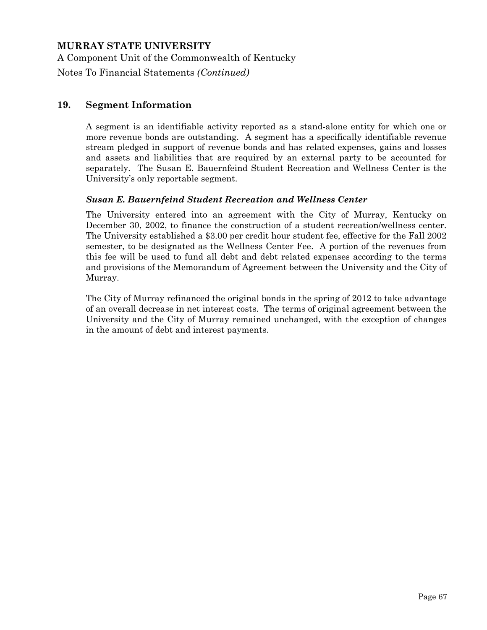A Component Unit of the Commonwealth of Kentucky

Notes To Financial Statements *(Continued)*

#### **19. Segment Information**

A segment is an identifiable activity reported as a stand-alone entity for which one or more revenue bonds are outstanding. A segment has a specifically identifiable revenue stream pledged in support of revenue bonds and has related expenses, gains and losses and assets and liabilities that are required by an external party to be accounted for separately. The Susan E. Bauernfeind Student Recreation and Wellness Center is the University's only reportable segment.

#### *Susan E. Bauernfeind Student Recreation and Wellness Center*

The University entered into an agreement with the City of Murray, Kentucky on December 30, 2002, to finance the construction of a student recreation/wellness center. The University established a \$3.00 per credit hour student fee, effective for the Fall 2002 semester, to be designated as the Wellness Center Fee. A portion of the revenues from this fee will be used to fund all debt and debt related expenses according to the terms and provisions of the Memorandum of Agreement between the University and the City of Murray.

The City of Murray refinanced the original bonds in the spring of 2012 to take advantage of an overall decrease in net interest costs. The terms of original agreement between the University and the City of Murray remained unchanged, with the exception of changes in the amount of debt and interest payments.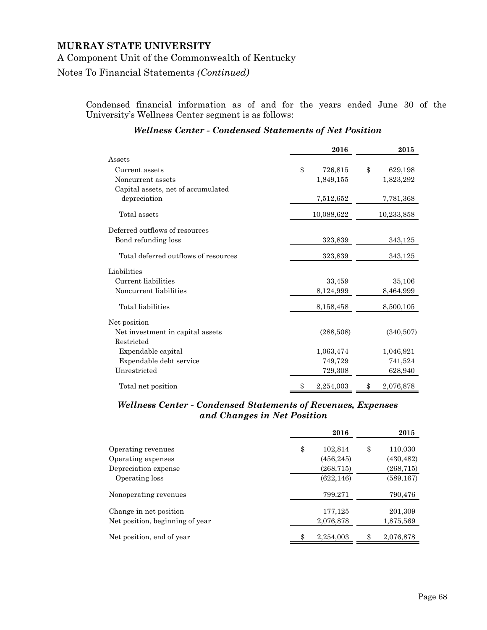#### Notes To Financial Statements *(Continued)*

Condensed financial information as of and for the years ended June 30 of the University's Wellness Center segment is as follows:

|                                      | 2016          | 2015          |
|--------------------------------------|---------------|---------------|
| Assets                               |               |               |
| Current assets                       | \$<br>726,815 | \$<br>629,198 |
| Noncurrent assets                    | 1,849,155     | 1,823,292     |
| Capital assets, net of accumulated   |               |               |
| depreciation                         | 7,512,652     | 7,781,368     |
| Total assets                         | 10,088,622    | 10,233,858    |
| Deferred outflows of resources       |               |               |
| Bond refunding loss                  | 323,839       | 343,125       |
| Total deferred outflows of resources | 323,839       | 343,125       |
| Liabilities                          |               |               |
| Current liabilities                  | 33,459        | 35,106        |
| Noncurrent liabilities               | 8,124,999     | 8,464,999     |
| Total liabilities                    | 8,158,458     | 8,500,105     |
| Net position                         |               |               |
| Net investment in capital assets     | (288,508)     | (340,507)     |
| Restricted                           |               |               |
| Expendable capital                   | 1,063,474     | 1,046,921     |
| Expendable debt service              | 749,729       | 741,524       |
| Unrestricted                         | 729,308       | 628,940       |
| Total net position                   | 2,254,003     | 2,076,878     |

#### *Wellness Center - Condensed Statements of Net Position*

## *Wellness Center - Condensed Statements of Revenues, Expenses and Changes in Net Position*

|                                 | 2016            |    | 2015       |
|---------------------------------|-----------------|----|------------|
| Operating revenues              | \$<br>102,814   | \$ | 110,030    |
| Operating expenses              | (456, 245)      |    | (430, 482) |
| Depreciation expense            | (268, 715)      |    | (268, 715) |
| Operating loss                  | (622, 146)      |    | (589, 167) |
| Nonoperating revenues           | 799,271         |    | 790,476    |
| Change in net position          | 177,125         |    | 201,309    |
| Net position, beginning of year | 2,076,878       |    | 1,875,569  |
| Net position, end of year       | \$<br>2,254,003 | ዳ  | 2,076,878  |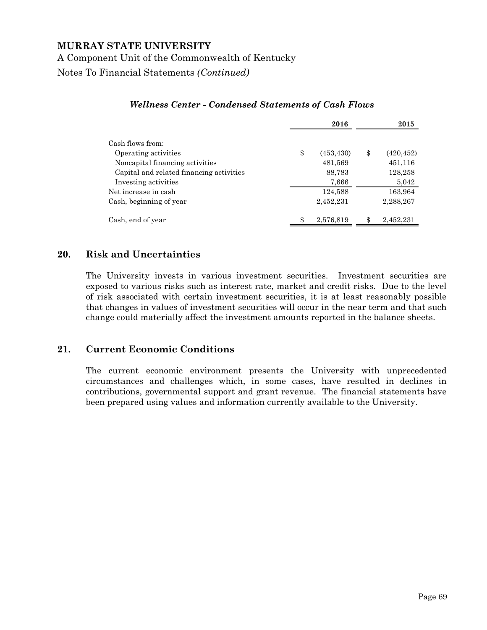Notes To Financial Statements *(Continued)*

|                                          | 2016             | 2015             |
|------------------------------------------|------------------|------------------|
| Cash flows from:                         |                  |                  |
| Operating activities                     | \$<br>(453, 430) | \$<br>(420, 452) |
| Noncapital financing activities          | 481,569          | 451,116          |
| Capital and related financing activities | 88,783           | 128,258          |
| Investing activities                     | 7,666            | 5,042            |
| Net increase in cash                     | 124,588          | 163,964          |
| Cash, beginning of year                  | 2,452,231        | 2,288,267        |
| Cash, end of year                        | \$<br>2,576,819  | \$<br>2,452,231  |

#### *Wellness Center - Condensed Statements of Cash Flows*

# **20. Risk and Uncertainties**

The University invests in various investment securities. Investment securities are exposed to various risks such as interest rate, market and credit risks. Due to the level of risk associated with certain investment securities, it is at least reasonably possible that changes in values of investment securities will occur in the near term and that such change could materially affect the investment amounts reported in the balance sheets.

## **21. Current Economic Conditions**

The current economic environment presents the University with unprecedented circumstances and challenges which, in some cases, have resulted in declines in contributions, governmental support and grant revenue. The financial statements have been prepared using values and information currently available to the University.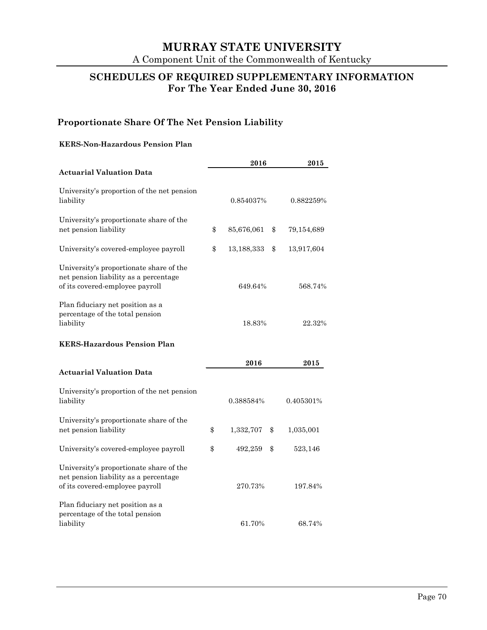# **SCHEDULES OF REQUIRED SUPPLEMENTARY INFORMATION For The Year Ended June 30, 2016**

# **Proportionate Share Of The Net Pension Liability**

#### **KERS-Non-Hazardous Pension Plan**

|                                                                                                                     |    | 2016       | 2015 |            |
|---------------------------------------------------------------------------------------------------------------------|----|------------|------|------------|
| <b>Actuarial Valuation Data</b>                                                                                     |    |            |      |            |
| University's proportion of the net pension<br>liability                                                             |    | 0.854037%  |      | 0.882259%  |
| University's proportionate share of the<br>net pension liability                                                    | \$ | 85,676,061 | \$   | 79,154,689 |
| University's covered-employee payroll                                                                               | \$ | 13,188,333 | \$   | 13,917,604 |
| University's proportionate share of the<br>net pension liability as a percentage<br>of its covered-employee payroll |    | 649.64%    |      | 568.74%    |
| Plan fiduciary net position as a<br>percentage of the total pension<br>liability                                    |    | 18.83%     |      | 22.32%     |
| <b>KERS-Hazardous Pension Plan</b>                                                                                  |    |            |      |            |
|                                                                                                                     |    | 2016       |      | 2015       |
| Actuarial Valuation Data                                                                                            |    |            |      |            |
| University's proportion of the net pension<br>liability                                                             |    | 0.388584%  |      | 0.405301%  |
| University's proportionate share of the<br>net pension liability                                                    | \$ | 1,332,707  | \$   | 1,035,001  |
| University's covered-employee payroll                                                                               | \$ | 492,259    | \$   | 523,146    |
| University's proportionate share of the<br>net pension liability as a percentage<br>of its covered-employee payroll |    | 270.73%    |      | 197.84%    |
| Plan fiduciary net position as a<br>percentage of the total pension<br>liability                                    |    | 61.70%     |      | 68.74%     |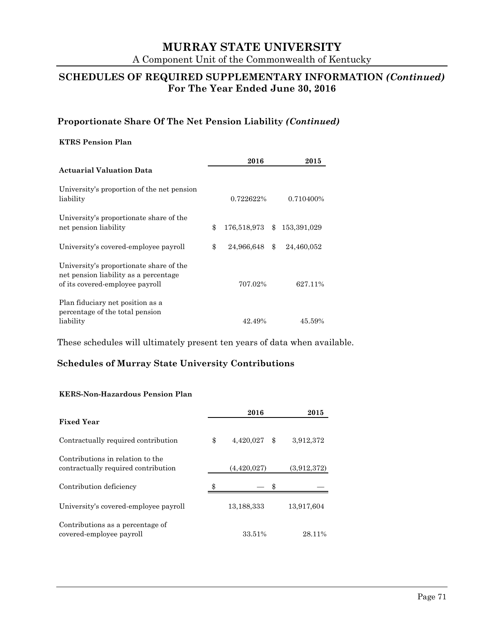# **MURRAY STATE UNIVERSITY**

A Component Unit of the Commonwealth of Kentucky

## **SCHEDULES OF REQUIRED SUPPLEMENTARY INFORMATION** *(Continued)*  **For The Year Ended June 30, 2016**

## **Proportionate Share Of The Net Pension Liability** *(Continued)*

#### **KTRS Pension Plan**

|                                                                                                                     | 2016                 | 2015             |
|---------------------------------------------------------------------------------------------------------------------|----------------------|------------------|
| <b>Actuarial Valuation Data</b>                                                                                     |                      |                  |
| University's proportion of the net pension<br>liability                                                             | 0.722622%            | 0.710400\%       |
| University's proportionate share of the<br>net pension liability                                                    | \$<br>176,518,973 \$ | 153,391,029      |
| University's covered-employee payroll                                                                               | \$<br>24,966,648     | \$<br>24,460,052 |
| University's proportionate share of the<br>net pension liability as a percentage<br>of its covered-employee payroll | 707.02%              | 627.11%          |
| Plan fiduciary net position as a<br>percentage of the total pension<br>liability                                    | 42.49%               | 45.59%           |

These schedules will ultimately present ten years of data when available.

## **Schedules of Murray State University Contributions**

### **KERS-Non-Hazardous Pension Plan**

|                                                                         | 2016            | 2015            |
|-------------------------------------------------------------------------|-----------------|-----------------|
| <b>Fixed Year</b>                                                       |                 |                 |
| Contractually required contribution                                     | \$<br>4,420,027 | \$<br>3,912,372 |
| Contributions in relation to the<br>contractually required contribution | (4,420,027)     | (3,912,372)     |
| Contribution deficiency                                                 |                 |                 |
| University's covered-employee payroll                                   | 13,188,333      | 13,917,604      |
| Contributions as a percentage of<br>covered-employee payroll            | 33.51%          | 28.11%          |